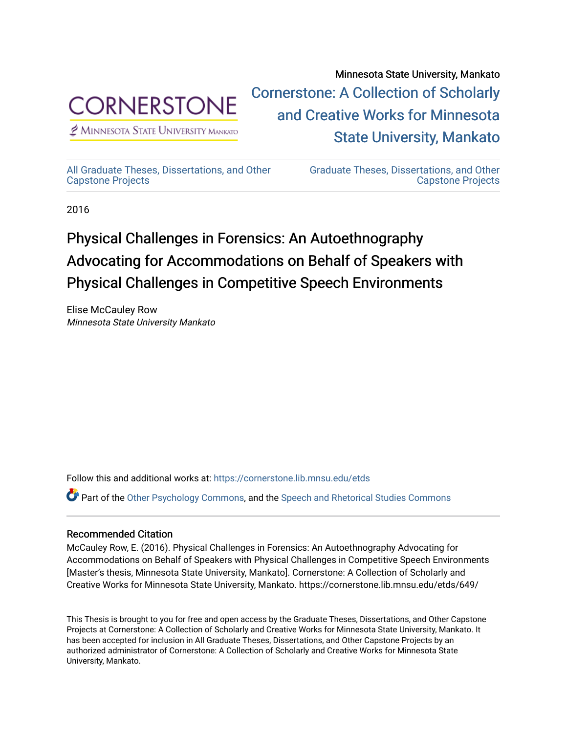

 $<sup>2</sup>$  Minnesota State University Mankato</sup>

Minnesota State University, Mankato [Cornerstone: A Collection of Scholarly](https://cornerstone.lib.mnsu.edu/)  [and Creative Works for Minnesota](https://cornerstone.lib.mnsu.edu/)  [State University, Mankato](https://cornerstone.lib.mnsu.edu/) 

[All Graduate Theses, Dissertations, and Other](https://cornerstone.lib.mnsu.edu/etds)  [Capstone Projects](https://cornerstone.lib.mnsu.edu/etds) 

[Graduate Theses, Dissertations, and Other](https://cornerstone.lib.mnsu.edu/theses_dissertations-capstone)  [Capstone Projects](https://cornerstone.lib.mnsu.edu/theses_dissertations-capstone) 

2016

# Physical Challenges in Forensics: An Autoethnography Advocating for Accommodations on Behalf of Speakers with Physical Challenges in Competitive Speech Environments

Elise McCauley Row Minnesota State University Mankato

Follow this and additional works at: [https://cornerstone.lib.mnsu.edu/etds](https://cornerstone.lib.mnsu.edu/etds?utm_source=cornerstone.lib.mnsu.edu%2Fetds%2F649&utm_medium=PDF&utm_campaign=PDFCoverPages) 

Part of the [Other Psychology Commons,](http://network.bepress.com/hgg/discipline/415?utm_source=cornerstone.lib.mnsu.edu%2Fetds%2F649&utm_medium=PDF&utm_campaign=PDFCoverPages) and the [Speech and Rhetorical Studies Commons](http://network.bepress.com/hgg/discipline/338?utm_source=cornerstone.lib.mnsu.edu%2Fetds%2F649&utm_medium=PDF&utm_campaign=PDFCoverPages)

# Recommended Citation

McCauley Row, E. (2016). Physical Challenges in Forensics: An Autoethnography Advocating for Accommodations on Behalf of Speakers with Physical Challenges in Competitive Speech Environments [Master's thesis, Minnesota State University, Mankato]. Cornerstone: A Collection of Scholarly and Creative Works for Minnesota State University, Mankato. https://cornerstone.lib.mnsu.edu/etds/649/

This Thesis is brought to you for free and open access by the Graduate Theses, Dissertations, and Other Capstone Projects at Cornerstone: A Collection of Scholarly and Creative Works for Minnesota State University, Mankato. It has been accepted for inclusion in All Graduate Theses, Dissertations, and Other Capstone Projects by an authorized administrator of Cornerstone: A Collection of Scholarly and Creative Works for Minnesota State University, Mankato.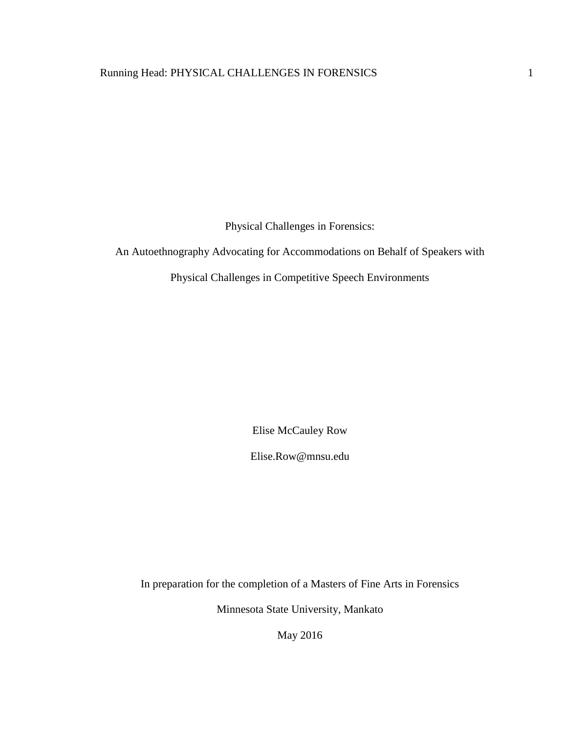Physical Challenges in Forensics:

An Autoethnography Advocating for Accommodations on Behalf of Speakers with

Physical Challenges in Competitive Speech Environments

Elise McCauley Row

Elise.Row@mnsu.edu

In preparation for the completion of a Masters of Fine Arts in Forensics

Minnesota State University, Mankato

May 2016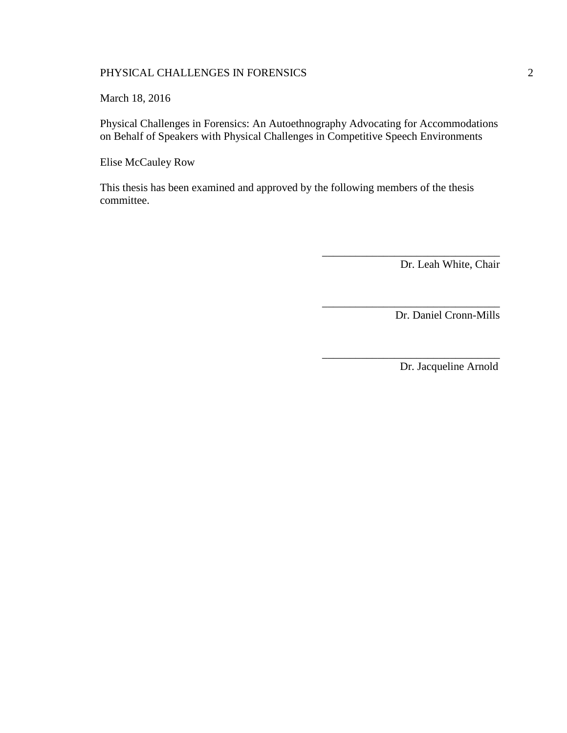March 18, 2016

Physical Challenges in Forensics: An Autoethnography Advocating for Accommodations on Behalf of Speakers with Physical Challenges in Competitive Speech Environments

Elise McCauley Row

This thesis has been examined and approved by the following members of the thesis committee.

Dr. Leah White, Chair

\_\_\_\_\_\_\_\_\_\_\_\_\_\_\_\_\_\_\_\_\_\_\_\_\_\_\_\_\_\_\_\_

\_\_\_\_\_\_\_\_\_\_\_\_\_\_\_\_\_\_\_\_\_\_\_\_\_\_\_\_\_\_\_\_

\_\_\_\_\_\_\_\_\_\_\_\_\_\_\_\_\_\_\_\_\_\_\_\_\_\_\_\_\_\_\_\_

Dr. Daniel Cronn-Mills

Dr. Jacqueline Arnold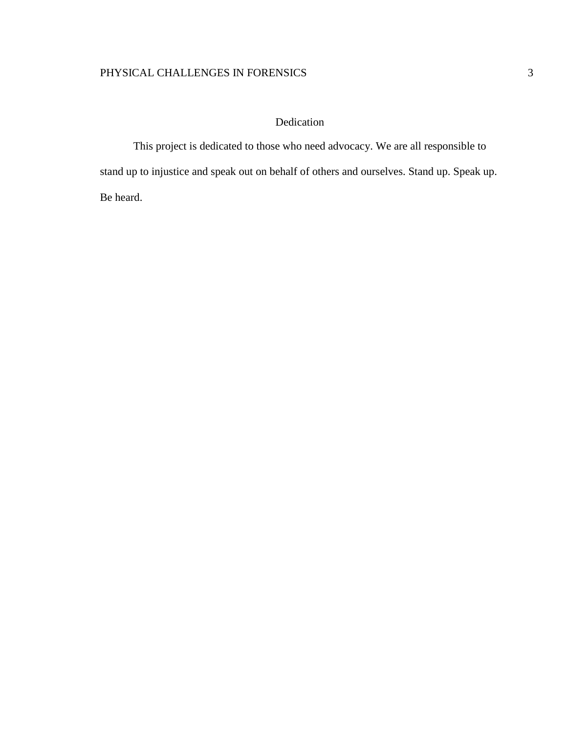# Dedication

This project is dedicated to those who need advocacy. We are all responsible to stand up to injustice and speak out on behalf of others and ourselves. Stand up. Speak up. Be heard.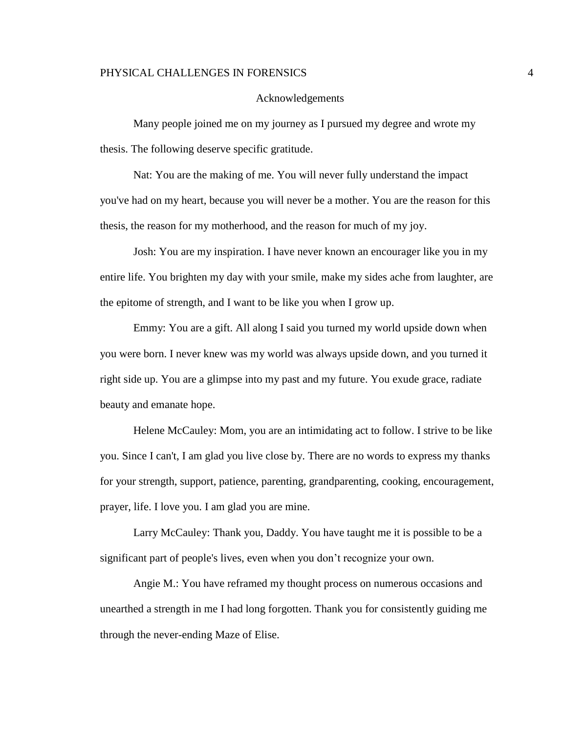#### Acknowledgements

Many people joined me on my journey as I pursued my degree and wrote my thesis. The following deserve specific gratitude.

Nat: You are the making of me. You will never fully understand the impact you've had on my heart, because you will never be a mother. You are the reason for this thesis, the reason for my motherhood, and the reason for much of my joy.

Josh: You are my inspiration. I have never known an encourager like you in my entire life. You brighten my day with your smile, make my sides ache from laughter, are the epitome of strength, and I want to be like you when I grow up.

Emmy: You are a gift. All along I said you turned my world upside down when you were born. I never knew was my world was always upside down, and you turned it right side up. You are a glimpse into my past and my future. You exude grace, radiate beauty and emanate hope.

Helene McCauley: Mom, you are an intimidating act to follow. I strive to be like you. Since I can't, I am glad you live close by. There are no words to express my thanks for your strength, support, patience, parenting, grandparenting, cooking, encouragement, prayer, life. I love you. I am glad you are mine.

Larry McCauley: Thank you, Daddy. You have taught me it is possible to be a significant part of people's lives, even when you don't recognize your own.

Angie M.: You have reframed my thought process on numerous occasions and unearthed a strength in me I had long forgotten. Thank you for consistently guiding me through the never-ending Maze of Elise.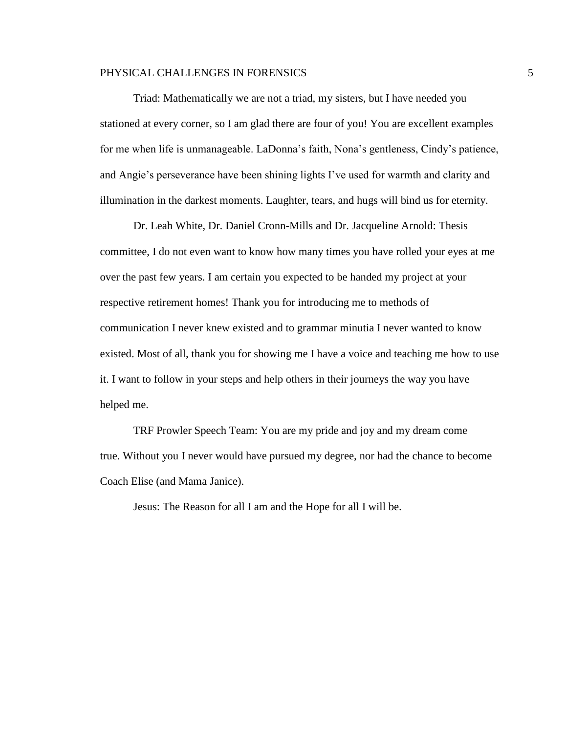Triad: Mathematically we are not a triad, my sisters, but I have needed you stationed at every corner, so I am glad there are four of you! You are excellent examples for me when life is unmanageable. LaDonna's faith, Nona's gentleness, Cindy's patience, and Angie's perseverance have been shining lights I've used for warmth and clarity and illumination in the darkest moments. Laughter, tears, and hugs will bind us for eternity.

Dr. Leah White, Dr. Daniel Cronn-Mills and Dr. Jacqueline Arnold: Thesis committee, I do not even want to know how many times you have rolled your eyes at me over the past few years. I am certain you expected to be handed my project at your respective retirement homes! Thank you for introducing me to methods of communication I never knew existed and to grammar minutia I never wanted to know existed. Most of all, thank you for showing me I have a voice and teaching me how to use it. I want to follow in your steps and help others in their journeys the way you have helped me.

TRF Prowler Speech Team: You are my pride and joy and my dream come true. Without you I never would have pursued my degree, nor had the chance to become Coach Elise (and Mama Janice).

Jesus: The Reason for all I am and the Hope for all I will be.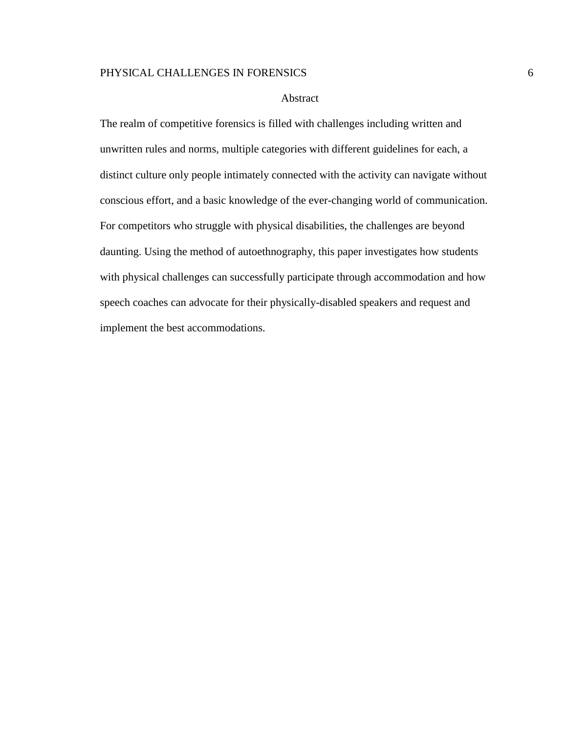#### Abstract

The realm of competitive forensics is filled with challenges including written and unwritten rules and norms, multiple categories with different guidelines for each, a distinct culture only people intimately connected with the activity can navigate without conscious effort, and a basic knowledge of the ever-changing world of communication. For competitors who struggle with physical disabilities, the challenges are beyond daunting. Using the method of autoethnography, this paper investigates how students with physical challenges can successfully participate through accommodation and how speech coaches can advocate for their physically-disabled speakers and request and implement the best accommodations.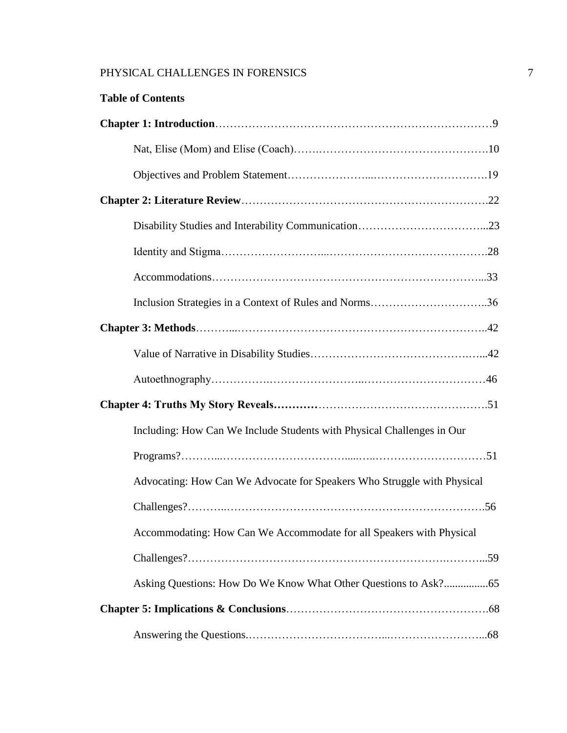| <b>Table of Contents</b>                                                |
|-------------------------------------------------------------------------|
|                                                                         |
|                                                                         |
|                                                                         |
|                                                                         |
|                                                                         |
|                                                                         |
|                                                                         |
| Inclusion Strategies in a Context of Rules and Norms36                  |
|                                                                         |
|                                                                         |
|                                                                         |
|                                                                         |
| Including: How Can We Include Students with Physical Challenges in Our  |
|                                                                         |
| Advocating: How Can We Advocate for Speakers Who Struggle with Physical |
|                                                                         |
| Accommodating: How Can We Accommodate for all Speakers with Physical    |
|                                                                         |
|                                                                         |
|                                                                         |
|                                                                         |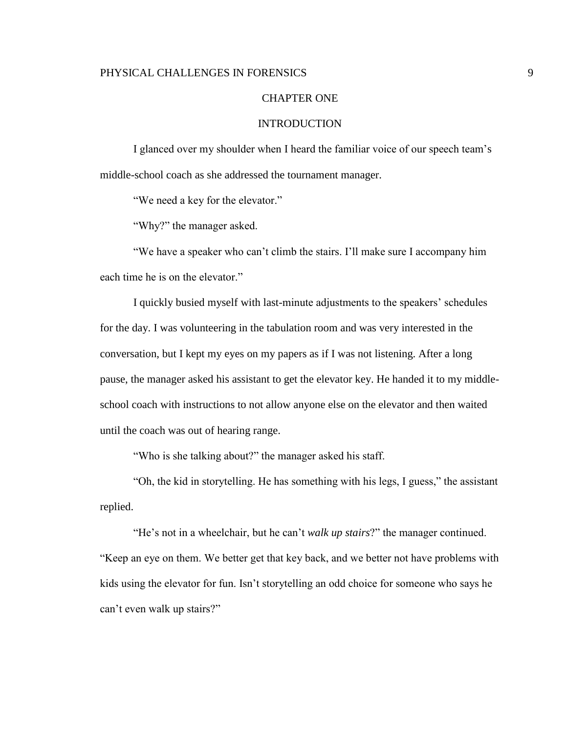#### CHAPTER ONE

# INTRODUCTION

I glanced over my shoulder when I heard the familiar voice of our speech team's middle-school coach as she addressed the tournament manager.

"We need a key for the elevator."

"Why?" the manager asked.

"We have a speaker who can't climb the stairs. I'll make sure I accompany him each time he is on the elevator."

I quickly busied myself with last-minute adjustments to the speakers' schedules for the day. I was volunteering in the tabulation room and was very interested in the conversation, but I kept my eyes on my papers as if I was not listening. After a long pause, the manager asked his assistant to get the elevator key. He handed it to my middleschool coach with instructions to not allow anyone else on the elevator and then waited until the coach was out of hearing range.

"Who is she talking about?" the manager asked his staff.

"Oh, the kid in storytelling. He has something with his legs, I guess," the assistant replied.

"He's not in a wheelchair, but he can't *walk up stairs*?" the manager continued. "Keep an eye on them. We better get that key back, and we better not have problems with kids using the elevator for fun. Isn't storytelling an odd choice for someone who says he can't even walk up stairs?"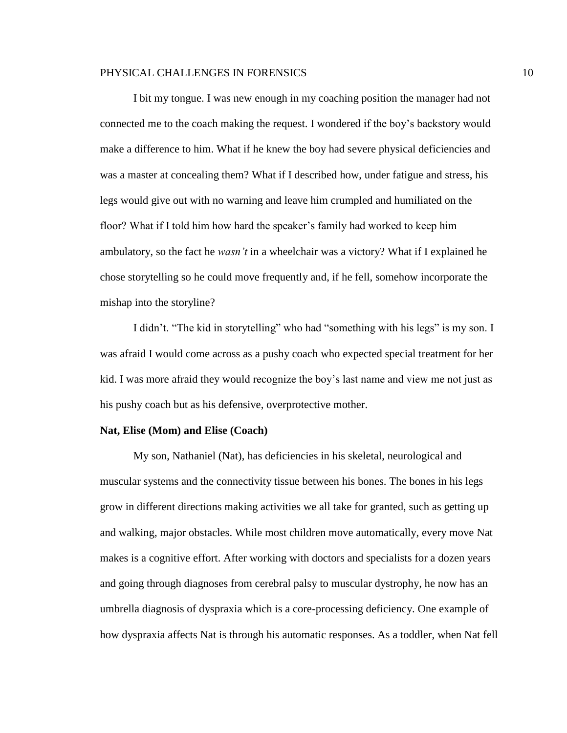I bit my tongue. I was new enough in my coaching position the manager had not connected me to the coach making the request. I wondered if the boy's backstory would make a difference to him. What if he knew the boy had severe physical deficiencies and was a master at concealing them? What if I described how, under fatigue and stress, his legs would give out with no warning and leave him crumpled and humiliated on the floor? What if I told him how hard the speaker's family had worked to keep him ambulatory, so the fact he *wasn't* in a wheelchair was a victory? What if I explained he chose storytelling so he could move frequently and, if he fell, somehow incorporate the mishap into the storyline?

I didn't. "The kid in storytelling" who had "something with his legs" is my son. I was afraid I would come across as a pushy coach who expected special treatment for her kid. I was more afraid they would recognize the boy's last name and view me not just as his pushy coach but as his defensive, overprotective mother.

#### **Nat, Elise (Mom) and Elise (Coach)**

My son, Nathaniel (Nat), has deficiencies in his skeletal, neurological and muscular systems and the connectivity tissue between his bones. The bones in his legs grow in different directions making activities we all take for granted, such as getting up and walking, major obstacles. While most children move automatically, every move Nat makes is a cognitive effort. After working with doctors and specialists for a dozen years and going through diagnoses from cerebral palsy to muscular dystrophy, he now has an umbrella diagnosis of dyspraxia which is a core-processing deficiency. One example of how dyspraxia affects Nat is through his automatic responses. As a toddler, when Nat fell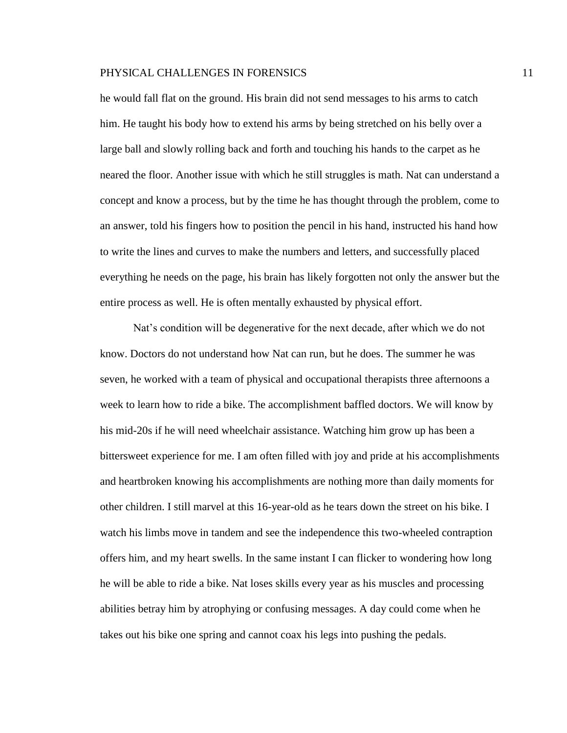he would fall flat on the ground. His brain did not send messages to his arms to catch him. He taught his body how to extend his arms by being stretched on his belly over a large ball and slowly rolling back and forth and touching his hands to the carpet as he neared the floor. Another issue with which he still struggles is math. Nat can understand a concept and know a process, but by the time he has thought through the problem, come to an answer, told his fingers how to position the pencil in his hand, instructed his hand how to write the lines and curves to make the numbers and letters, and successfully placed everything he needs on the page, his brain has likely forgotten not only the answer but the entire process as well. He is often mentally exhausted by physical effort.

Nat's condition will be degenerative for the next decade, after which we do not know. Doctors do not understand how Nat can run, but he does. The summer he was seven, he worked with a team of physical and occupational therapists three afternoons a week to learn how to ride a bike. The accomplishment baffled doctors. We will know by his mid-20s if he will need wheelchair assistance. Watching him grow up has been a bittersweet experience for me. I am often filled with joy and pride at his accomplishments and heartbroken knowing his accomplishments are nothing more than daily moments for other children. I still marvel at this 16-year-old as he tears down the street on his bike. I watch his limbs move in tandem and see the independence this two-wheeled contraption offers him, and my heart swells. In the same instant I can flicker to wondering how long he will be able to ride a bike. Nat loses skills every year as his muscles and processing abilities betray him by atrophying or confusing messages. A day could come when he takes out his bike one spring and cannot coax his legs into pushing the pedals.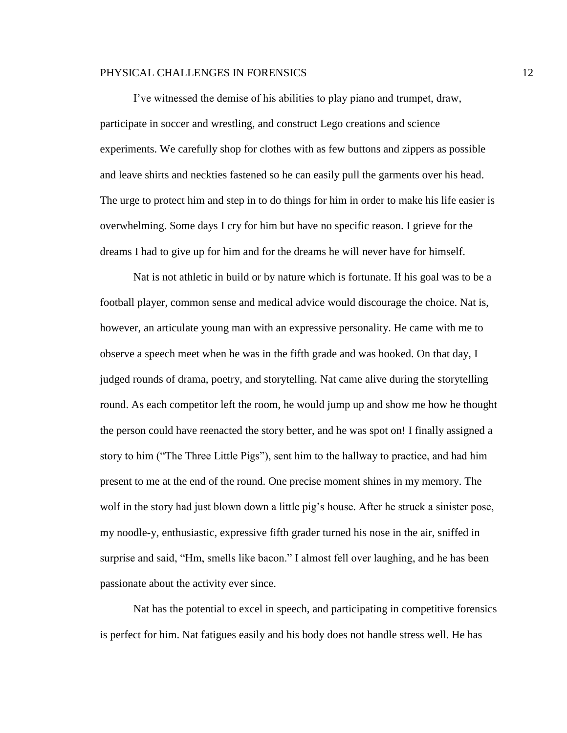I've witnessed the demise of his abilities to play piano and trumpet, draw, participate in soccer and wrestling, and construct Lego creations and science experiments. We carefully shop for clothes with as few buttons and zippers as possible and leave shirts and neckties fastened so he can easily pull the garments over his head. The urge to protect him and step in to do things for him in order to make his life easier is overwhelming. Some days I cry for him but have no specific reason. I grieve for the dreams I had to give up for him and for the dreams he will never have for himself.

Nat is not athletic in build or by nature which is fortunate. If his goal was to be a football player, common sense and medical advice would discourage the choice. Nat is, however, an articulate young man with an expressive personality. He came with me to observe a speech meet when he was in the fifth grade and was hooked. On that day, I judged rounds of drama, poetry, and storytelling. Nat came alive during the storytelling round. As each competitor left the room, he would jump up and show me how he thought the person could have reenacted the story better, and he was spot on! I finally assigned a story to him ("The Three Little Pigs"), sent him to the hallway to practice, and had him present to me at the end of the round. One precise moment shines in my memory. The wolf in the story had just blown down a little pig's house. After he struck a sinister pose, my noodle-y, enthusiastic, expressive fifth grader turned his nose in the air, sniffed in surprise and said, "Hm, smells like bacon." I almost fell over laughing, and he has been passionate about the activity ever since.

Nat has the potential to excel in speech, and participating in competitive forensics is perfect for him. Nat fatigues easily and his body does not handle stress well. He has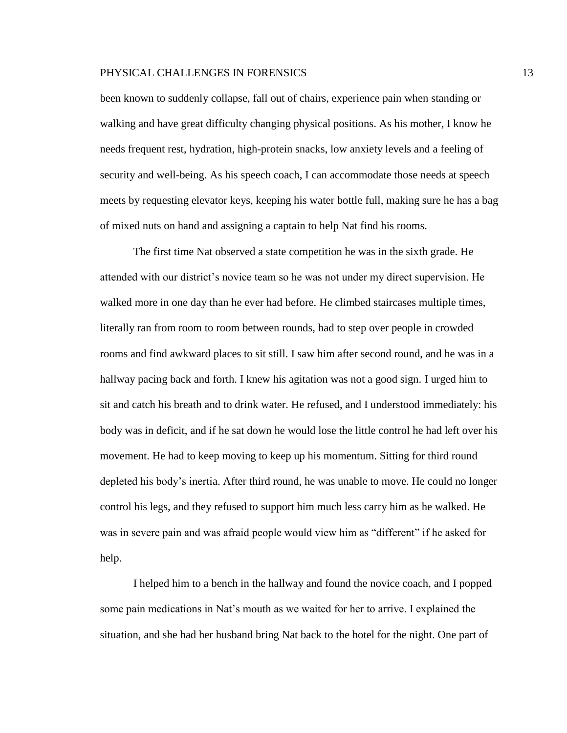been known to suddenly collapse, fall out of chairs, experience pain when standing or walking and have great difficulty changing physical positions. As his mother, I know he needs frequent rest, hydration, high-protein snacks, low anxiety levels and a feeling of security and well-being. As his speech coach, I can accommodate those needs at speech meets by requesting elevator keys, keeping his water bottle full, making sure he has a bag of mixed nuts on hand and assigning a captain to help Nat find his rooms.

The first time Nat observed a state competition he was in the sixth grade. He attended with our district's novice team so he was not under my direct supervision. He walked more in one day than he ever had before. He climbed staircases multiple times, literally ran from room to room between rounds, had to step over people in crowded rooms and find awkward places to sit still. I saw him after second round, and he was in a hallway pacing back and forth. I knew his agitation was not a good sign. I urged him to sit and catch his breath and to drink water. He refused, and I understood immediately: his body was in deficit, and if he sat down he would lose the little control he had left over his movement. He had to keep moving to keep up his momentum. Sitting for third round depleted his body's inertia. After third round, he was unable to move. He could no longer control his legs, and they refused to support him much less carry him as he walked. He was in severe pain and was afraid people would view him as "different" if he asked for help.

I helped him to a bench in the hallway and found the novice coach, and I popped some pain medications in Nat's mouth as we waited for her to arrive. I explained the situation, and she had her husband bring Nat back to the hotel for the night. One part of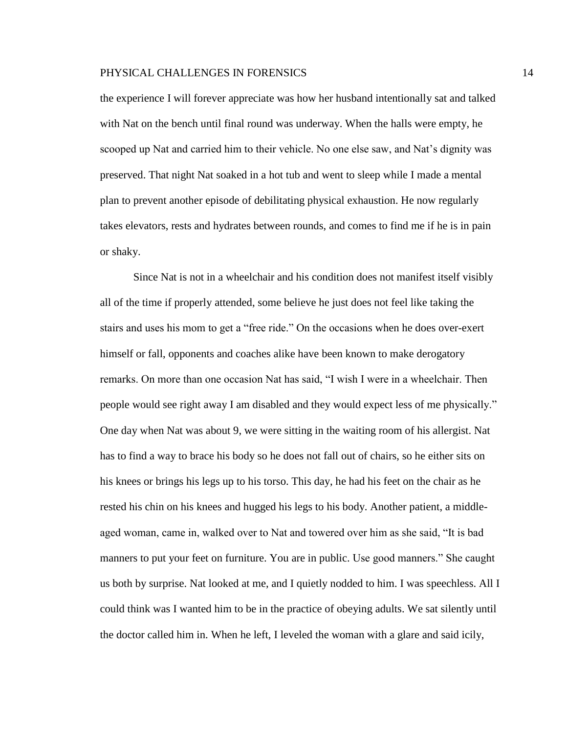the experience I will forever appreciate was how her husband intentionally sat and talked with Nat on the bench until final round was underway. When the halls were empty, he scooped up Nat and carried him to their vehicle. No one else saw, and Nat's dignity was preserved. That night Nat soaked in a hot tub and went to sleep while I made a mental plan to prevent another episode of debilitating physical exhaustion. He now regularly takes elevators, rests and hydrates between rounds, and comes to find me if he is in pain or shaky.

Since Nat is not in a wheelchair and his condition does not manifest itself visibly all of the time if properly attended, some believe he just does not feel like taking the stairs and uses his mom to get a "free ride." On the occasions when he does over-exert himself or fall, opponents and coaches alike have been known to make derogatory remarks. On more than one occasion Nat has said, "I wish I were in a wheelchair. Then people would see right away I am disabled and they would expect less of me physically." One day when Nat was about 9, we were sitting in the waiting room of his allergist. Nat has to find a way to brace his body so he does not fall out of chairs, so he either sits on his knees or brings his legs up to his torso. This day, he had his feet on the chair as he rested his chin on his knees and hugged his legs to his body. Another patient, a middleaged woman, came in, walked over to Nat and towered over him as she said, "It is bad manners to put your feet on furniture. You are in public. Use good manners." She caught us both by surprise. Nat looked at me, and I quietly nodded to him. I was speechless. All I could think was I wanted him to be in the practice of obeying adults. We sat silently until the doctor called him in. When he left, I leveled the woman with a glare and said icily,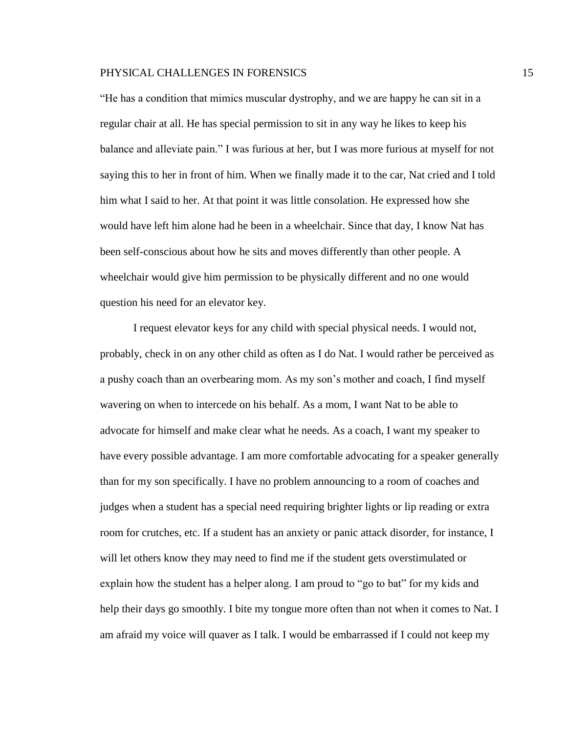"He has a condition that mimics muscular dystrophy, and we are happy he can sit in a regular chair at all. He has special permission to sit in any way he likes to keep his balance and alleviate pain." I was furious at her, but I was more furious at myself for not saying this to her in front of him. When we finally made it to the car, Nat cried and I told him what I said to her. At that point it was little consolation. He expressed how she would have left him alone had he been in a wheelchair. Since that day, I know Nat has been self-conscious about how he sits and moves differently than other people. A wheelchair would give him permission to be physically different and no one would question his need for an elevator key.

I request elevator keys for any child with special physical needs. I would not, probably, check in on any other child as often as I do Nat. I would rather be perceived as a pushy coach than an overbearing mom. As my son's mother and coach, I find myself wavering on when to intercede on his behalf. As a mom, I want Nat to be able to advocate for himself and make clear what he needs. As a coach, I want my speaker to have every possible advantage. I am more comfortable advocating for a speaker generally than for my son specifically. I have no problem announcing to a room of coaches and judges when a student has a special need requiring brighter lights or lip reading or extra room for crutches, etc. If a student has an anxiety or panic attack disorder, for instance, I will let others know they may need to find me if the student gets overstimulated or explain how the student has a helper along. I am proud to "go to bat" for my kids and help their days go smoothly. I bite my tongue more often than not when it comes to Nat. I am afraid my voice will quaver as I talk. I would be embarrassed if I could not keep my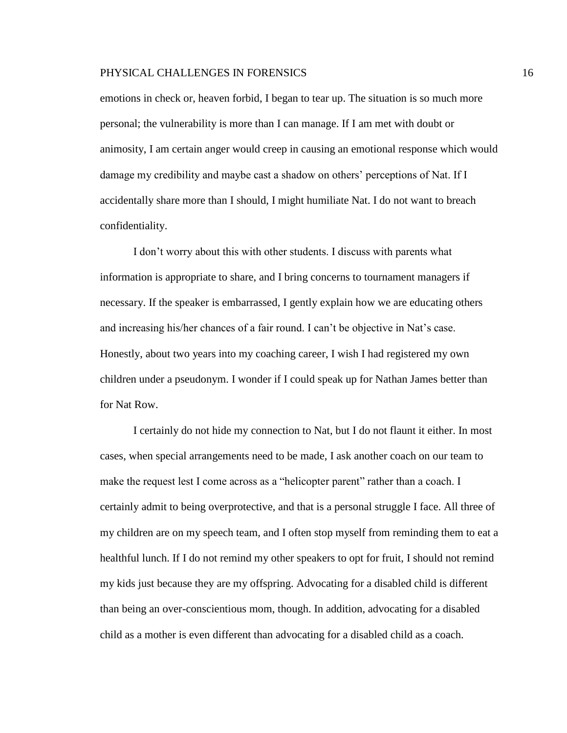emotions in check or, heaven forbid, I began to tear up. The situation is so much more personal; the vulnerability is more than I can manage. If I am met with doubt or animosity, I am certain anger would creep in causing an emotional response which would damage my credibility and maybe cast a shadow on others' perceptions of Nat. If I accidentally share more than I should, I might humiliate Nat. I do not want to breach confidentiality.

I don't worry about this with other students. I discuss with parents what information is appropriate to share, and I bring concerns to tournament managers if necessary. If the speaker is embarrassed, I gently explain how we are educating others and increasing his/her chances of a fair round. I can't be objective in Nat's case. Honestly, about two years into my coaching career, I wish I had registered my own children under a pseudonym. I wonder if I could speak up for Nathan James better than for Nat Row.

I certainly do not hide my connection to Nat, but I do not flaunt it either. In most cases, when special arrangements need to be made, I ask another coach on our team to make the request lest I come across as a "helicopter parent" rather than a coach. I certainly admit to being overprotective, and that is a personal struggle I face. All three of my children are on my speech team, and I often stop myself from reminding them to eat a healthful lunch. If I do not remind my other speakers to opt for fruit, I should not remind my kids just because they are my offspring. Advocating for a disabled child is different than being an over-conscientious mom, though. In addition, advocating for a disabled child as a mother is even different than advocating for a disabled child as a coach.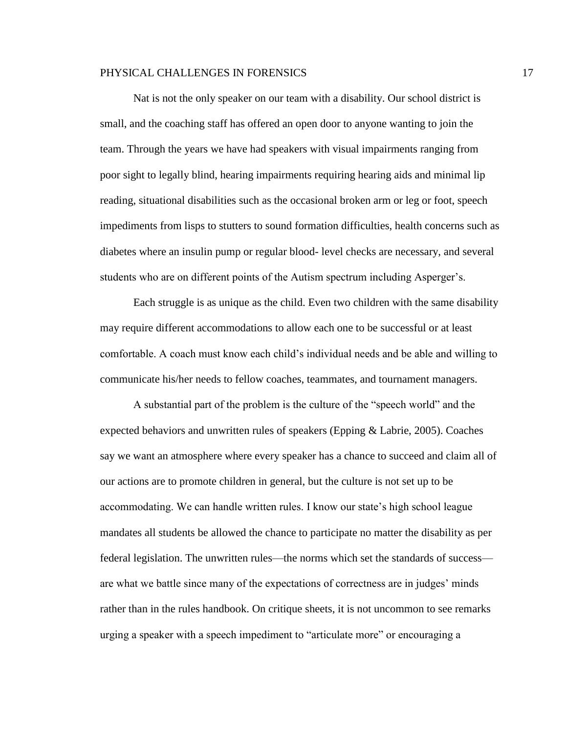Nat is not the only speaker on our team with a disability. Our school district is small, and the coaching staff has offered an open door to anyone wanting to join the team. Through the years we have had speakers with visual impairments ranging from poor sight to legally blind, hearing impairments requiring hearing aids and minimal lip reading, situational disabilities such as the occasional broken arm or leg or foot, speech impediments from lisps to stutters to sound formation difficulties, health concerns such as diabetes where an insulin pump or regular blood- level checks are necessary, and several students who are on different points of the Autism spectrum including Asperger's.

Each struggle is as unique as the child. Even two children with the same disability may require different accommodations to allow each one to be successful or at least comfortable. A coach must know each child's individual needs and be able and willing to communicate his/her needs to fellow coaches, teammates, and tournament managers.

A substantial part of the problem is the culture of the "speech world" and the expected behaviors and unwritten rules of speakers (Epping & Labrie, 2005). Coaches say we want an atmosphere where every speaker has a chance to succeed and claim all of our actions are to promote children in general, but the culture is not set up to be accommodating. We can handle written rules. I know our state's high school league mandates all students be allowed the chance to participate no matter the disability as per federal legislation. The unwritten rules—the norms which set the standards of success are what we battle since many of the expectations of correctness are in judges' minds rather than in the rules handbook. On critique sheets, it is not uncommon to see remarks urging a speaker with a speech impediment to "articulate more" or encouraging a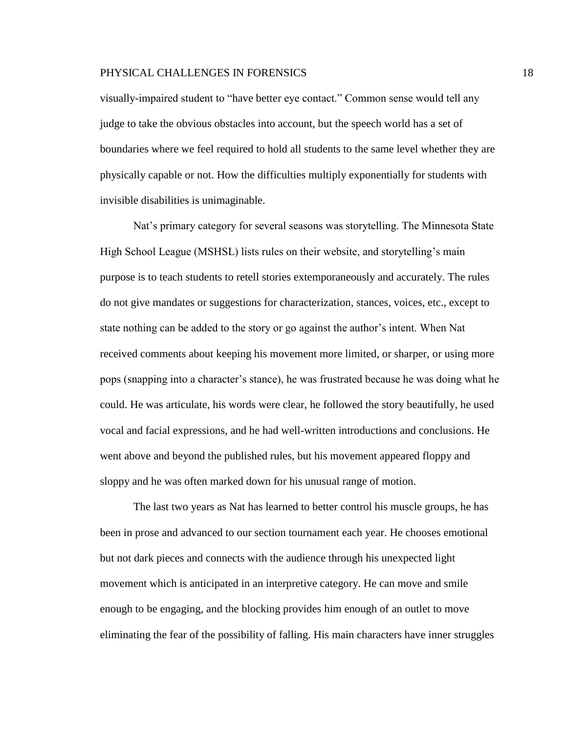visually-impaired student to "have better eye contact." Common sense would tell any judge to take the obvious obstacles into account, but the speech world has a set of boundaries where we feel required to hold all students to the same level whether they are physically capable or not. How the difficulties multiply exponentially for students with invisible disabilities is unimaginable.

Nat's primary category for several seasons was storytelling. The Minnesota State High School League (MSHSL) lists rules on their website, and storytelling's main purpose is to teach students to retell stories extemporaneously and accurately. The rules do not give mandates or suggestions for characterization, stances, voices, etc., except to state nothing can be added to the story or go against the author's intent. When Nat received comments about keeping his movement more limited, or sharper, or using more pops (snapping into a character's stance), he was frustrated because he was doing what he could. He was articulate, his words were clear, he followed the story beautifully, he used vocal and facial expressions, and he had well-written introductions and conclusions. He went above and beyond the published rules, but his movement appeared floppy and sloppy and he was often marked down for his unusual range of motion.

The last two years as Nat has learned to better control his muscle groups, he has been in prose and advanced to our section tournament each year. He chooses emotional but not dark pieces and connects with the audience through his unexpected light movement which is anticipated in an interpretive category. He can move and smile enough to be engaging, and the blocking provides him enough of an outlet to move eliminating the fear of the possibility of falling. His main characters have inner struggles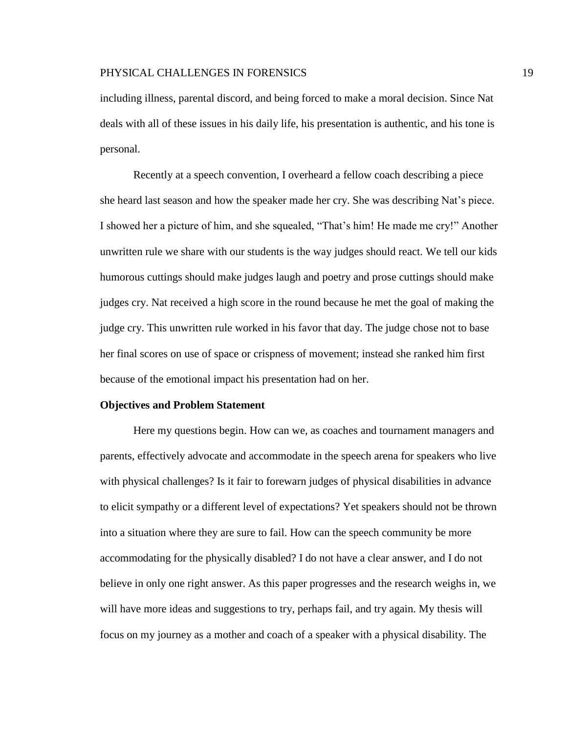including illness, parental discord, and being forced to make a moral decision. Since Nat deals with all of these issues in his daily life, his presentation is authentic, and his tone is personal.

Recently at a speech convention, I overheard a fellow coach describing a piece she heard last season and how the speaker made her cry. She was describing Nat's piece. I showed her a picture of him, and she squealed, "That's him! He made me cry!" Another unwritten rule we share with our students is the way judges should react. We tell our kids humorous cuttings should make judges laugh and poetry and prose cuttings should make judges cry. Nat received a high score in the round because he met the goal of making the judge cry. This unwritten rule worked in his favor that day. The judge chose not to base her final scores on use of space or crispness of movement; instead she ranked him first because of the emotional impact his presentation had on her.

# **Objectives and Problem Statement**

Here my questions begin. How can we, as coaches and tournament managers and parents, effectively advocate and accommodate in the speech arena for speakers who live with physical challenges? Is it fair to forewarn judges of physical disabilities in advance to elicit sympathy or a different level of expectations? Yet speakers should not be thrown into a situation where they are sure to fail. How can the speech community be more accommodating for the physically disabled? I do not have a clear answer, and I do not believe in only one right answer. As this paper progresses and the research weighs in, we will have more ideas and suggestions to try, perhaps fail, and try again. My thesis will focus on my journey as a mother and coach of a speaker with a physical disability. The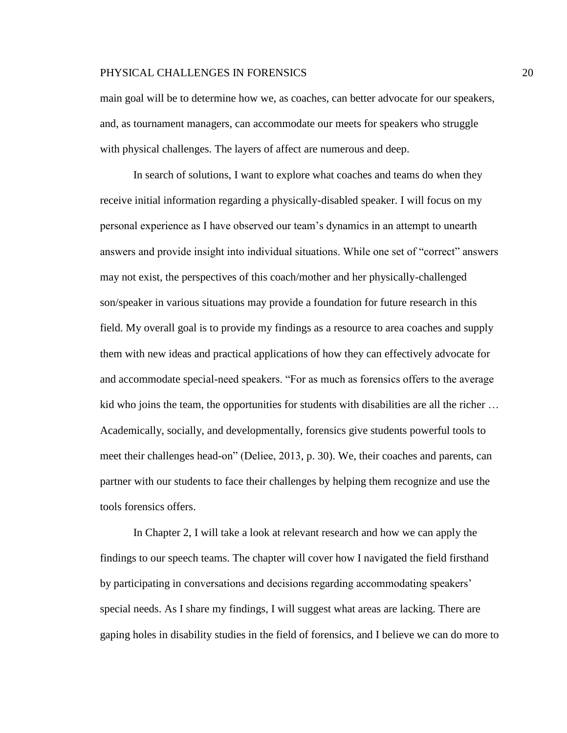main goal will be to determine how we, as coaches, can better advocate for our speakers, and, as tournament managers, can accommodate our meets for speakers who struggle with physical challenges. The layers of affect are numerous and deep.

In search of solutions, I want to explore what coaches and teams do when they receive initial information regarding a physically-disabled speaker. I will focus on my personal experience as I have observed our team's dynamics in an attempt to unearth answers and provide insight into individual situations. While one set of "correct" answers may not exist, the perspectives of this coach/mother and her physically-challenged son/speaker in various situations may provide a foundation for future research in this field. My overall goal is to provide my findings as a resource to area coaches and supply them with new ideas and practical applications of how they can effectively advocate for and accommodate special-need speakers. "For as much as forensics offers to the average kid who joins the team, the opportunities for students with disabilities are all the richer … Academically, socially, and developmentally, forensics give students powerful tools to meet their challenges head-on" (Deliee, 2013, p. 30). We, their coaches and parents, can partner with our students to face their challenges by helping them recognize and use the tools forensics offers.

In Chapter 2, I will take a look at relevant research and how we can apply the findings to our speech teams. The chapter will cover how I navigated the field firsthand by participating in conversations and decisions regarding accommodating speakers' special needs. As I share my findings, I will suggest what areas are lacking. There are gaping holes in disability studies in the field of forensics, and I believe we can do more to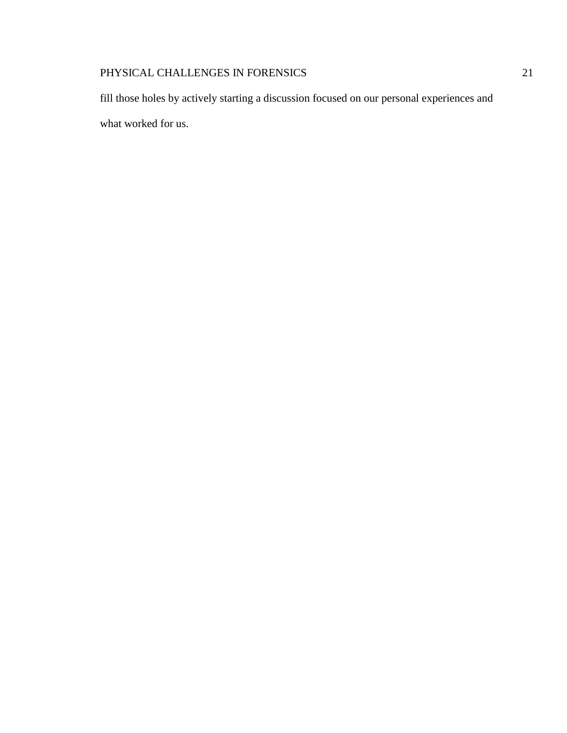fill those holes by actively starting a discussion focused on our personal experiences and what worked for us.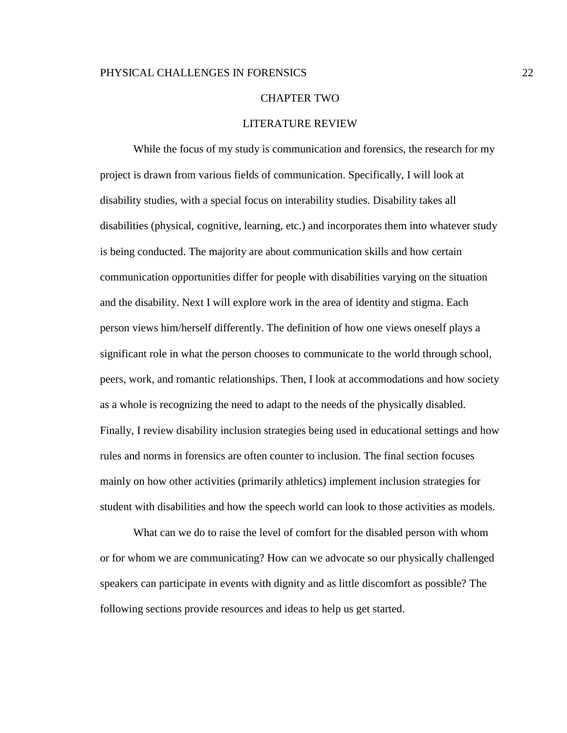#### CHAPTER TWO

# LITERATURE REVIEW

While the focus of my study is communication and forensics, the research for my project is drawn from various fields of communication. Specifically, I will look at disability studies, with a special focus on interability studies. Disability takes all disabilities (physical, cognitive, learning, etc.) and incorporates them into whatever study is being conducted. The majority are about communication skills and how certain communication opportunities differ for people with disabilities varying on the situation and the disability. Next I will explore work in the area of identity and stigma. Each person views him/herself differently. The definition of how one views oneself plays a significant role in what the person chooses to communicate to the world through school, peers, work, and romantic relationships. Then, I look at accommodations and how society as a whole is recognizing the need to adapt to the needs of the physically disabled. Finally, I review disability inclusion strategies being used in educational settings and how rules and norms in forensics are often counter to inclusion. The final section focuses mainly on how other activities (primarily athletics) implement inclusion strategies for student with disabilities and how the speech world can look to those activities as models.

What can we do to raise the level of comfort for the disabled person with whom or for whom we are communicating? How can we advocate so our physically challenged speakers can participate in events with dignity and as little discomfort as possible? The following sections provide resources and ideas to help us get started.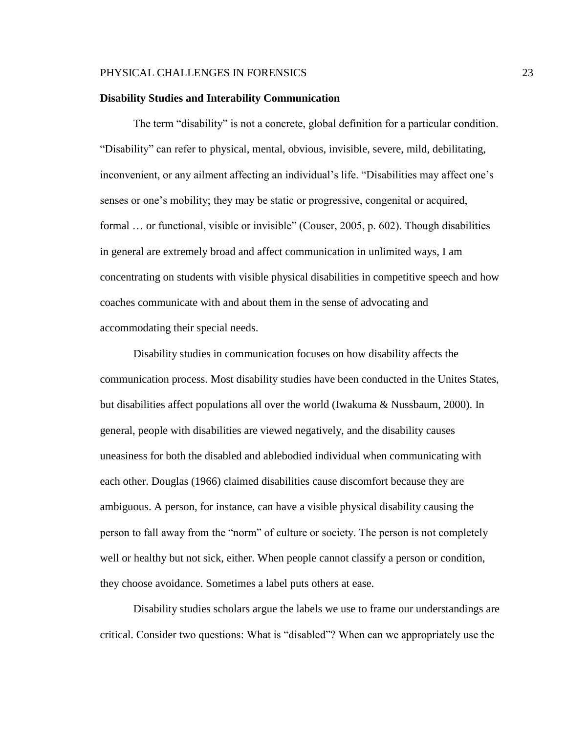#### **Disability Studies and Interability Communication**

The term "disability" is not a concrete, global definition for a particular condition. "Disability" can refer to physical, mental, obvious, invisible, severe, mild, debilitating, inconvenient, or any ailment affecting an individual's life. "Disabilities may affect one's senses or one's mobility; they may be static or progressive, congenital or acquired, formal … or functional, visible or invisible" (Couser, 2005, p. 602). Though disabilities in general are extremely broad and affect communication in unlimited ways, I am concentrating on students with visible physical disabilities in competitive speech and how coaches communicate with and about them in the sense of advocating and accommodating their special needs.

Disability studies in communication focuses on how disability affects the communication process. Most disability studies have been conducted in the Unites States, but disabilities affect populations all over the world (Iwakuma & Nussbaum, 2000). In general, people with disabilities are viewed negatively, and the disability causes uneasiness for both the disabled and ablebodied individual when communicating with each other. Douglas (1966) claimed disabilities cause discomfort because they are ambiguous. A person, for instance, can have a visible physical disability causing the person to fall away from the "norm" of culture or society. The person is not completely well or healthy but not sick, either. When people cannot classify a person or condition, they choose avoidance. Sometimes a label puts others at ease.

Disability studies scholars argue the labels we use to frame our understandings are critical. Consider two questions: What is "disabled"? When can we appropriately use the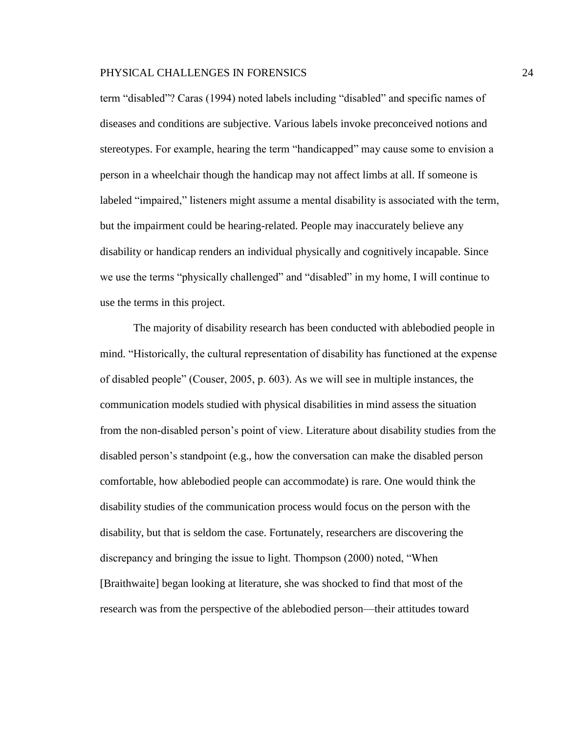term "disabled"? Caras (1994) noted labels including "disabled" and specific names of diseases and conditions are subjective. Various labels invoke preconceived notions and stereotypes. For example, hearing the term "handicapped" may cause some to envision a person in a wheelchair though the handicap may not affect limbs at all. If someone is labeled "impaired," listeners might assume a mental disability is associated with the term, but the impairment could be hearing-related. People may inaccurately believe any disability or handicap renders an individual physically and cognitively incapable. Since we use the terms "physically challenged" and "disabled" in my home, I will continue to use the terms in this project.

The majority of disability research has been conducted with ablebodied people in mind. "Historically, the cultural representation of disability has functioned at the expense of disabled people" (Couser, 2005, p. 603). As we will see in multiple instances, the communication models studied with physical disabilities in mind assess the situation from the non-disabled person's point of view. Literature about disability studies from the disabled person's standpoint (e.g., how the conversation can make the disabled person comfortable, how ablebodied people can accommodate) is rare. One would think the disability studies of the communication process would focus on the person with the disability, but that is seldom the case. Fortunately, researchers are discovering the discrepancy and bringing the issue to light. Thompson (2000) noted, "When [Braithwaite] began looking at literature, she was shocked to find that most of the research was from the perspective of the ablebodied person—their attitudes toward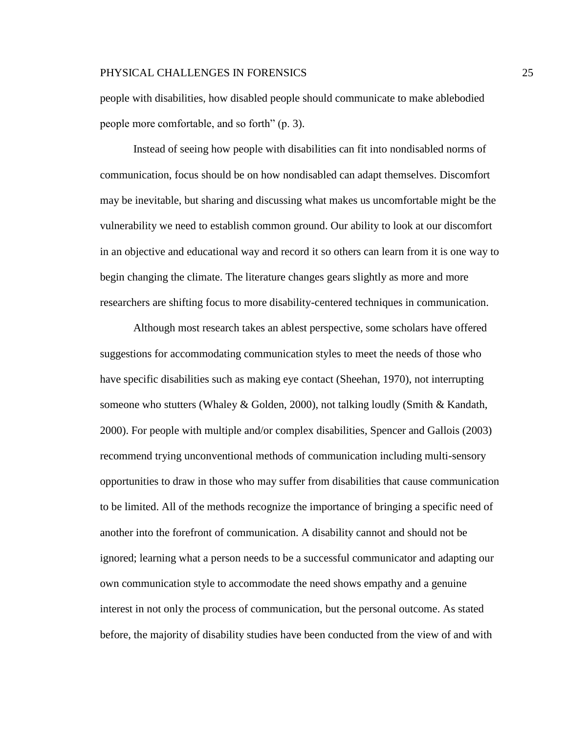people with disabilities, how disabled people should communicate to make ablebodied people more comfortable, and so forth" (p. 3).

Instead of seeing how people with disabilities can fit into nondisabled norms of communication, focus should be on how nondisabled can adapt themselves. Discomfort may be inevitable, but sharing and discussing what makes us uncomfortable might be the vulnerability we need to establish common ground. Our ability to look at our discomfort in an objective and educational way and record it so others can learn from it is one way to begin changing the climate. The literature changes gears slightly as more and more researchers are shifting focus to more disability-centered techniques in communication.

Although most research takes an ablest perspective, some scholars have offered suggestions for accommodating communication styles to meet the needs of those who have specific disabilities such as making eye contact (Sheehan, 1970), not interrupting someone who stutters (Whaley & Golden, 2000), not talking loudly (Smith & Kandath, 2000). For people with multiple and/or complex disabilities, Spencer and Gallois (2003) recommend trying unconventional methods of communication including multi-sensory opportunities to draw in those who may suffer from disabilities that cause communication to be limited. All of the methods recognize the importance of bringing a specific need of another into the forefront of communication. A disability cannot and should not be ignored; learning what a person needs to be a successful communicator and adapting our own communication style to accommodate the need shows empathy and a genuine interest in not only the process of communication, but the personal outcome. As stated before, the majority of disability studies have been conducted from the view of and with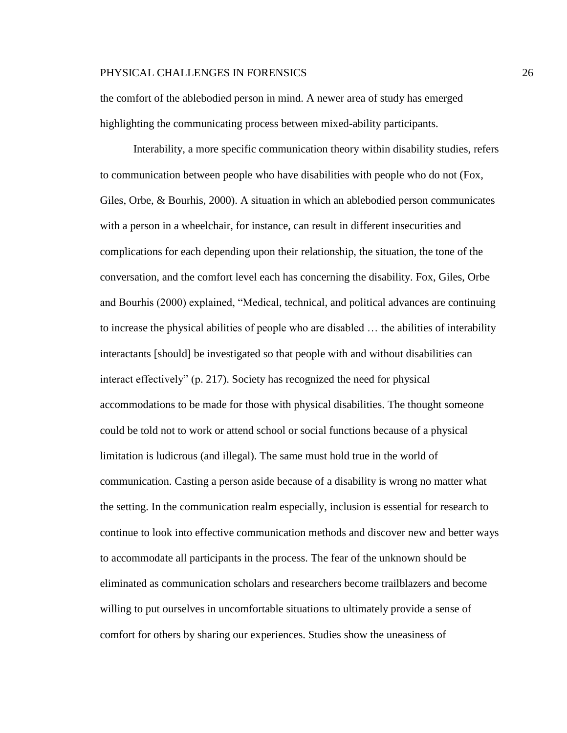the comfort of the ablebodied person in mind. A newer area of study has emerged highlighting the communicating process between mixed-ability participants.

Interability, a more specific communication theory within disability studies, refers to communication between people who have disabilities with people who do not (Fox, Giles, Orbe, & Bourhis, 2000). A situation in which an ablebodied person communicates with a person in a wheelchair, for instance, can result in different insecurities and complications for each depending upon their relationship, the situation, the tone of the conversation, and the comfort level each has concerning the disability. Fox, Giles, Orbe and Bourhis (2000) explained, "Medical, technical, and political advances are continuing to increase the physical abilities of people who are disabled … the abilities of interability interactants [should] be investigated so that people with and without disabilities can interact effectively" (p. 217). Society has recognized the need for physical accommodations to be made for those with physical disabilities. The thought someone could be told not to work or attend school or social functions because of a physical limitation is ludicrous (and illegal). The same must hold true in the world of communication. Casting a person aside because of a disability is wrong no matter what the setting. In the communication realm especially, inclusion is essential for research to continue to look into effective communication methods and discover new and better ways to accommodate all participants in the process. The fear of the unknown should be eliminated as communication scholars and researchers become trailblazers and become willing to put ourselves in uncomfortable situations to ultimately provide a sense of comfort for others by sharing our experiences. Studies show the uneasiness of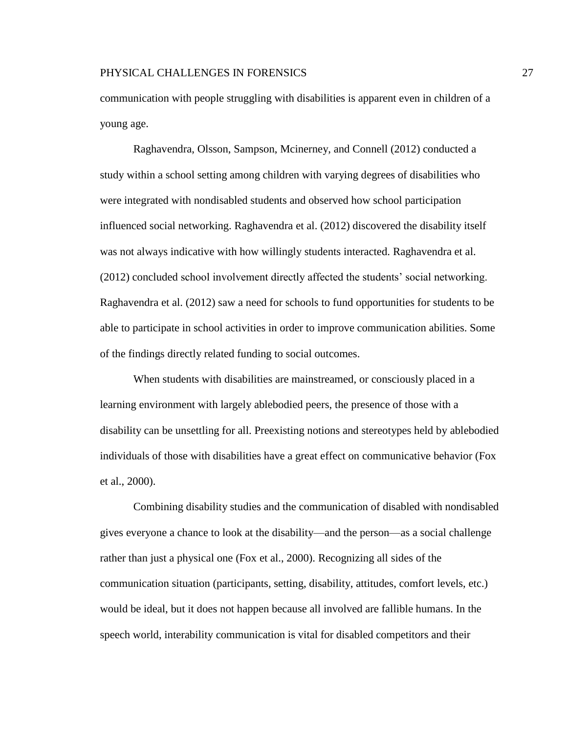communication with people struggling with disabilities is apparent even in children of a young age.

Raghavendra, Olsson, Sampson, Mcinerney, and Connell (2012) conducted a study within a school setting among children with varying degrees of disabilities who were integrated with nondisabled students and observed how school participation influenced social networking. Raghavendra et al. (2012) discovered the disability itself was not always indicative with how willingly students interacted. Raghavendra et al. (2012) concluded school involvement directly affected the students' social networking. Raghavendra et al. (2012) saw a need for schools to fund opportunities for students to be able to participate in school activities in order to improve communication abilities. Some of the findings directly related funding to social outcomes.

When students with disabilities are mainstreamed, or consciously placed in a learning environment with largely ablebodied peers, the presence of those with a disability can be unsettling for all. Preexisting notions and stereotypes held by ablebodied individuals of those with disabilities have a great effect on communicative behavior (Fox et al., 2000).

Combining disability studies and the communication of disabled with nondisabled gives everyone a chance to look at the disability—and the person—as a social challenge rather than just a physical one (Fox et al., 2000). Recognizing all sides of the communication situation (participants, setting, disability, attitudes, comfort levels, etc.) would be ideal, but it does not happen because all involved are fallible humans. In the speech world, interability communication is vital for disabled competitors and their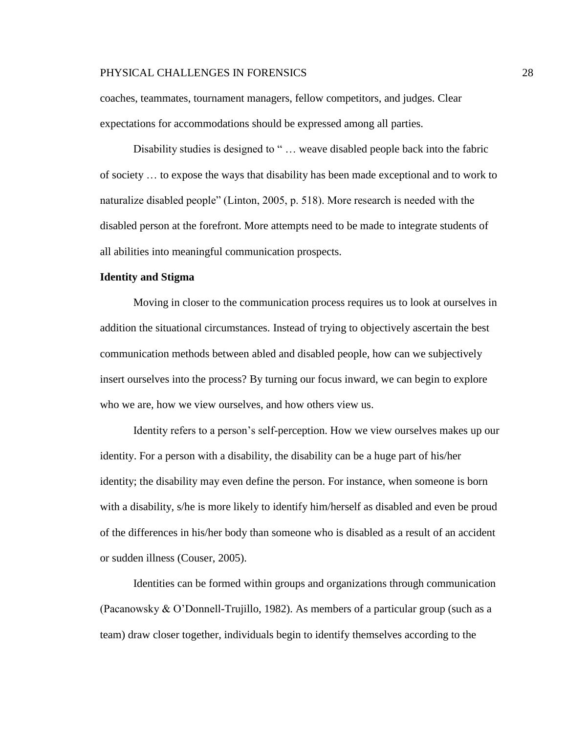coaches, teammates, tournament managers, fellow competitors, and judges. Clear expectations for accommodations should be expressed among all parties.

Disability studies is designed to "... weave disabled people back into the fabric of society … to expose the ways that disability has been made exceptional and to work to naturalize disabled people" (Linton, 2005, p. 518). More research is needed with the disabled person at the forefront. More attempts need to be made to integrate students of all abilities into meaningful communication prospects.

### **Identity and Stigma**

Moving in closer to the communication process requires us to look at ourselves in addition the situational circumstances. Instead of trying to objectively ascertain the best communication methods between abled and disabled people, how can we subjectively insert ourselves into the process? By turning our focus inward, we can begin to explore who we are, how we view ourselves, and how others view us.

Identity refers to a person's self-perception. How we view ourselves makes up our identity. For a person with a disability, the disability can be a huge part of his/her identity; the disability may even define the person. For instance, when someone is born with a disability, s/he is more likely to identify him/herself as disabled and even be proud of the differences in his/her body than someone who is disabled as a result of an accident or sudden illness (Couser, 2005).

Identities can be formed within groups and organizations through communication (Pacanowsky & O'Donnell-Trujillo, 1982). As members of a particular group (such as a team) draw closer together, individuals begin to identify themselves according to the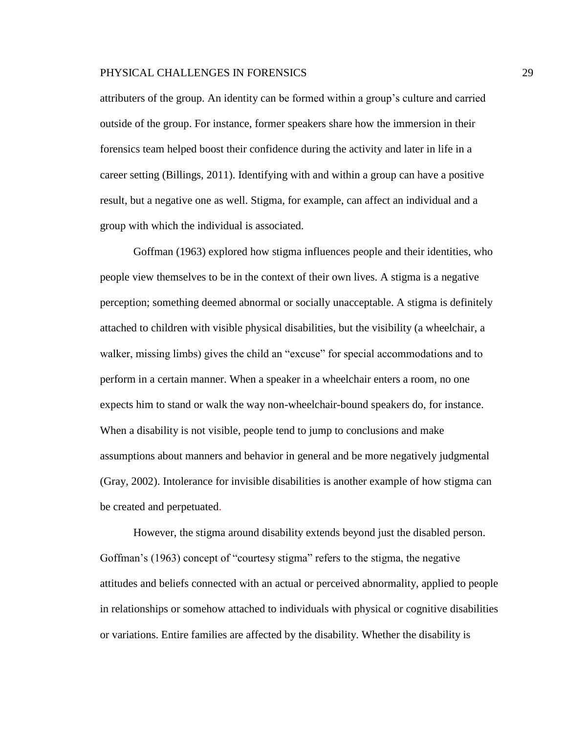attributers of the group. An identity can be formed within a group's culture and carried outside of the group. For instance, former speakers share how the immersion in their forensics team helped boost their confidence during the activity and later in life in a career setting (Billings, 2011). Identifying with and within a group can have a positive result, but a negative one as well. Stigma, for example, can affect an individual and a group with which the individual is associated.

Goffman (1963) explored how stigma influences people and their identities, who people view themselves to be in the context of their own lives. A stigma is a negative perception; something deemed abnormal or socially unacceptable. A stigma is definitely attached to children with visible physical disabilities, but the visibility (a wheelchair, a walker, missing limbs) gives the child an "excuse" for special accommodations and to perform in a certain manner. When a speaker in a wheelchair enters a room, no one expects him to stand or walk the way non-wheelchair-bound speakers do, for instance. When a disability is not visible, people tend to jump to conclusions and make assumptions about manners and behavior in general and be more negatively judgmental (Gray, 2002). Intolerance for invisible disabilities is another example of how stigma can be created and perpetuated.

However, the stigma around disability extends beyond just the disabled person. Goffman's (1963) concept of "courtesy stigma" refers to the stigma, the negative attitudes and beliefs connected with an actual or perceived abnormality, applied to people in relationships or somehow attached to individuals with physical or cognitive disabilities or variations. Entire families are affected by the disability. Whether the disability is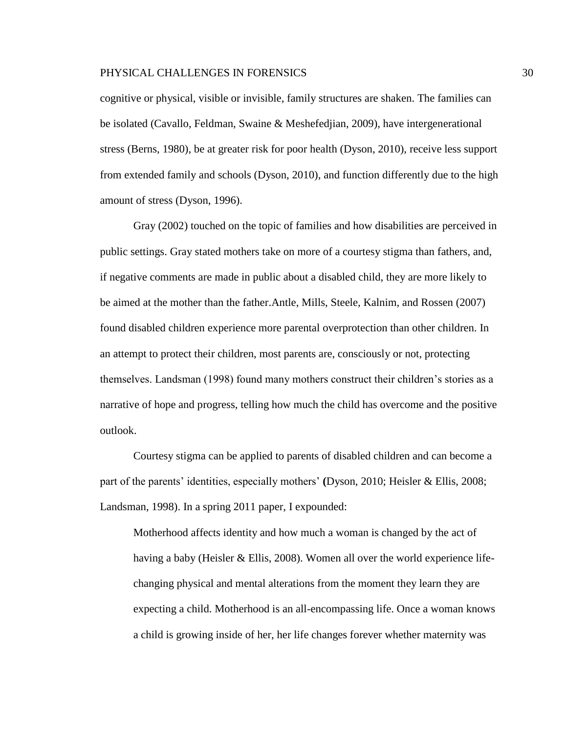cognitive or physical, visible or invisible, family structures are shaken. The families can be isolated (Cavallo, Feldman, Swaine & Meshefedjian, 2009), have intergenerational stress (Berns, 1980), be at greater risk for poor health (Dyson, 2010), receive less support from extended family and schools (Dyson, 2010), and function differently due to the high amount of stress (Dyson, 1996).

Gray (2002) touched on the topic of families and how disabilities are perceived in public settings. Gray stated mothers take on more of a courtesy stigma than fathers, and, if negative comments are made in public about a disabled child, they are more likely to be aimed at the mother than the father.Antle, Mills, Steele, Kalnim, and Rossen (2007) found disabled children experience more parental overprotection than other children. In an attempt to protect their children, most parents are, consciously or not, protecting themselves. Landsman (1998) found many mothers construct their children's stories as a narrative of hope and progress, telling how much the child has overcome and the positive outlook.

Courtesy stigma can be applied to parents of disabled children and can become a part of the parents' identities, especially mothers' **(**Dyson, 2010; Heisler & Ellis, 2008; Landsman, 1998). In a spring 2011 paper, I expounded:

Motherhood affects identity and how much a woman is changed by the act of having a baby (Heisler & Ellis, 2008). Women all over the world experience lifechanging physical and mental alterations from the moment they learn they are expecting a child. Motherhood is an all-encompassing life. Once a woman knows a child is growing inside of her, her life changes forever whether maternity was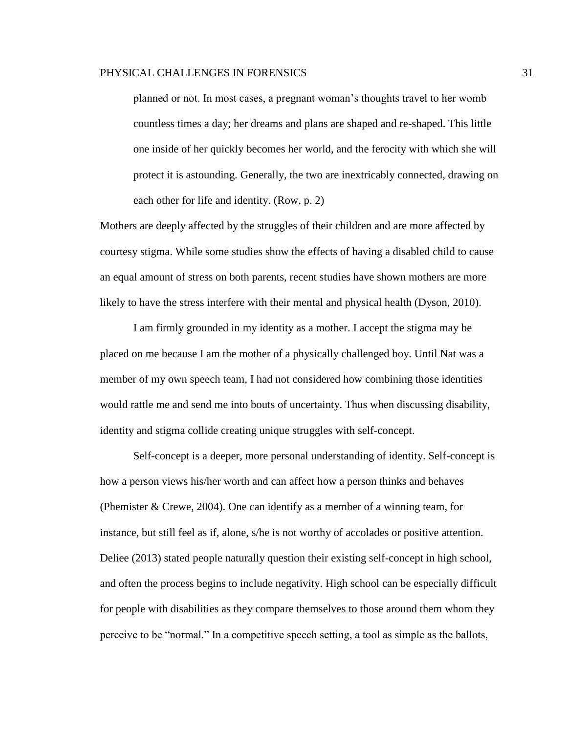planned or not. In most cases, a pregnant woman's thoughts travel to her womb countless times a day; her dreams and plans are shaped and re-shaped. This little one inside of her quickly becomes her world, and the ferocity with which she will protect it is astounding. Generally, the two are inextricably connected, drawing on each other for life and identity. (Row, p. 2)

Mothers are deeply affected by the struggles of their children and are more affected by courtesy stigma. While some studies show the effects of having a disabled child to cause an equal amount of stress on both parents, recent studies have shown mothers are more likely to have the stress interfere with their mental and physical health (Dyson, 2010).

I am firmly grounded in my identity as a mother. I accept the stigma may be placed on me because I am the mother of a physically challenged boy. Until Nat was a member of my own speech team, I had not considered how combining those identities would rattle me and send me into bouts of uncertainty. Thus when discussing disability, identity and stigma collide creating unique struggles with self-concept.

Self-concept is a deeper, more personal understanding of identity. Self-concept is how a person views his/her worth and can affect how a person thinks and behaves (Phemister  $\&$  Crewe, 2004). One can identify as a member of a winning team, for instance, but still feel as if, alone, s/he is not worthy of accolades or positive attention. Deliee (2013) stated people naturally question their existing self-concept in high school, and often the process begins to include negativity. High school can be especially difficult for people with disabilities as they compare themselves to those around them whom they perceive to be "normal." In a competitive speech setting, a tool as simple as the ballots,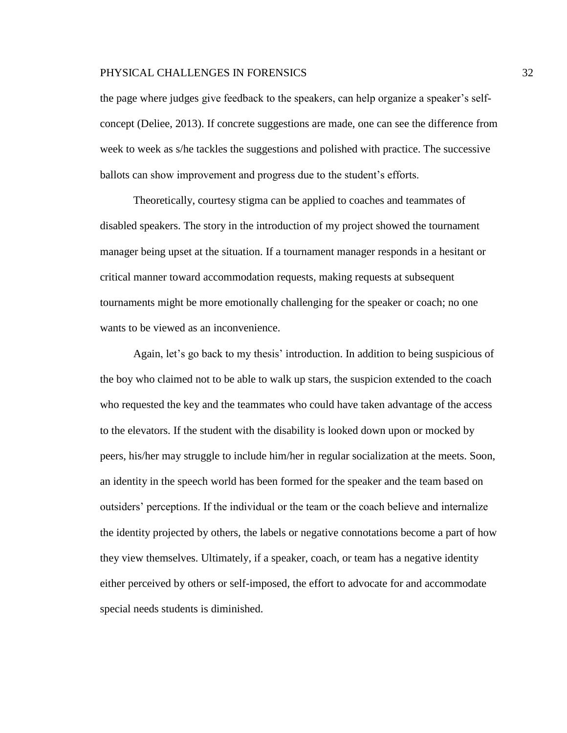the page where judges give feedback to the speakers, can help organize a speaker's selfconcept (Deliee, 2013). If concrete suggestions are made, one can see the difference from week to week as s/he tackles the suggestions and polished with practice. The successive ballots can show improvement and progress due to the student's efforts.

Theoretically, courtesy stigma can be applied to coaches and teammates of disabled speakers. The story in the introduction of my project showed the tournament manager being upset at the situation. If a tournament manager responds in a hesitant or critical manner toward accommodation requests, making requests at subsequent tournaments might be more emotionally challenging for the speaker or coach; no one wants to be viewed as an inconvenience.

Again, let's go back to my thesis' introduction. In addition to being suspicious of the boy who claimed not to be able to walk up stars, the suspicion extended to the coach who requested the key and the teammates who could have taken advantage of the access to the elevators. If the student with the disability is looked down upon or mocked by peers, his/her may struggle to include him/her in regular socialization at the meets. Soon, an identity in the speech world has been formed for the speaker and the team based on outsiders' perceptions. If the individual or the team or the coach believe and internalize the identity projected by others, the labels or negative connotations become a part of how they view themselves. Ultimately, if a speaker, coach, or team has a negative identity either perceived by others or self-imposed, the effort to advocate for and accommodate special needs students is diminished.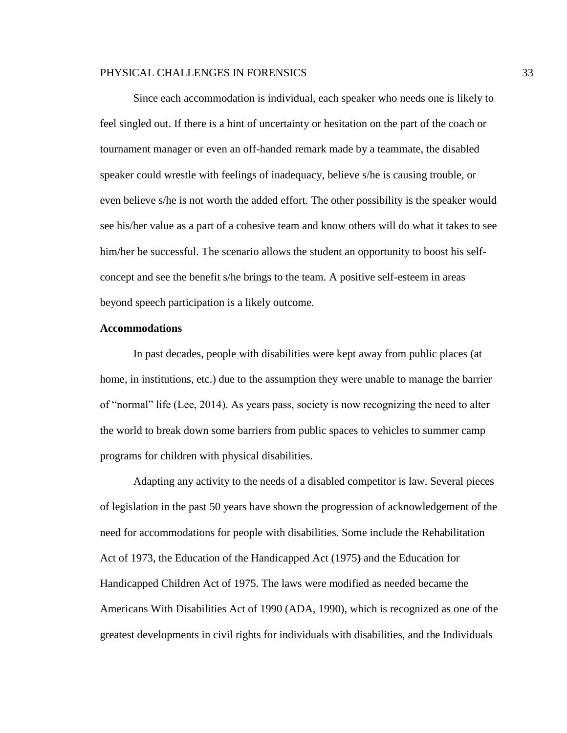Since each accommodation is individual, each speaker who needs one is likely to feel singled out. If there is a hint of uncertainty or hesitation on the part of the coach or tournament manager or even an off-handed remark made by a teammate, the disabled speaker could wrestle with feelings of inadequacy, believe s/he is causing trouble, or even believe s/he is not worth the added effort. The other possibility is the speaker would see his/her value as a part of a cohesive team and know others will do what it takes to see him/her be successful. The scenario allows the student an opportunity to boost his selfconcept and see the benefit s/he brings to the team. A positive self-esteem in areas beyond speech participation is a likely outcome.

#### **Accommodations**

In past decades, people with disabilities were kept away from public places (at home, in institutions, etc.) due to the assumption they were unable to manage the barrier of "normal" life (Lee, 2014). As years pass, society is now recognizing the need to alter the world to break down some barriers from public spaces to vehicles to summer camp programs for children with physical disabilities.

Adapting any activity to the needs of a disabled competitor is law. Several pieces of legislation in the past 50 years have shown the progression of acknowledgement of the need for accommodations for people with disabilities. Some include the Rehabilitation Act of 1973, the Education of the Handicapped Act (1975**)** and the Education for Handicapped Children Act of 1975. The laws were modified as needed became the Americans With Disabilities Act of 1990 (ADA, 1990), which is recognized as one of the greatest developments in civil rights for individuals with disabilities, and the Individuals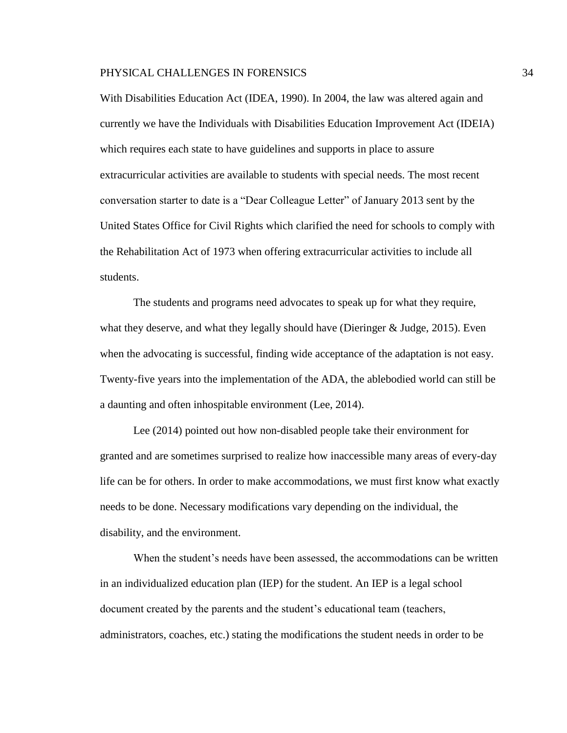With Disabilities Education Act (IDEA, 1990). In 2004, the law was altered again and currently we have the Individuals with Disabilities Education Improvement Act (IDEIA) which requires each state to have guidelines and supports in place to assure extracurricular activities are available to students with special needs. The most recent conversation starter to date is a "Dear Colleague Letter" of January 2013 sent by the United States Office for Civil Rights which clarified the need for schools to comply with the Rehabilitation Act of 1973 when offering extracurricular activities to include all students.

The students and programs need advocates to speak up for what they require, what they deserve, and what they legally should have (Dieringer & Judge, 2015). Even when the advocating is successful, finding wide acceptance of the adaptation is not easy. Twenty-five years into the implementation of the ADA, the ablebodied world can still be a daunting and often inhospitable environment (Lee, 2014).

Lee (2014) pointed out how non-disabled people take their environment for granted and are sometimes surprised to realize how inaccessible many areas of every-day life can be for others. In order to make accommodations, we must first know what exactly needs to be done. Necessary modifications vary depending on the individual, the disability, and the environment.

When the student's needs have been assessed, the accommodations can be written in an individualized education plan (IEP) for the student. An IEP is a legal school document created by the parents and the student's educational team (teachers, administrators, coaches, etc.) stating the modifications the student needs in order to be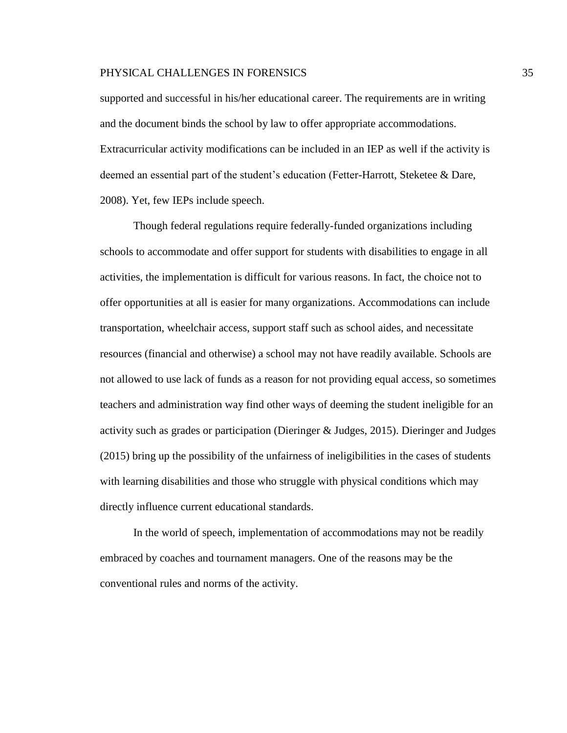supported and successful in his/her educational career. The requirements are in writing and the document binds the school by law to offer appropriate accommodations. Extracurricular activity modifications can be included in an IEP as well if the activity is deemed an essential part of the student's education (Fetter-Harrott, Steketee & Dare, 2008). Yet, few IEPs include speech.

Though federal regulations require federally-funded organizations including schools to accommodate and offer support for students with disabilities to engage in all activities, the implementation is difficult for various reasons. In fact, the choice not to offer opportunities at all is easier for many organizations. Accommodations can include transportation, wheelchair access, support staff such as school aides, and necessitate resources (financial and otherwise) a school may not have readily available. Schools are not allowed to use lack of funds as a reason for not providing equal access, so sometimes teachers and administration way find other ways of deeming the student ineligible for an activity such as grades or participation (Dieringer & Judges, 2015). Dieringer and Judges (2015) bring up the possibility of the unfairness of ineligibilities in the cases of students with learning disabilities and those who struggle with physical conditions which may directly influence current educational standards.

In the world of speech, implementation of accommodations may not be readily embraced by coaches and tournament managers. One of the reasons may be the conventional rules and norms of the activity.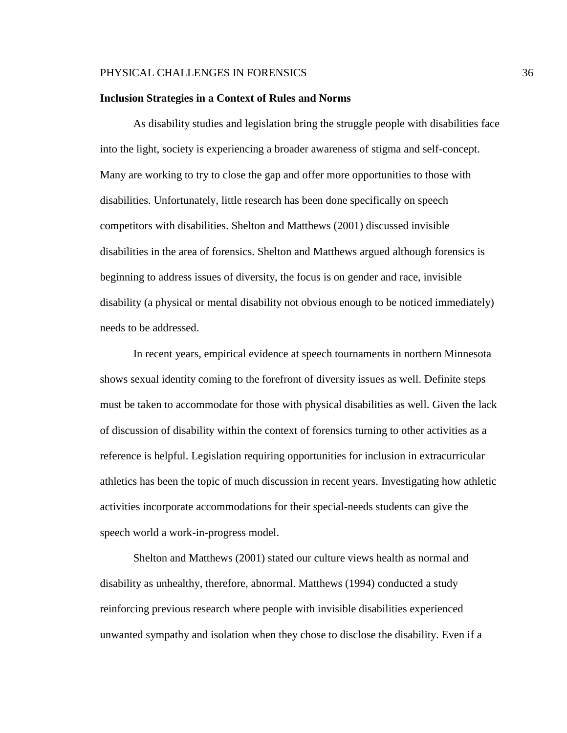#### **Inclusion Strategies in a Context of Rules and Norms**

As disability studies and legislation bring the struggle people with disabilities face into the light, society is experiencing a broader awareness of stigma and self-concept. Many are working to try to close the gap and offer more opportunities to those with disabilities. Unfortunately, little research has been done specifically on speech competitors with disabilities. Shelton and Matthews (2001) discussed invisible disabilities in the area of forensics. Shelton and Matthews argued although forensics is beginning to address issues of diversity, the focus is on gender and race, invisible disability (a physical or mental disability not obvious enough to be noticed immediately) needs to be addressed.

In recent years, empirical evidence at speech tournaments in northern Minnesota shows sexual identity coming to the forefront of diversity issues as well. Definite steps must be taken to accommodate for those with physical disabilities as well. Given the lack of discussion of disability within the context of forensics turning to other activities as a reference is helpful. Legislation requiring opportunities for inclusion in extracurricular athletics has been the topic of much discussion in recent years. Investigating how athletic activities incorporate accommodations for their special-needs students can give the speech world a work-in-progress model.

Shelton and Matthews (2001) stated our culture views health as normal and disability as unhealthy, therefore, abnormal. Matthews (1994) conducted a study reinforcing previous research where people with invisible disabilities experienced unwanted sympathy and isolation when they chose to disclose the disability. Even if a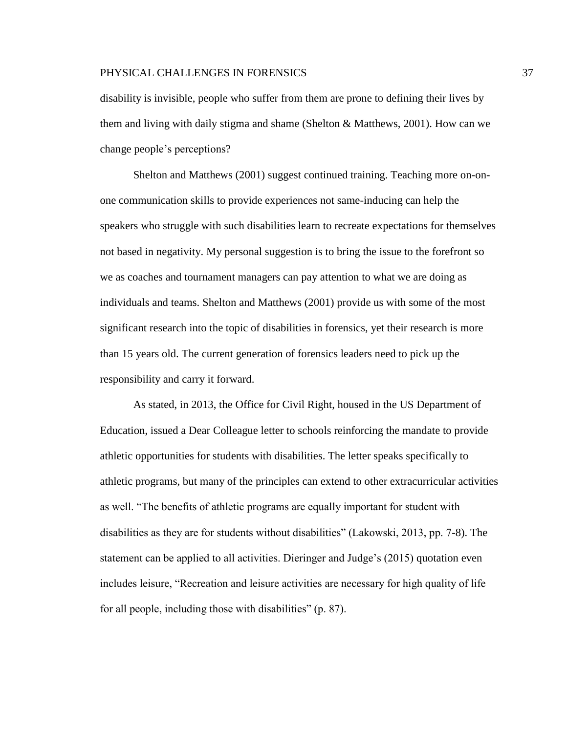disability is invisible, people who suffer from them are prone to defining their lives by them and living with daily stigma and shame (Shelton & Matthews, 2001). How can we change people's perceptions?

Shelton and Matthews (2001) suggest continued training. Teaching more on-onone communication skills to provide experiences not same-inducing can help the speakers who struggle with such disabilities learn to recreate expectations for themselves not based in negativity. My personal suggestion is to bring the issue to the forefront so we as coaches and tournament managers can pay attention to what we are doing as individuals and teams. Shelton and Matthews (2001) provide us with some of the most significant research into the topic of disabilities in forensics, yet their research is more than 15 years old. The current generation of forensics leaders need to pick up the responsibility and carry it forward.

As stated, in 2013, the Office for Civil Right, housed in the US Department of Education, issued a Dear Colleague letter to schools reinforcing the mandate to provide athletic opportunities for students with disabilities. The letter speaks specifically to athletic programs, but many of the principles can extend to other extracurricular activities as well. "The benefits of athletic programs are equally important for student with disabilities as they are for students without disabilities" (Lakowski, 2013, pp. 7-8). The statement can be applied to all activities. Dieringer and Judge's (2015) quotation even includes leisure, "Recreation and leisure activities are necessary for high quality of life for all people, including those with disabilities" (p. 87).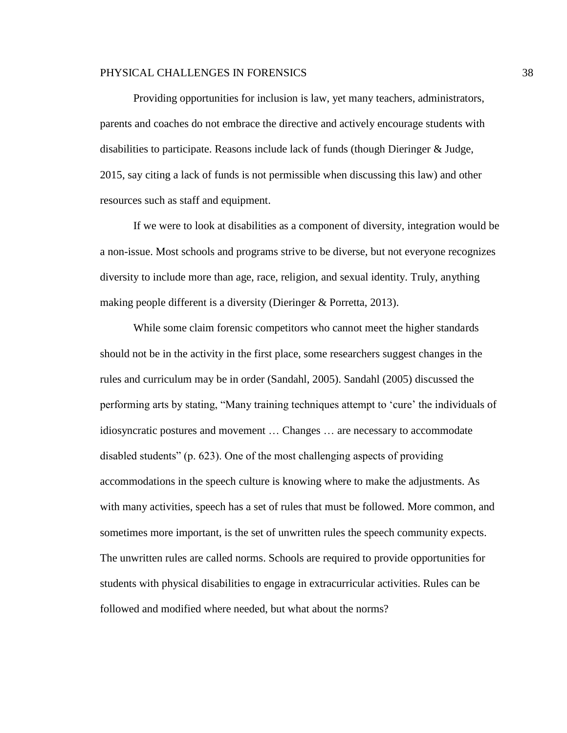Providing opportunities for inclusion is law, yet many teachers, administrators, parents and coaches do not embrace the directive and actively encourage students with disabilities to participate. Reasons include lack of funds (though Dieringer & Judge, 2015, say citing a lack of funds is not permissible when discussing this law) and other resources such as staff and equipment.

If we were to look at disabilities as a component of diversity, integration would be a non-issue. Most schools and programs strive to be diverse, but not everyone recognizes diversity to include more than age, race, religion, and sexual identity. Truly, anything making people different is a diversity (Dieringer & Porretta, 2013).

While some claim forensic competitors who cannot meet the higher standards should not be in the activity in the first place, some researchers suggest changes in the rules and curriculum may be in order (Sandahl, 2005). Sandahl (2005) discussed the performing arts by stating, "Many training techniques attempt to 'cure' the individuals of idiosyncratic postures and movement … Changes … are necessary to accommodate disabled students" (p. 623). One of the most challenging aspects of providing accommodations in the speech culture is knowing where to make the adjustments. As with many activities, speech has a set of rules that must be followed. More common, and sometimes more important, is the set of unwritten rules the speech community expects. The unwritten rules are called norms. Schools are required to provide opportunities for students with physical disabilities to engage in extracurricular activities. Rules can be followed and modified where needed, but what about the norms?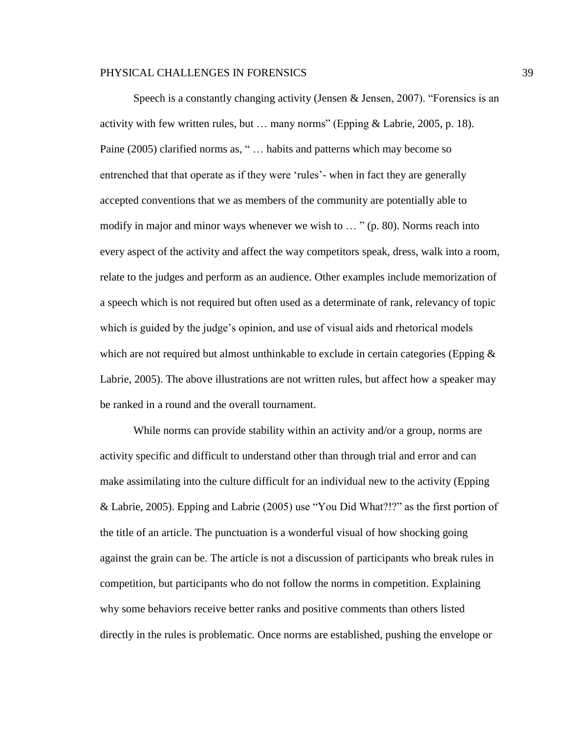Speech is a constantly changing activity (Jensen & Jensen, 2007). "Forensics is an activity with few written rules, but … many norms" (Epping & Labrie, 2005, p. 18). Paine (2005) clarified norms as, " … habits and patterns which may become so entrenched that that operate as if they were 'rules'- when in fact they are generally accepted conventions that we as members of the community are potentially able to modify in major and minor ways whenever we wish to … " (p. 80). Norms reach into every aspect of the activity and affect the way competitors speak, dress, walk into a room, relate to the judges and perform as an audience. Other examples include memorization of a speech which is not required but often used as a determinate of rank, relevancy of topic which is guided by the judge's opinion, and use of visual aids and rhetorical models which are not required but almost unthinkable to exclude in certain categories (Epping  $\&$ Labrie, 2005). The above illustrations are not written rules, but affect how a speaker may be ranked in a round and the overall tournament.

While norms can provide stability within an activity and/or a group, norms are activity specific and difficult to understand other than through trial and error and can make assimilating into the culture difficult for an individual new to the activity (Epping & Labrie, 2005). Epping and Labrie (2005) use "You Did What?!?" as the first portion of the title of an article. The punctuation is a wonderful visual of how shocking going against the grain can be. The article is not a discussion of participants who break rules in competition, but participants who do not follow the norms in competition. Explaining why some behaviors receive better ranks and positive comments than others listed directly in the rules is problematic. Once norms are established, pushing the envelope or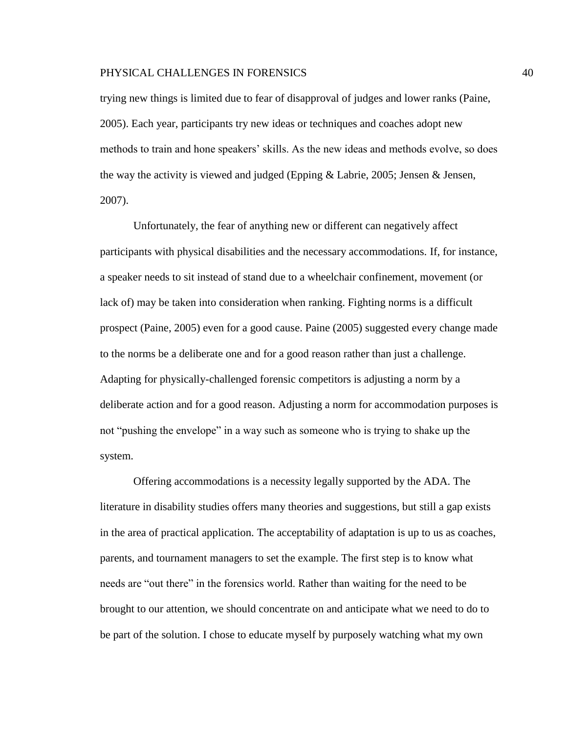trying new things is limited due to fear of disapproval of judges and lower ranks (Paine, 2005). Each year, participants try new ideas or techniques and coaches adopt new methods to train and hone speakers' skills. As the new ideas and methods evolve, so does the way the activity is viewed and judged (Epping & Labrie, 2005; Jensen & Jensen, 2007).

Unfortunately, the fear of anything new or different can negatively affect participants with physical disabilities and the necessary accommodations. If, for instance, a speaker needs to sit instead of stand due to a wheelchair confinement, movement (or lack of) may be taken into consideration when ranking. Fighting norms is a difficult prospect (Paine, 2005) even for a good cause. Paine (2005) suggested every change made to the norms be a deliberate one and for a good reason rather than just a challenge. Adapting for physically-challenged forensic competitors is adjusting a norm by a deliberate action and for a good reason. Adjusting a norm for accommodation purposes is not "pushing the envelope" in a way such as someone who is trying to shake up the system.

Offering accommodations is a necessity legally supported by the ADA. The literature in disability studies offers many theories and suggestions, but still a gap exists in the area of practical application. The acceptability of adaptation is up to us as coaches, parents, and tournament managers to set the example. The first step is to know what needs are "out there" in the forensics world. Rather than waiting for the need to be brought to our attention, we should concentrate on and anticipate what we need to do to be part of the solution. I chose to educate myself by purposely watching what my own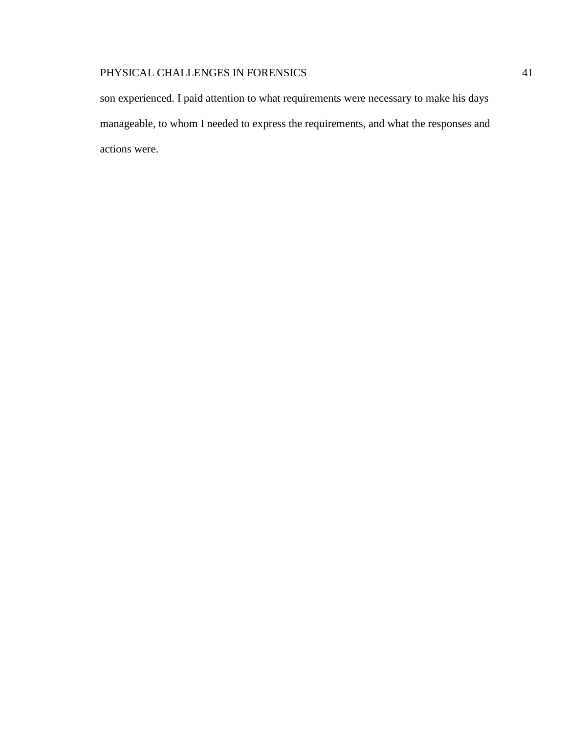son experienced. I paid attention to what requirements were necessary to make his days manageable, to whom I needed to express the requirements, and what the responses and actions were.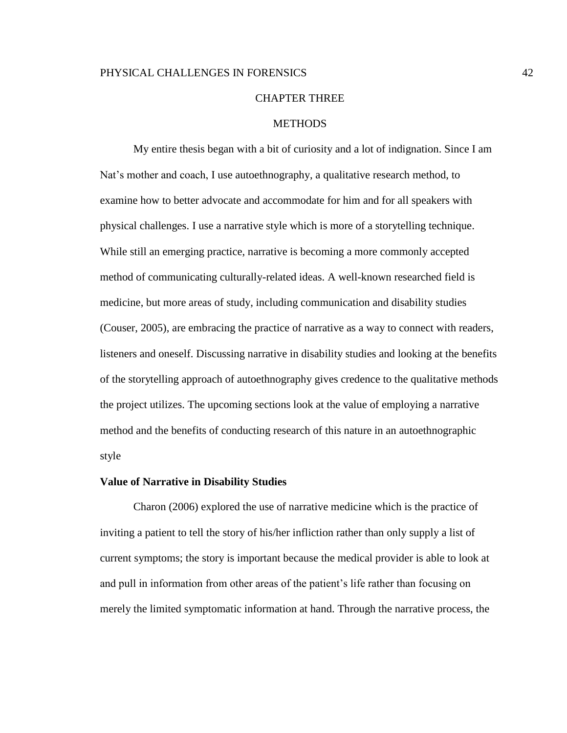#### CHAPTER THREE

#### **METHODS**

My entire thesis began with a bit of curiosity and a lot of indignation. Since I am Nat's mother and coach, I use autoethnography, a qualitative research method, to examine how to better advocate and accommodate for him and for all speakers with physical challenges. I use a narrative style which is more of a storytelling technique. While still an emerging practice, narrative is becoming a more commonly accepted method of communicating culturally-related ideas. A well-known researched field is medicine, but more areas of study, including communication and disability studies (Couser, 2005), are embracing the practice of narrative as a way to connect with readers, listeners and oneself. Discussing narrative in disability studies and looking at the benefits of the storytelling approach of autoethnography gives credence to the qualitative methods the project utilizes. The upcoming sections look at the value of employing a narrative method and the benefits of conducting research of this nature in an autoethnographic style

#### **Value of Narrative in Disability Studies**

Charon (2006) explored the use of narrative medicine which is the practice of inviting a patient to tell the story of his/her infliction rather than only supply a list of current symptoms; the story is important because the medical provider is able to look at and pull in information from other areas of the patient's life rather than focusing on merely the limited symptomatic information at hand. Through the narrative process, the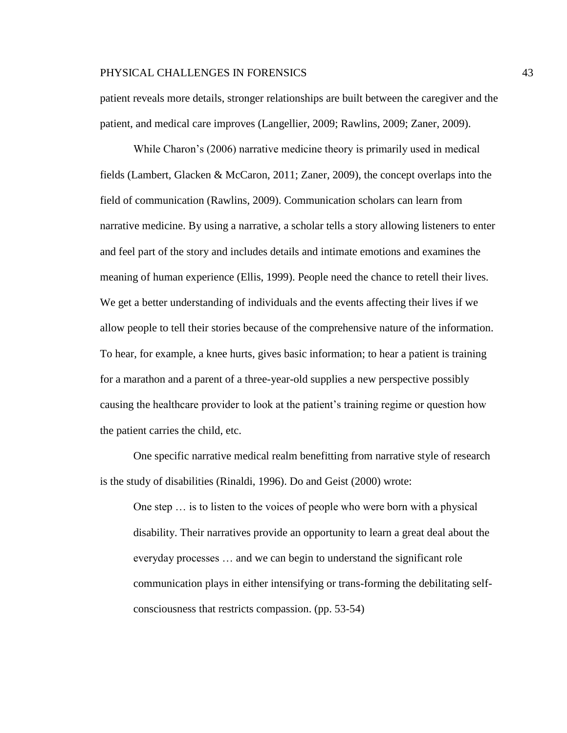patient reveals more details, stronger relationships are built between the caregiver and the patient, and medical care improves (Langellier, 2009; Rawlins, 2009; Zaner, 2009).

While Charon's (2006) narrative medicine theory is primarily used in medical fields (Lambert, Glacken & McCaron, 2011; Zaner, 2009), the concept overlaps into the field of communication (Rawlins, 2009). Communication scholars can learn from narrative medicine. By using a narrative, a scholar tells a story allowing listeners to enter and feel part of the story and includes details and intimate emotions and examines the meaning of human experience (Ellis, 1999). People need the chance to retell their lives. We get a better understanding of individuals and the events affecting their lives if we allow people to tell their stories because of the comprehensive nature of the information. To hear, for example, a knee hurts, gives basic information; to hear a patient is training for a marathon and a parent of a three-year-old supplies a new perspective possibly causing the healthcare provider to look at the patient's training regime or question how the patient carries the child, etc.

One specific narrative medical realm benefitting from narrative style of research is the study of disabilities (Rinaldi, 1996). Do and Geist (2000) wrote:

One step … is to listen to the voices of people who were born with a physical disability. Their narratives provide an opportunity to learn a great deal about the everyday processes … and we can begin to understand the significant role communication plays in either intensifying or trans-forming the debilitating selfconsciousness that restricts compassion. (pp. 53-54)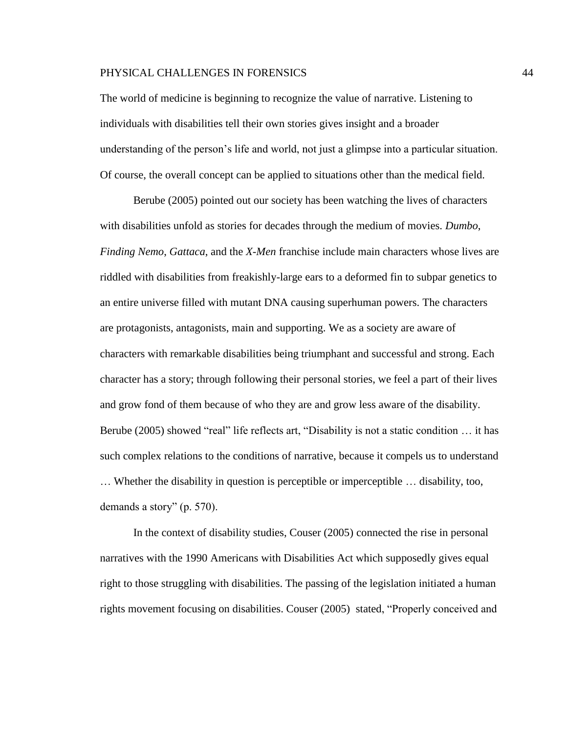The world of medicine is beginning to recognize the value of narrative. Listening to individuals with disabilities tell their own stories gives insight and a broader understanding of the person's life and world, not just a glimpse into a particular situation. Of course, the overall concept can be applied to situations other than the medical field.

Berube (2005) pointed out our society has been watching the lives of characters with disabilities unfold as stories for decades through the medium of movies. *Dumbo*, *Finding Nemo*, *Gattaca*, and the *X*-*Men* franchise include main characters whose lives are riddled with disabilities from freakishly-large ears to a deformed fin to subpar genetics to an entire universe filled with mutant DNA causing superhuman powers. The characters are protagonists, antagonists, main and supporting. We as a society are aware of characters with remarkable disabilities being triumphant and successful and strong. Each character has a story; through following their personal stories, we feel a part of their lives and grow fond of them because of who they are and grow less aware of the disability. Berube (2005) showed "real" life reflects art, "Disability is not a static condition … it has such complex relations to the conditions of narrative, because it compels us to understand … Whether the disability in question is perceptible or imperceptible … disability, too, demands a story" (p. 570).

In the context of disability studies, Couser (2005) connected the rise in personal narratives with the 1990 Americans with Disabilities Act which supposedly gives equal right to those struggling with disabilities. The passing of the legislation initiated a human rights movement focusing on disabilities. Couser (2005) stated, "Properly conceived and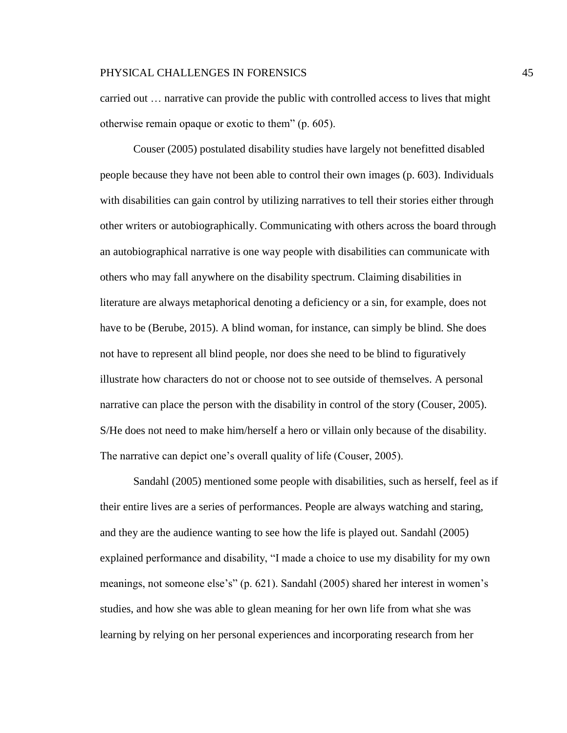carried out … narrative can provide the public with controlled access to lives that might otherwise remain opaque or exotic to them" (p. 605).

Couser (2005) postulated disability studies have largely not benefitted disabled people because they have not been able to control their own images (p. 603). Individuals with disabilities can gain control by utilizing narratives to tell their stories either through other writers or autobiographically. Communicating with others across the board through an autobiographical narrative is one way people with disabilities can communicate with others who may fall anywhere on the disability spectrum. Claiming disabilities in literature are always metaphorical denoting a deficiency or a sin, for example, does not have to be (Berube, 2015). A blind woman, for instance, can simply be blind. She does not have to represent all blind people, nor does she need to be blind to figuratively illustrate how characters do not or choose not to see outside of themselves. A personal narrative can place the person with the disability in control of the story (Couser, 2005). S/He does not need to make him/herself a hero or villain only because of the disability. The narrative can depict one's overall quality of life (Couser, 2005).

Sandahl (2005) mentioned some people with disabilities, such as herself, feel as if their entire lives are a series of performances. People are always watching and staring, and they are the audience wanting to see how the life is played out. Sandahl (2005) explained performance and disability, "I made a choice to use my disability for my own meanings, not someone else's" (p. 621). Sandahl (2005) shared her interest in women's studies, and how she was able to glean meaning for her own life from what she was learning by relying on her personal experiences and incorporating research from her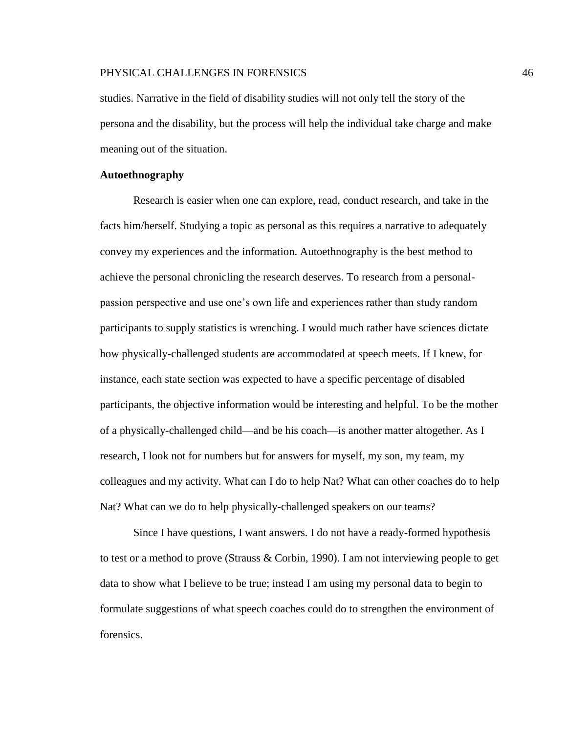studies. Narrative in the field of disability studies will not only tell the story of the persona and the disability, but the process will help the individual take charge and make meaning out of the situation.

## **Autoethnography**

Research is easier when one can explore, read, conduct research, and take in the facts him/herself. Studying a topic as personal as this requires a narrative to adequately convey my experiences and the information. Autoethnography is the best method to achieve the personal chronicling the research deserves. To research from a personalpassion perspective and use one's own life and experiences rather than study random participants to supply statistics is wrenching. I would much rather have sciences dictate how physically-challenged students are accommodated at speech meets. If I knew, for instance, each state section was expected to have a specific percentage of disabled participants, the objective information would be interesting and helpful. To be the mother of a physically-challenged child—and be his coach—is another matter altogether. As I research, I look not for numbers but for answers for myself, my son, my team, my colleagues and my activity. What can I do to help Nat? What can other coaches do to help Nat? What can we do to help physically-challenged speakers on our teams?

Since I have questions, I want answers. I do not have a ready-formed hypothesis to test or a method to prove (Strauss & Corbin, 1990). I am not interviewing people to get data to show what I believe to be true; instead I am using my personal data to begin to formulate suggestions of what speech coaches could do to strengthen the environment of forensics.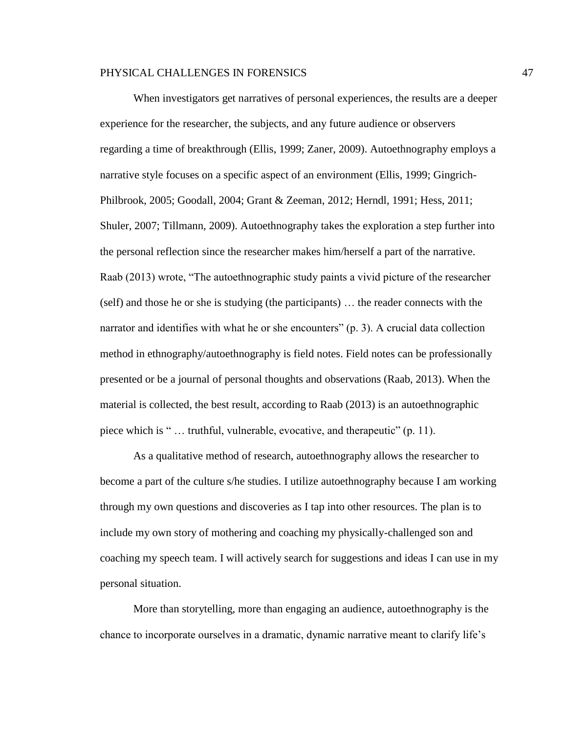When investigators get narratives of personal experiences, the results are a deeper experience for the researcher, the subjects, and any future audience or observers regarding a time of breakthrough (Ellis, 1999; Zaner, 2009). Autoethnography employs a narrative style focuses on a specific aspect of an environment (Ellis, 1999; Gingrich-Philbrook, 2005; Goodall, 2004; Grant & Zeeman, 2012; Herndl, 1991; Hess, 2011; Shuler, 2007; Tillmann, 2009). Autoethnography takes the exploration a step further into the personal reflection since the researcher makes him/herself a part of the narrative. Raab (2013) wrote, "The autoethnographic study paints a vivid picture of the researcher (self) and those he or she is studying (the participants) … the reader connects with the narrator and identifies with what he or she encounters" (p. 3). A crucial data collection method in ethnography/autoethnography is field notes. Field notes can be professionally presented or be a journal of personal thoughts and observations (Raab, 2013). When the material is collected, the best result, according to Raab (2013) is an autoethnographic piece which is " … truthful, vulnerable, evocative, and therapeutic" (p. 11).

As a qualitative method of research, autoethnography allows the researcher to become a part of the culture s/he studies. I utilize autoethnography because I am working through my own questions and discoveries as I tap into other resources. The plan is to include my own story of mothering and coaching my physically-challenged son and coaching my speech team. I will actively search for suggestions and ideas I can use in my personal situation.

More than storytelling, more than engaging an audience, autoethnography is the chance to incorporate ourselves in a dramatic, dynamic narrative meant to clarify life's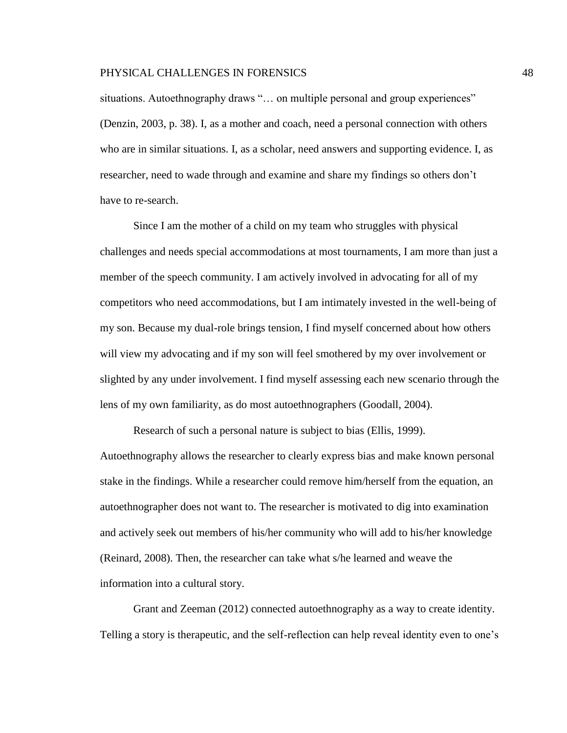situations. Autoethnography draws "... on multiple personal and group experiences" (Denzin, 2003, p. 38). I, as a mother and coach, need a personal connection with others who are in similar situations. I, as a scholar, need answers and supporting evidence. I, as researcher, need to wade through and examine and share my findings so others don't have to re-search.

Since I am the mother of a child on my team who struggles with physical challenges and needs special accommodations at most tournaments, I am more than just a member of the speech community. I am actively involved in advocating for all of my competitors who need accommodations, but I am intimately invested in the well-being of my son. Because my dual-role brings tension, I find myself concerned about how others will view my advocating and if my son will feel smothered by my over involvement or slighted by any under involvement. I find myself assessing each new scenario through the lens of my own familiarity, as do most autoethnographers (Goodall, 2004).

Research of such a personal nature is subject to bias (Ellis, 1999).

Autoethnography allows the researcher to clearly express bias and make known personal stake in the findings. While a researcher could remove him/herself from the equation, an autoethnographer does not want to. The researcher is motivated to dig into examination and actively seek out members of his/her community who will add to his/her knowledge (Reinard, 2008). Then, the researcher can take what s/he learned and weave the information into a cultural story.

Grant and Zeeman (2012) connected autoethnography as a way to create identity. Telling a story is therapeutic, and the self-reflection can help reveal identity even to one's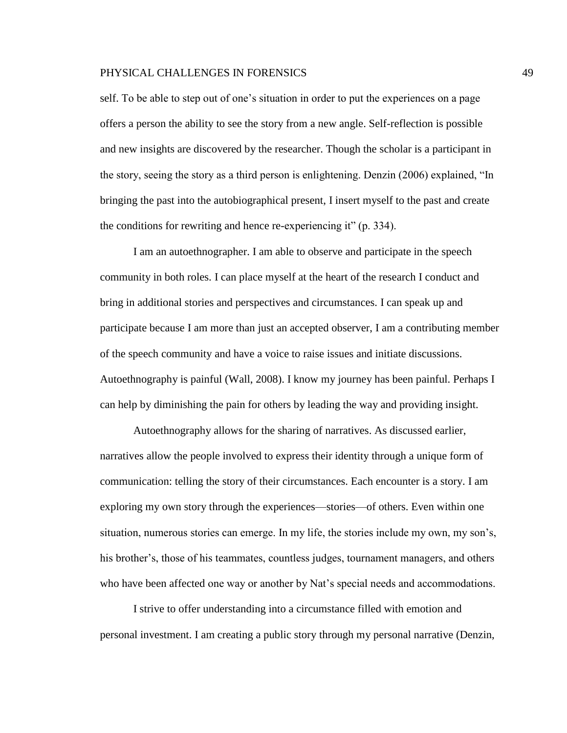self. To be able to step out of one's situation in order to put the experiences on a page offers a person the ability to see the story from a new angle. Self-reflection is possible and new insights are discovered by the researcher. Though the scholar is a participant in the story, seeing the story as a third person is enlightening. Denzin (2006) explained, "In bringing the past into the autobiographical present, I insert myself to the past and create the conditions for rewriting and hence re-experiencing it" (p. 334).

I am an autoethnographer. I am able to observe and participate in the speech community in both roles. I can place myself at the heart of the research I conduct and bring in additional stories and perspectives and circumstances. I can speak up and participate because I am more than just an accepted observer, I am a contributing member of the speech community and have a voice to raise issues and initiate discussions. Autoethnography is painful (Wall, 2008). I know my journey has been painful. Perhaps I can help by diminishing the pain for others by leading the way and providing insight.

Autoethnography allows for the sharing of narratives. As discussed earlier, narratives allow the people involved to express their identity through a unique form of communication: telling the story of their circumstances. Each encounter is a story. I am exploring my own story through the experiences—stories—of others. Even within one situation, numerous stories can emerge. In my life, the stories include my own, my son's, his brother's, those of his teammates, countless judges, tournament managers, and others who have been affected one way or another by Nat's special needs and accommodations.

I strive to offer understanding into a circumstance filled with emotion and personal investment. I am creating a public story through my personal narrative (Denzin,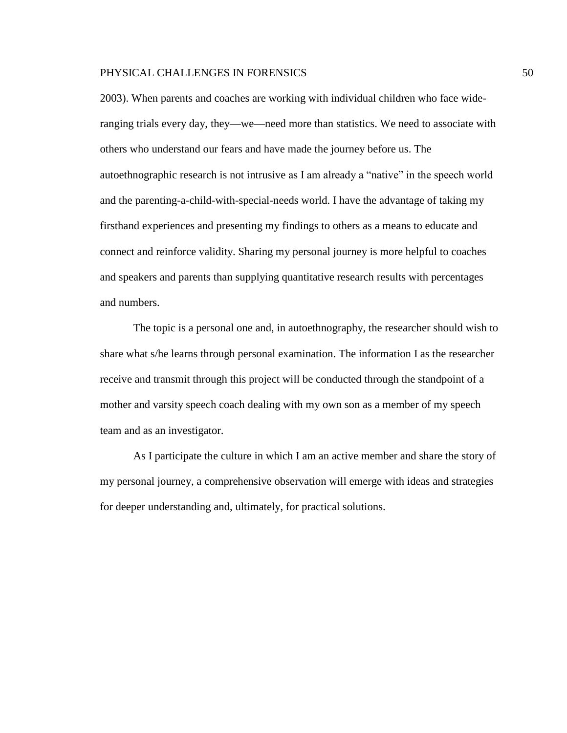2003). When parents and coaches are working with individual children who face wideranging trials every day, they—we—need more than statistics. We need to associate with others who understand our fears and have made the journey before us. The autoethnographic research is not intrusive as I am already a "native" in the speech world and the parenting-a-child-with-special-needs world. I have the advantage of taking my firsthand experiences and presenting my findings to others as a means to educate and connect and reinforce validity. Sharing my personal journey is more helpful to coaches and speakers and parents than supplying quantitative research results with percentages and numbers.

The topic is a personal one and, in autoethnography, the researcher should wish to share what s/he learns through personal examination. The information I as the researcher receive and transmit through this project will be conducted through the standpoint of a mother and varsity speech coach dealing with my own son as a member of my speech team and as an investigator.

As I participate the culture in which I am an active member and share the story of my personal journey, a comprehensive observation will emerge with ideas and strategies for deeper understanding and, ultimately, for practical solutions.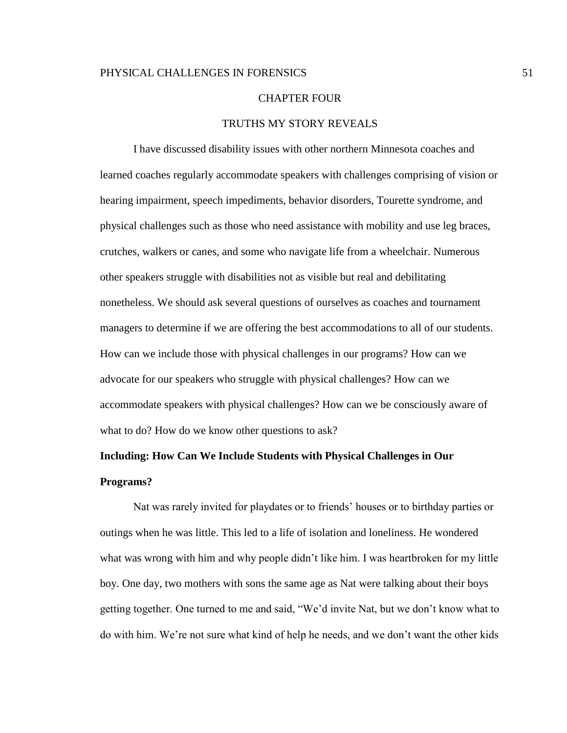#### CHAPTER FOUR

## TRUTHS MY STORY REVEALS

I have discussed disability issues with other northern Minnesota coaches and learned coaches regularly accommodate speakers with challenges comprising of vision or hearing impairment, speech impediments, behavior disorders, Tourette syndrome, and physical challenges such as those who need assistance with mobility and use leg braces, crutches, walkers or canes, and some who navigate life from a wheelchair. Numerous other speakers struggle with disabilities not as visible but real and debilitating nonetheless. We should ask several questions of ourselves as coaches and tournament managers to determine if we are offering the best accommodations to all of our students. How can we include those with physical challenges in our programs? How can we advocate for our speakers who struggle with physical challenges? How can we accommodate speakers with physical challenges? How can we be consciously aware of what to do? How do we know other questions to ask?

# **Including: How Can We Include Students with Physical Challenges in Our Programs?**

Nat was rarely invited for playdates or to friends' houses or to birthday parties or outings when he was little. This led to a life of isolation and loneliness. He wondered what was wrong with him and why people didn't like him. I was heartbroken for my little boy. One day, two mothers with sons the same age as Nat were talking about their boys getting together. One turned to me and said, "We'd invite Nat, but we don't know what to do with him. We're not sure what kind of help he needs, and we don't want the other kids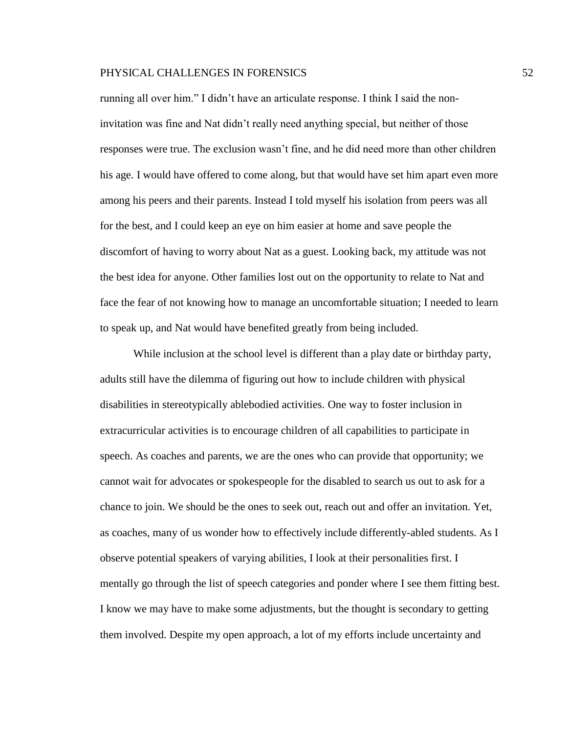running all over him." I didn't have an articulate response. I think I said the noninvitation was fine and Nat didn't really need anything special, but neither of those responses were true. The exclusion wasn't fine, and he did need more than other children his age. I would have offered to come along, but that would have set him apart even more among his peers and their parents. Instead I told myself his isolation from peers was all for the best, and I could keep an eye on him easier at home and save people the discomfort of having to worry about Nat as a guest. Looking back, my attitude was not the best idea for anyone. Other families lost out on the opportunity to relate to Nat and face the fear of not knowing how to manage an uncomfortable situation; I needed to learn to speak up, and Nat would have benefited greatly from being included.

While inclusion at the school level is different than a play date or birthday party, adults still have the dilemma of figuring out how to include children with physical disabilities in stereotypically ablebodied activities. One way to foster inclusion in extracurricular activities is to encourage children of all capabilities to participate in speech. As coaches and parents, we are the ones who can provide that opportunity; we cannot wait for advocates or spokespeople for the disabled to search us out to ask for a chance to join. We should be the ones to seek out, reach out and offer an invitation. Yet, as coaches, many of us wonder how to effectively include differently-abled students. As I observe potential speakers of varying abilities, I look at their personalities first. I mentally go through the list of speech categories and ponder where I see them fitting best. I know we may have to make some adjustments, but the thought is secondary to getting them involved. Despite my open approach, a lot of my efforts include uncertainty and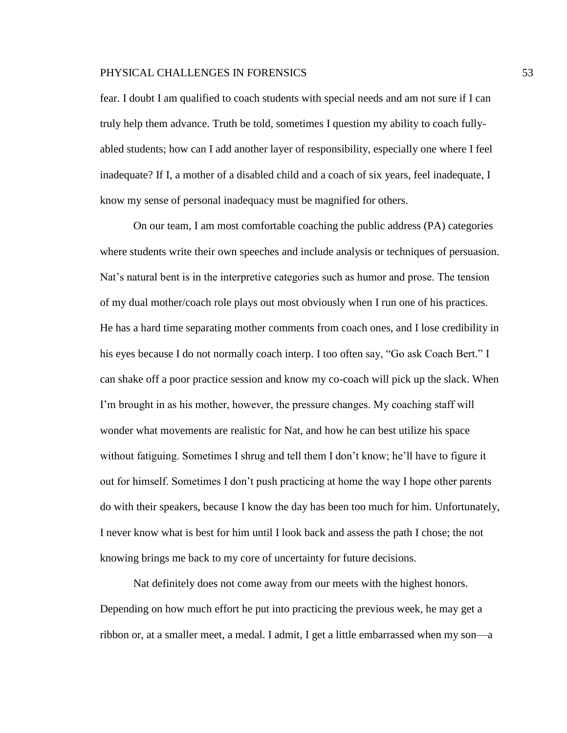fear. I doubt I am qualified to coach students with special needs and am not sure if I can truly help them advance. Truth be told, sometimes I question my ability to coach fullyabled students; how can I add another layer of responsibility, especially one where I feel inadequate? If I, a mother of a disabled child and a coach of six years, feel inadequate, I know my sense of personal inadequacy must be magnified for others.

On our team, I am most comfortable coaching the public address (PA) categories where students write their own speeches and include analysis or techniques of persuasion. Nat's natural bent is in the interpretive categories such as humor and prose. The tension of my dual mother/coach role plays out most obviously when I run one of his practices. He has a hard time separating mother comments from coach ones, and I lose credibility in his eyes because I do not normally coach interp. I too often say, "Go ask Coach Bert." I can shake off a poor practice session and know my co-coach will pick up the slack. When I'm brought in as his mother, however, the pressure changes. My coaching staff will wonder what movements are realistic for Nat, and how he can best utilize his space without fatiguing. Sometimes I shrug and tell them I don't know; he'll have to figure it out for himself. Sometimes I don't push practicing at home the way I hope other parents do with their speakers, because I know the day has been too much for him. Unfortunately, I never know what is best for him until I look back and assess the path I chose; the not knowing brings me back to my core of uncertainty for future decisions.

Nat definitely does not come away from our meets with the highest honors. Depending on how much effort he put into practicing the previous week, he may get a ribbon or, at a smaller meet, a medal. I admit, I get a little embarrassed when my son—a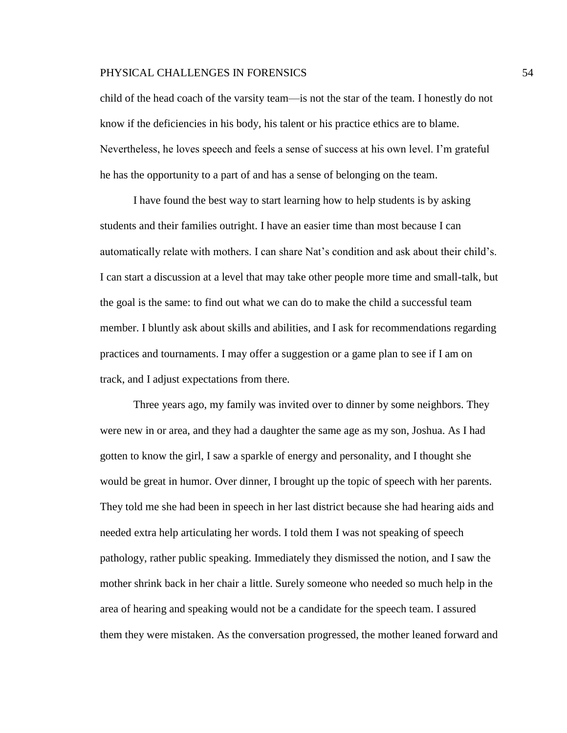child of the head coach of the varsity team—is not the star of the team. I honestly do not know if the deficiencies in his body, his talent or his practice ethics are to blame. Nevertheless, he loves speech and feels a sense of success at his own level. I'm grateful he has the opportunity to a part of and has a sense of belonging on the team.

I have found the best way to start learning how to help students is by asking students and their families outright. I have an easier time than most because I can automatically relate with mothers. I can share Nat's condition and ask about their child's. I can start a discussion at a level that may take other people more time and small-talk, but the goal is the same: to find out what we can do to make the child a successful team member. I bluntly ask about skills and abilities, and I ask for recommendations regarding practices and tournaments. I may offer a suggestion or a game plan to see if I am on track, and I adjust expectations from there.

Three years ago, my family was invited over to dinner by some neighbors. They were new in or area, and they had a daughter the same age as my son, Joshua. As I had gotten to know the girl, I saw a sparkle of energy and personality, and I thought she would be great in humor. Over dinner, I brought up the topic of speech with her parents. They told me she had been in speech in her last district because she had hearing aids and needed extra help articulating her words. I told them I was not speaking of speech pathology, rather public speaking. Immediately they dismissed the notion, and I saw the mother shrink back in her chair a little. Surely someone who needed so much help in the area of hearing and speaking would not be a candidate for the speech team. I assured them they were mistaken. As the conversation progressed, the mother leaned forward and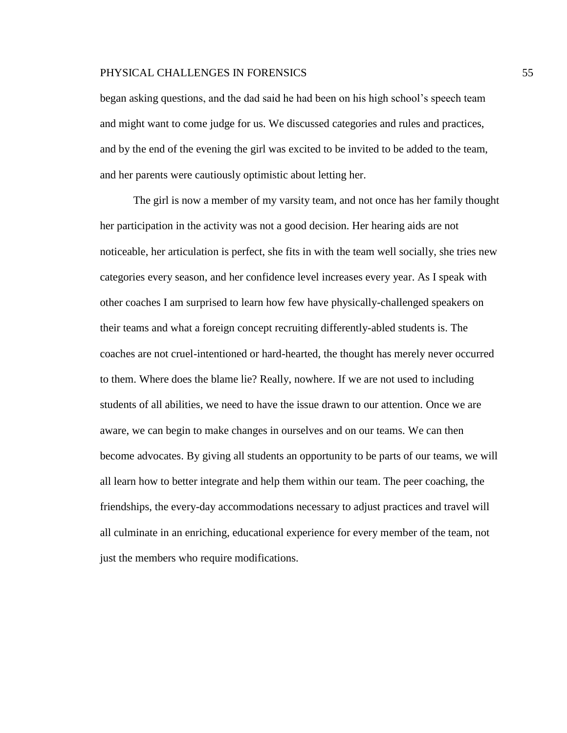began asking questions, and the dad said he had been on his high school's speech team and might want to come judge for us. We discussed categories and rules and practices, and by the end of the evening the girl was excited to be invited to be added to the team, and her parents were cautiously optimistic about letting her.

The girl is now a member of my varsity team, and not once has her family thought her participation in the activity was not a good decision. Her hearing aids are not noticeable, her articulation is perfect, she fits in with the team well socially, she tries new categories every season, and her confidence level increases every year. As I speak with other coaches I am surprised to learn how few have physically-challenged speakers on their teams and what a foreign concept recruiting differently-abled students is. The coaches are not cruel-intentioned or hard-hearted, the thought has merely never occurred to them. Where does the blame lie? Really, nowhere. If we are not used to including students of all abilities, we need to have the issue drawn to our attention. Once we are aware, we can begin to make changes in ourselves and on our teams. We can then become advocates. By giving all students an opportunity to be parts of our teams, we will all learn how to better integrate and help them within our team. The peer coaching, the friendships, the every-day accommodations necessary to adjust practices and travel will all culminate in an enriching, educational experience for every member of the team, not just the members who require modifications.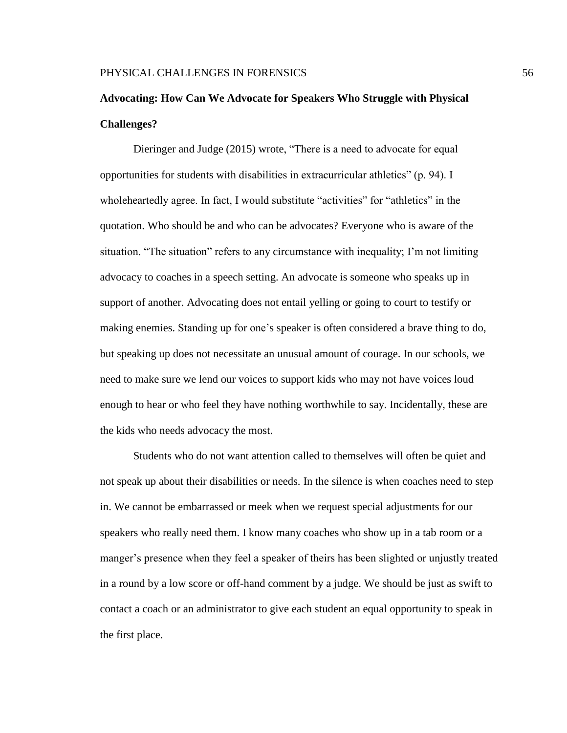## **Advocating: How Can We Advocate for Speakers Who Struggle with Physical Challenges?**

Dieringer and Judge (2015) wrote, "There is a need to advocate for equal opportunities for students with disabilities in extracurricular athletics" (p. 94). I wholeheartedly agree. In fact, I would substitute "activities" for "athletics" in the quotation. Who should be and who can be advocates? Everyone who is aware of the situation. "The situation" refers to any circumstance with inequality; I'm not limiting advocacy to coaches in a speech setting. An advocate is someone who speaks up in support of another. Advocating does not entail yelling or going to court to testify or making enemies. Standing up for one's speaker is often considered a brave thing to do, but speaking up does not necessitate an unusual amount of courage. In our schools, we need to make sure we lend our voices to support kids who may not have voices loud enough to hear or who feel they have nothing worthwhile to say. Incidentally, these are the kids who needs advocacy the most.

Students who do not want attention called to themselves will often be quiet and not speak up about their disabilities or needs. In the silence is when coaches need to step in. We cannot be embarrassed or meek when we request special adjustments for our speakers who really need them. I know many coaches who show up in a tab room or a manger's presence when they feel a speaker of theirs has been slighted or unjustly treated in a round by a low score or off-hand comment by a judge. We should be just as swift to contact a coach or an administrator to give each student an equal opportunity to speak in the first place.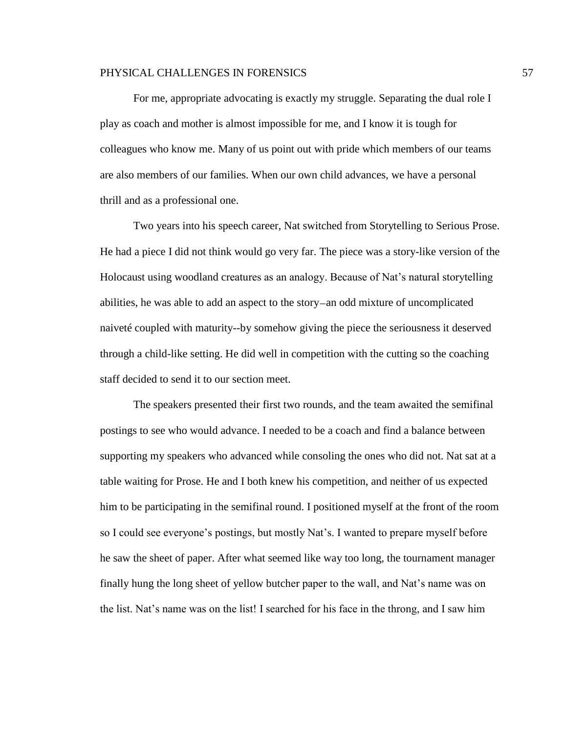For me, appropriate advocating is exactly my struggle. Separating the dual role I play as coach and mother is almost impossible for me, and I know it is tough for colleagues who know me. Many of us point out with pride which members of our teams are also members of our families. When our own child advances, we have a personal thrill and as a professional one.

Two years into his speech career, Nat switched from Storytelling to Serious Prose. He had a piece I did not think would go very far. The piece was a story-like version of the Holocaust using woodland creatures as an analogy. Because of Nat's natural storytelling abilities, he was able to add an aspect to the story—an odd mixture of uncomplicated naiveté coupled with maturity--by somehow giving the piece the seriousness it deserved through a child-like setting. He did well in competition with the cutting so the coaching staff decided to send it to our section meet.

The speakers presented their first two rounds, and the team awaited the semifinal postings to see who would advance. I needed to be a coach and find a balance between supporting my speakers who advanced while consoling the ones who did not. Nat sat at a table waiting for Prose. He and I both knew his competition, and neither of us expected him to be participating in the semifinal round. I positioned myself at the front of the room so I could see everyone's postings, but mostly Nat's. I wanted to prepare myself before he saw the sheet of paper. After what seemed like way too long, the tournament manager finally hung the long sheet of yellow butcher paper to the wall, and Nat's name was on the list. Nat's name was on the list! I searched for his face in the throng, and I saw him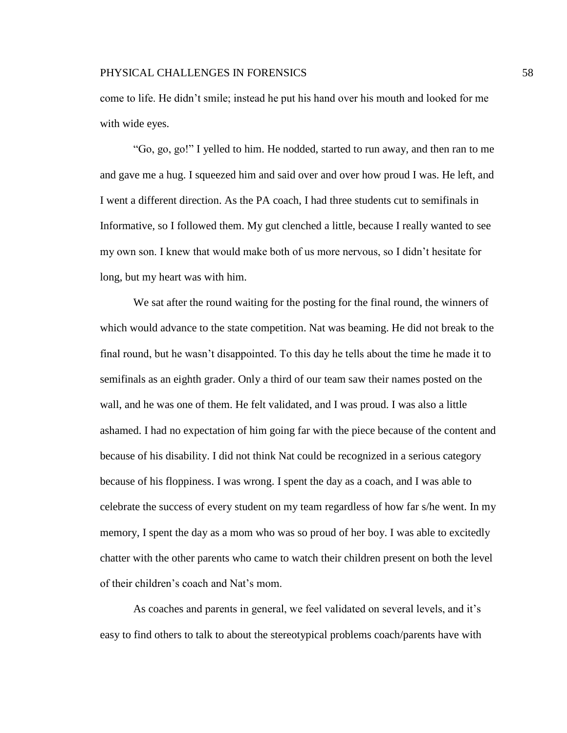come to life. He didn't smile; instead he put his hand over his mouth and looked for me with wide eyes.

"Go, go, go!" I yelled to him. He nodded, started to run away, and then ran to me and gave me a hug. I squeezed him and said over and over how proud I was. He left, and I went a different direction. As the PA coach, I had three students cut to semifinals in Informative, so I followed them. My gut clenched a little, because I really wanted to see my own son. I knew that would make both of us more nervous, so I didn't hesitate for long, but my heart was with him.

We sat after the round waiting for the posting for the final round, the winners of which would advance to the state competition. Nat was beaming. He did not break to the final round, but he wasn't disappointed. To this day he tells about the time he made it to semifinals as an eighth grader. Only a third of our team saw their names posted on the wall, and he was one of them. He felt validated, and I was proud. I was also a little ashamed. I had no expectation of him going far with the piece because of the content and because of his disability. I did not think Nat could be recognized in a serious category because of his floppiness. I was wrong. I spent the day as a coach, and I was able to celebrate the success of every student on my team regardless of how far s/he went. In my memory, I spent the day as a mom who was so proud of her boy. I was able to excitedly chatter with the other parents who came to watch their children present on both the level of their children's coach and Nat's mom.

As coaches and parents in general, we feel validated on several levels, and it's easy to find others to talk to about the stereotypical problems coach/parents have with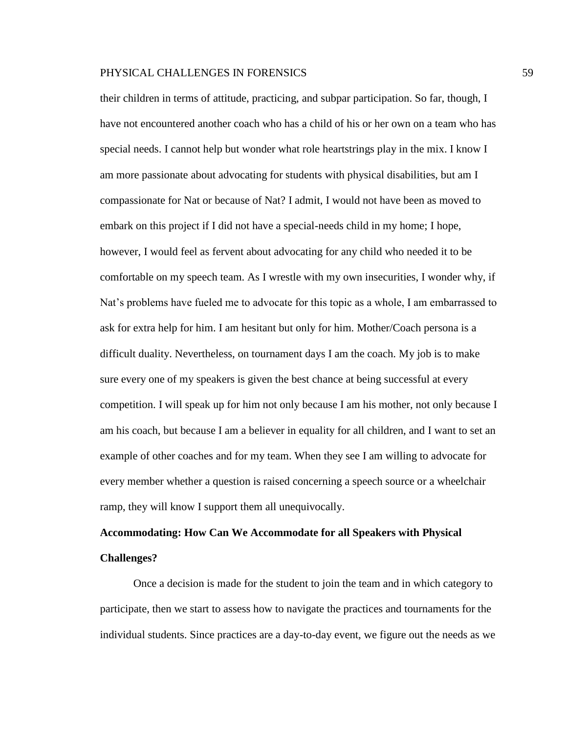their children in terms of attitude, practicing, and subpar participation. So far, though, I have not encountered another coach who has a child of his or her own on a team who has special needs. I cannot help but wonder what role heartstrings play in the mix. I know I am more passionate about advocating for students with physical disabilities, but am I compassionate for Nat or because of Nat? I admit, I would not have been as moved to embark on this project if I did not have a special-needs child in my home; I hope, however, I would feel as fervent about advocating for any child who needed it to be comfortable on my speech team. As I wrestle with my own insecurities, I wonder why, if Nat's problems have fueled me to advocate for this topic as a whole, I am embarrassed to ask for extra help for him. I am hesitant but only for him. Mother/Coach persona is a difficult duality. Nevertheless, on tournament days I am the coach. My job is to make sure every one of my speakers is given the best chance at being successful at every competition. I will speak up for him not only because I am his mother, not only because I am his coach, but because I am a believer in equality for all children, and I want to set an example of other coaches and for my team. When they see I am willing to advocate for every member whether a question is raised concerning a speech source or a wheelchair ramp, they will know I support them all unequivocally.

## **Accommodating: How Can We Accommodate for all Speakers with Physical Challenges?**

Once a decision is made for the student to join the team and in which category to participate, then we start to assess how to navigate the practices and tournaments for the individual students. Since practices are a day-to-day event, we figure out the needs as we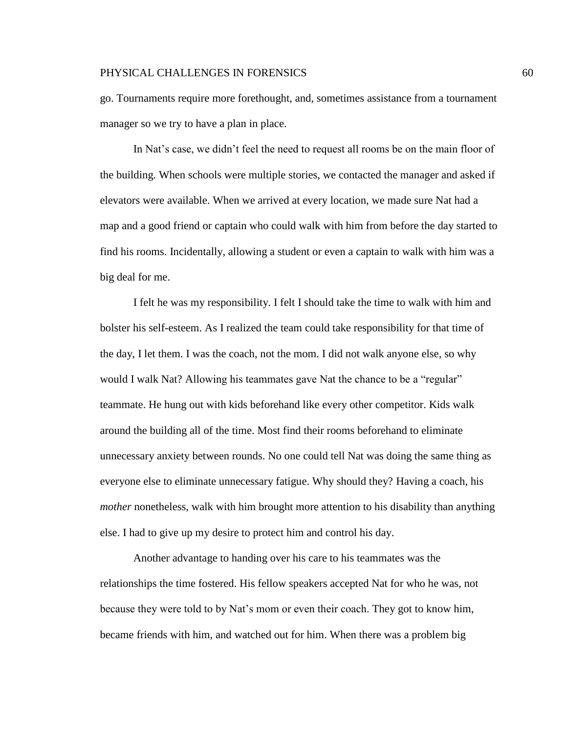go. Tournaments require more forethought, and, sometimes assistance from a tournament manager so we try to have a plan in place.

In Nat's case, we didn't feel the need to request all rooms be on the main floor of the building. When schools were multiple stories, we contacted the manager and asked if elevators were available. When we arrived at every location, we made sure Nat had a map and a good friend or captain who could walk with him from before the day started to find his rooms. Incidentally, allowing a student or even a captain to walk with him was a big deal for me.

I felt he was my responsibility. I felt I should take the time to walk with him and bolster his self-esteem. As I realized the team could take responsibility for that time of the day, I let them. I was the coach, not the mom. I did not walk anyone else, so why would I walk Nat? Allowing his teammates gave Nat the chance to be a "regular" teammate. He hung out with kids beforehand like every other competitor. Kids walk around the building all of the time. Most find their rooms beforehand to eliminate unnecessary anxiety between rounds. No one could tell Nat was doing the same thing as everyone else to eliminate unnecessary fatigue. Why should they? Having a coach, his *mother* nonetheless, walk with him brought more attention to his disability than anything else. I had to give up my desire to protect him and control his day.

Another advantage to handing over his care to his teammates was the relationships the time fostered. His fellow speakers accepted Nat for who he was, not because they were told to by Nat's mom or even their coach. They got to know him, became friends with him, and watched out for him. When there was a problem big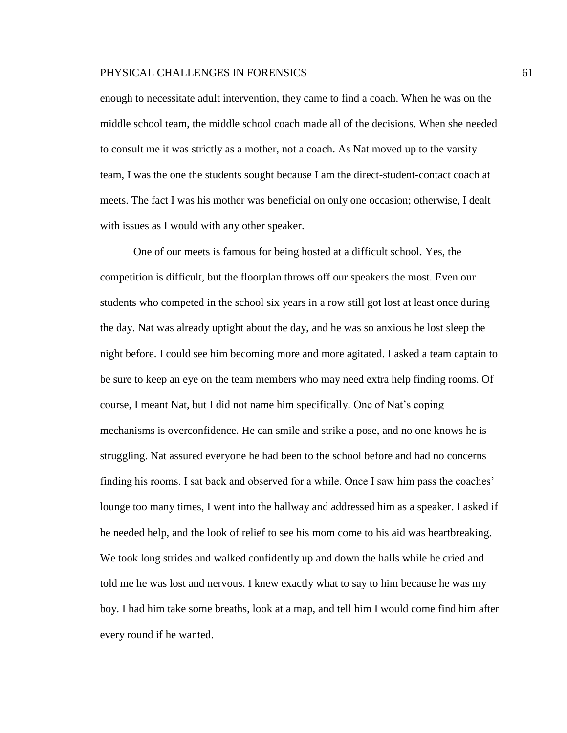enough to necessitate adult intervention, they came to find a coach. When he was on the middle school team, the middle school coach made all of the decisions. When she needed to consult me it was strictly as a mother, not a coach. As Nat moved up to the varsity team, I was the one the students sought because I am the direct-student-contact coach at meets. The fact I was his mother was beneficial on only one occasion; otherwise, I dealt with issues as I would with any other speaker.

One of our meets is famous for being hosted at a difficult school. Yes, the competition is difficult, but the floorplan throws off our speakers the most. Even our students who competed in the school six years in a row still got lost at least once during the day. Nat was already uptight about the day, and he was so anxious he lost sleep the night before. I could see him becoming more and more agitated. I asked a team captain to be sure to keep an eye on the team members who may need extra help finding rooms. Of course, I meant Nat, but I did not name him specifically. One of Nat's coping mechanisms is overconfidence. He can smile and strike a pose, and no one knows he is struggling. Nat assured everyone he had been to the school before and had no concerns finding his rooms. I sat back and observed for a while. Once I saw him pass the coaches' lounge too many times, I went into the hallway and addressed him as a speaker. I asked if he needed help, and the look of relief to see his mom come to his aid was heartbreaking. We took long strides and walked confidently up and down the halls while he cried and told me he was lost and nervous. I knew exactly what to say to him because he was my boy. I had him take some breaths, look at a map, and tell him I would come find him after every round if he wanted.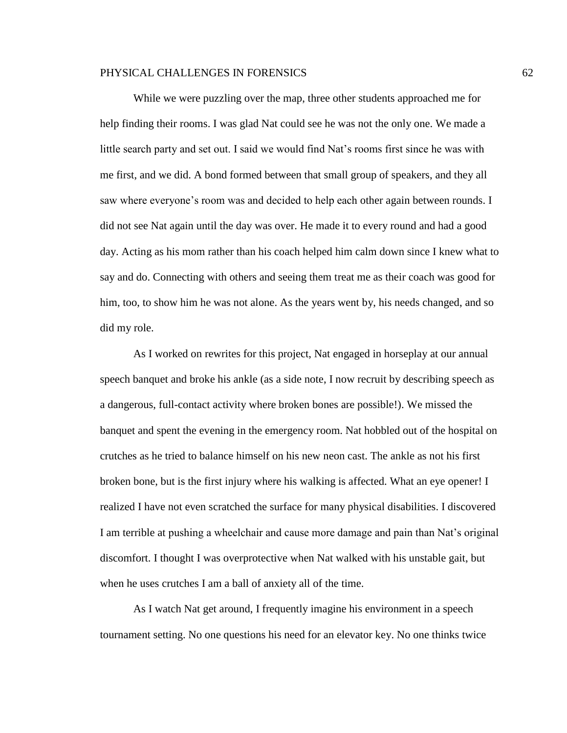While we were puzzling over the map, three other students approached me for help finding their rooms. I was glad Nat could see he was not the only one. We made a little search party and set out. I said we would find Nat's rooms first since he was with me first, and we did. A bond formed between that small group of speakers, and they all saw where everyone's room was and decided to help each other again between rounds. I did not see Nat again until the day was over. He made it to every round and had a good day. Acting as his mom rather than his coach helped him calm down since I knew what to say and do. Connecting with others and seeing them treat me as their coach was good for him, too, to show him he was not alone. As the years went by, his needs changed, and so did my role.

As I worked on rewrites for this project, Nat engaged in horseplay at our annual speech banquet and broke his ankle (as a side note, I now recruit by describing speech as a dangerous, full-contact activity where broken bones are possible!). We missed the banquet and spent the evening in the emergency room. Nat hobbled out of the hospital on crutches as he tried to balance himself on his new neon cast. The ankle as not his first broken bone, but is the first injury where his walking is affected. What an eye opener! I realized I have not even scratched the surface for many physical disabilities. I discovered I am terrible at pushing a wheelchair and cause more damage and pain than Nat's original discomfort. I thought I was overprotective when Nat walked with his unstable gait, but when he uses crutches I am a ball of anxiety all of the time.

As I watch Nat get around, I frequently imagine his environment in a speech tournament setting. No one questions his need for an elevator key. No one thinks twice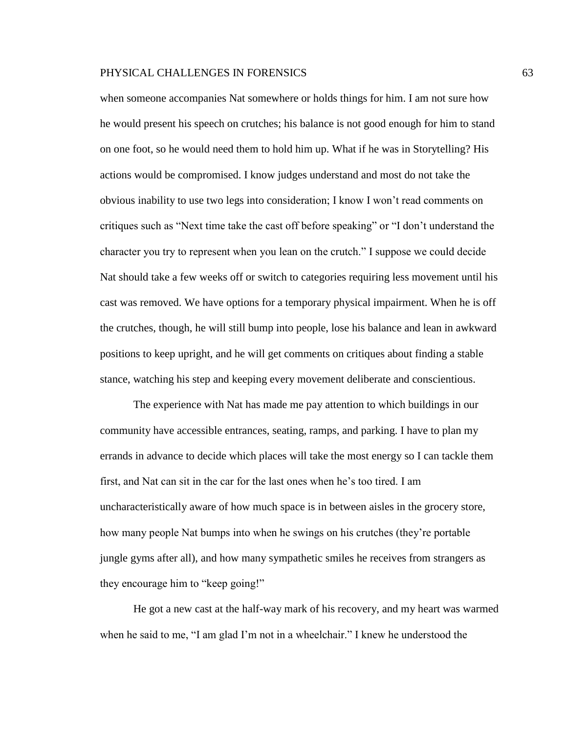when someone accompanies Nat somewhere or holds things for him. I am not sure how he would present his speech on crutches; his balance is not good enough for him to stand on one foot, so he would need them to hold him up. What if he was in Storytelling? His actions would be compromised. I know judges understand and most do not take the obvious inability to use two legs into consideration; I know I won't read comments on critiques such as "Next time take the cast off before speaking" or "I don't understand the character you try to represent when you lean on the crutch." I suppose we could decide Nat should take a few weeks off or switch to categories requiring less movement until his cast was removed. We have options for a temporary physical impairment. When he is off the crutches, though, he will still bump into people, lose his balance and lean in awkward positions to keep upright, and he will get comments on critiques about finding a stable stance, watching his step and keeping every movement deliberate and conscientious.

The experience with Nat has made me pay attention to which buildings in our community have accessible entrances, seating, ramps, and parking. I have to plan my errands in advance to decide which places will take the most energy so I can tackle them first, and Nat can sit in the car for the last ones when he's too tired. I am uncharacteristically aware of how much space is in between aisles in the grocery store, how many people Nat bumps into when he swings on his crutches (they're portable jungle gyms after all), and how many sympathetic smiles he receives from strangers as they encourage him to "keep going!"

He got a new cast at the half-way mark of his recovery, and my heart was warmed when he said to me, "I am glad I'm not in a wheelchair." I knew he understood the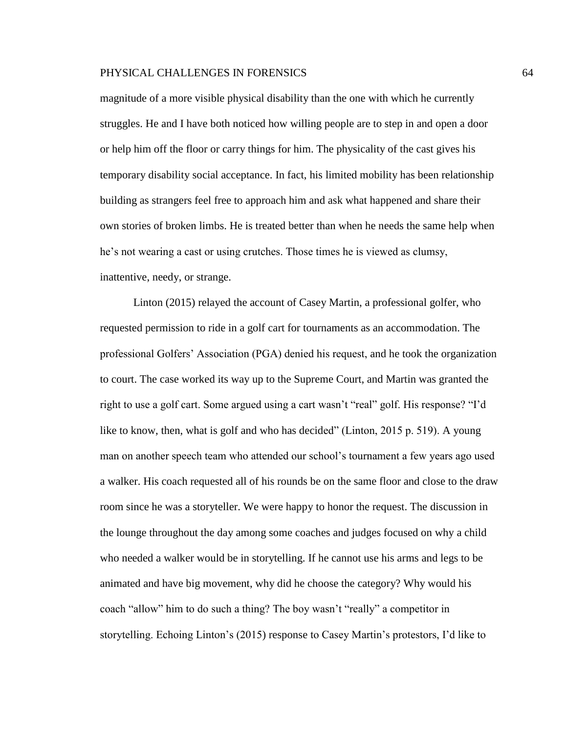magnitude of a more visible physical disability than the one with which he currently struggles. He and I have both noticed how willing people are to step in and open a door or help him off the floor or carry things for him. The physicality of the cast gives his temporary disability social acceptance. In fact, his limited mobility has been relationship building as strangers feel free to approach him and ask what happened and share their own stories of broken limbs. He is treated better than when he needs the same help when he's not wearing a cast or using crutches. Those times he is viewed as clumsy, inattentive, needy, or strange.

Linton (2015) relayed the account of Casey Martin, a professional golfer, who requested permission to ride in a golf cart for tournaments as an accommodation. The professional Golfers' Association (PGA) denied his request, and he took the organization to court. The case worked its way up to the Supreme Court, and Martin was granted the right to use a golf cart. Some argued using a cart wasn't "real" golf. His response? "I'd like to know, then, what is golf and who has decided" (Linton, 2015 p. 519). A young man on another speech team who attended our school's tournament a few years ago used a walker. His coach requested all of his rounds be on the same floor and close to the draw room since he was a storyteller. We were happy to honor the request. The discussion in the lounge throughout the day among some coaches and judges focused on why a child who needed a walker would be in storytelling. If he cannot use his arms and legs to be animated and have big movement, why did he choose the category? Why would his coach "allow" him to do such a thing? The boy wasn't "really" a competitor in storytelling. Echoing Linton's (2015) response to Casey Martin's protestors, I'd like to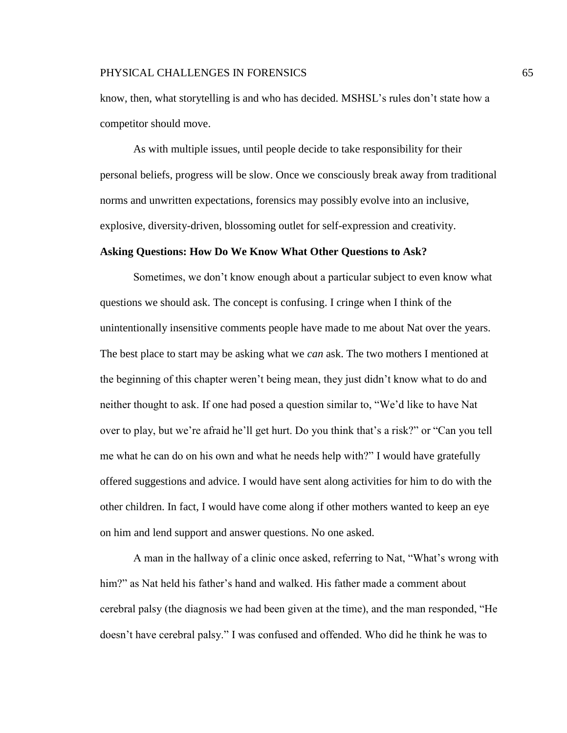know, then, what storytelling is and who has decided. MSHSL's rules don't state how a competitor should move.

As with multiple issues, until people decide to take responsibility for their personal beliefs, progress will be slow. Once we consciously break away from traditional norms and unwritten expectations, forensics may possibly evolve into an inclusive, explosive, diversity-driven, blossoming outlet for self-expression and creativity.

#### **Asking Questions: How Do We Know What Other Questions to Ask?**

Sometimes, we don't know enough about a particular subject to even know what questions we should ask. The concept is confusing. I cringe when I think of the unintentionally insensitive comments people have made to me about Nat over the years. The best place to start may be asking what we *can* ask. The two mothers I mentioned at the beginning of this chapter weren't being mean, they just didn't know what to do and neither thought to ask. If one had posed a question similar to, "We'd like to have Nat over to play, but we're afraid he'll get hurt. Do you think that's a risk?" or "Can you tell me what he can do on his own and what he needs help with?" I would have gratefully offered suggestions and advice. I would have sent along activities for him to do with the other children. In fact, I would have come along if other mothers wanted to keep an eye on him and lend support and answer questions. No one asked.

A man in the hallway of a clinic once asked, referring to Nat, "What's wrong with him?" as Nat held his father's hand and walked. His father made a comment about cerebral palsy (the diagnosis we had been given at the time), and the man responded, "He doesn't have cerebral palsy." I was confused and offended. Who did he think he was to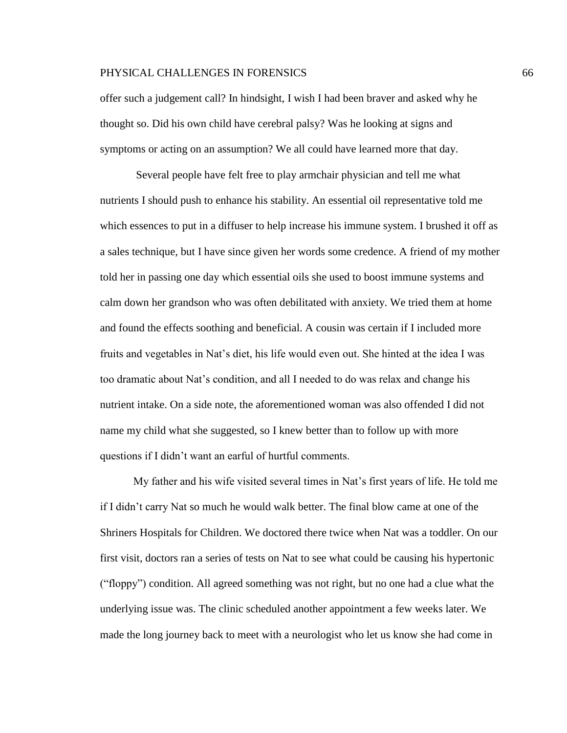offer such a judgement call? In hindsight, I wish I had been braver and asked why he thought so. Did his own child have cerebral palsy? Was he looking at signs and symptoms or acting on an assumption? We all could have learned more that day.

Several people have felt free to play armchair physician and tell me what nutrients I should push to enhance his stability. An essential oil representative told me which essences to put in a diffuser to help increase his immune system. I brushed it off as a sales technique, but I have since given her words some credence. A friend of my mother told her in passing one day which essential oils she used to boost immune systems and calm down her grandson who was often debilitated with anxiety. We tried them at home and found the effects soothing and beneficial. A cousin was certain if I included more fruits and vegetables in Nat's diet, his life would even out. She hinted at the idea I was too dramatic about Nat's condition, and all I needed to do was relax and change his nutrient intake. On a side note, the aforementioned woman was also offended I did not name my child what she suggested, so I knew better than to follow up with more questions if I didn't want an earful of hurtful comments.

My father and his wife visited several times in Nat's first years of life. He told me if I didn't carry Nat so much he would walk better. The final blow came at one of the Shriners Hospitals for Children. We doctored there twice when Nat was a toddler. On our first visit, doctors ran a series of tests on Nat to see what could be causing his hypertonic ("floppy") condition. All agreed something was not right, but no one had a clue what the underlying issue was. The clinic scheduled another appointment a few weeks later. We made the long journey back to meet with a neurologist who let us know she had come in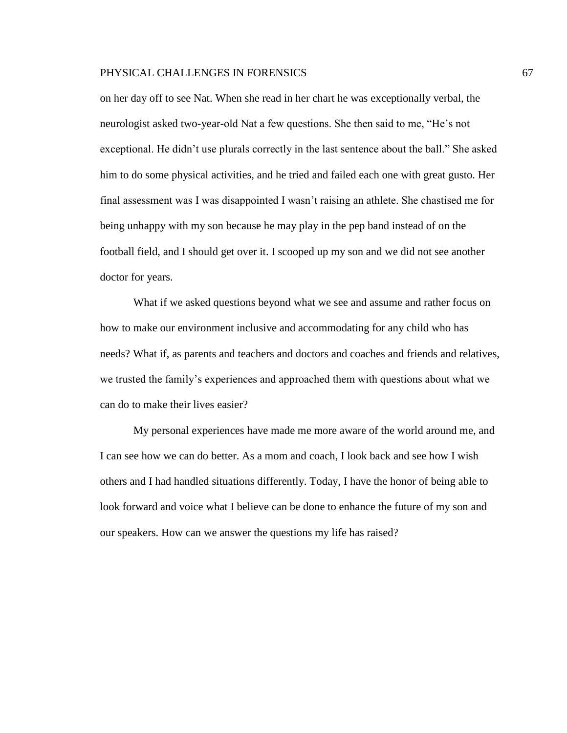on her day off to see Nat. When she read in her chart he was exceptionally verbal, the neurologist asked two-year-old Nat a few questions. She then said to me, "He's not exceptional. He didn't use plurals correctly in the last sentence about the ball." She asked him to do some physical activities, and he tried and failed each one with great gusto. Her final assessment was I was disappointed I wasn't raising an athlete. She chastised me for being unhappy with my son because he may play in the pep band instead of on the football field, and I should get over it. I scooped up my son and we did not see another doctor for years.

What if we asked questions beyond what we see and assume and rather focus on how to make our environment inclusive and accommodating for any child who has needs? What if, as parents and teachers and doctors and coaches and friends and relatives, we trusted the family's experiences and approached them with questions about what we can do to make their lives easier?

My personal experiences have made me more aware of the world around me, and I can see how we can do better. As a mom and coach, I look back and see how I wish others and I had handled situations differently. Today, I have the honor of being able to look forward and voice what I believe can be done to enhance the future of my son and our speakers. How can we answer the questions my life has raised?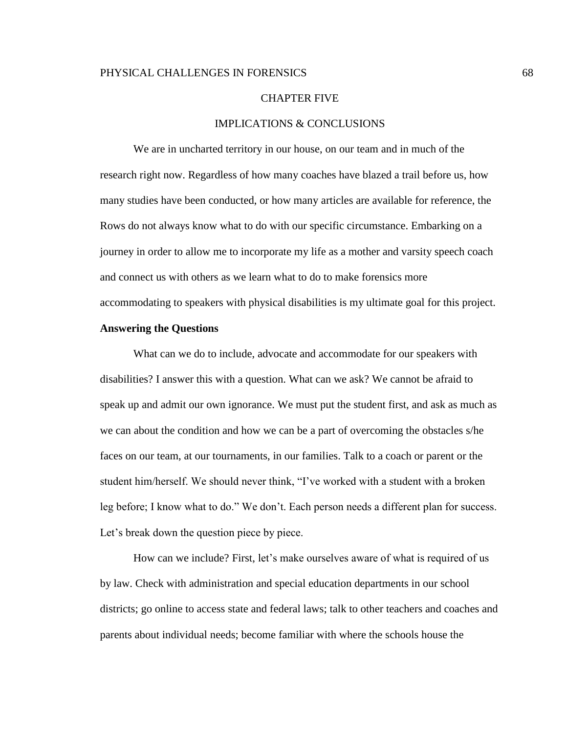#### CHAPTER FIVE

## IMPLICATIONS & CONCLUSIONS

We are in uncharted territory in our house, on our team and in much of the research right now. Regardless of how many coaches have blazed a trail before us, how many studies have been conducted, or how many articles are available for reference, the Rows do not always know what to do with our specific circumstance. Embarking on a journey in order to allow me to incorporate my life as a mother and varsity speech coach and connect us with others as we learn what to do to make forensics more accommodating to speakers with physical disabilities is my ultimate goal for this project.

## **Answering the Questions**

What can we do to include, advocate and accommodate for our speakers with disabilities? I answer this with a question. What can we ask? We cannot be afraid to speak up and admit our own ignorance. We must put the student first, and ask as much as we can about the condition and how we can be a part of overcoming the obstacles s/he faces on our team, at our tournaments, in our families. Talk to a coach or parent or the student him/herself. We should never think, "I've worked with a student with a broken leg before; I know what to do." We don't. Each person needs a different plan for success. Let's break down the question piece by piece.

How can we include? First, let's make ourselves aware of what is required of us by law. Check with administration and special education departments in our school districts; go online to access state and federal laws; talk to other teachers and coaches and parents about individual needs; become familiar with where the schools house the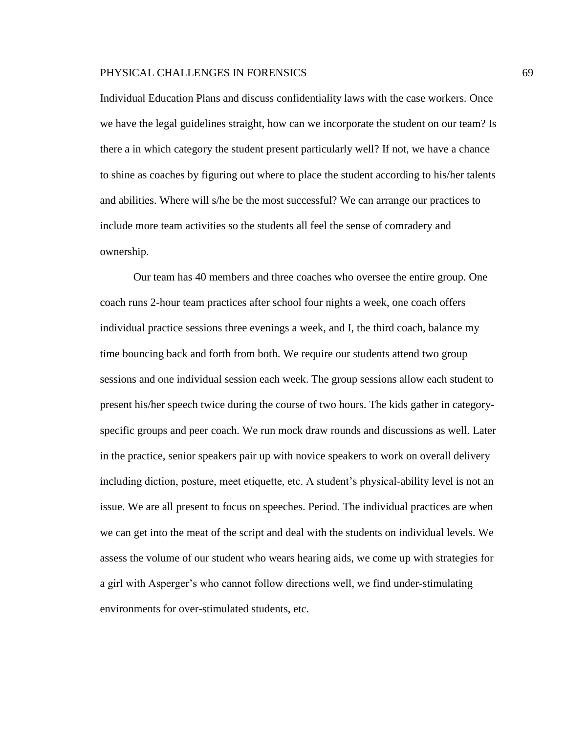Individual Education Plans and discuss confidentiality laws with the case workers. Once we have the legal guidelines straight, how can we incorporate the student on our team? Is there a in which category the student present particularly well? If not, we have a chance to shine as coaches by figuring out where to place the student according to his/her talents and abilities. Where will s/he be the most successful? We can arrange our practices to include more team activities so the students all feel the sense of comradery and ownership.

Our team has 40 members and three coaches who oversee the entire group. One coach runs 2-hour team practices after school four nights a week, one coach offers individual practice sessions three evenings a week, and I, the third coach, balance my time bouncing back and forth from both. We require our students attend two group sessions and one individual session each week. The group sessions allow each student to present his/her speech twice during the course of two hours. The kids gather in categoryspecific groups and peer coach. We run mock draw rounds and discussions as well. Later in the practice, senior speakers pair up with novice speakers to work on overall delivery including diction, posture, meet etiquette, etc. A student's physical-ability level is not an issue. We are all present to focus on speeches. Period. The individual practices are when we can get into the meat of the script and deal with the students on individual levels. We assess the volume of our student who wears hearing aids, we come up with strategies for a girl with Asperger's who cannot follow directions well, we find under-stimulating environments for over-stimulated students, etc.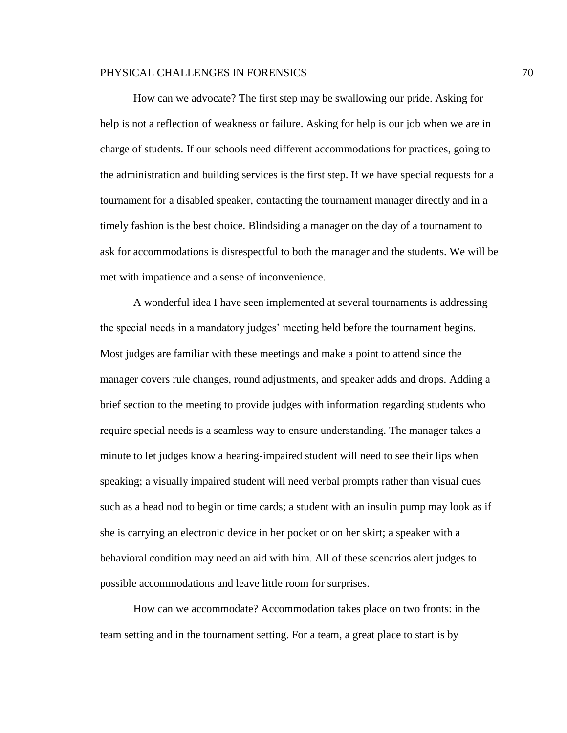How can we advocate? The first step may be swallowing our pride. Asking for help is not a reflection of weakness or failure. Asking for help is our job when we are in charge of students. If our schools need different accommodations for practices, going to the administration and building services is the first step. If we have special requests for a tournament for a disabled speaker, contacting the tournament manager directly and in a timely fashion is the best choice. Blindsiding a manager on the day of a tournament to ask for accommodations is disrespectful to both the manager and the students. We will be met with impatience and a sense of inconvenience.

A wonderful idea I have seen implemented at several tournaments is addressing the special needs in a mandatory judges' meeting held before the tournament begins. Most judges are familiar with these meetings and make a point to attend since the manager covers rule changes, round adjustments, and speaker adds and drops. Adding a brief section to the meeting to provide judges with information regarding students who require special needs is a seamless way to ensure understanding. The manager takes a minute to let judges know a hearing-impaired student will need to see their lips when speaking; a visually impaired student will need verbal prompts rather than visual cues such as a head nod to begin or time cards; a student with an insulin pump may look as if she is carrying an electronic device in her pocket or on her skirt; a speaker with a behavioral condition may need an aid with him. All of these scenarios alert judges to possible accommodations and leave little room for surprises.

How can we accommodate? Accommodation takes place on two fronts: in the team setting and in the tournament setting. For a team, a great place to start is by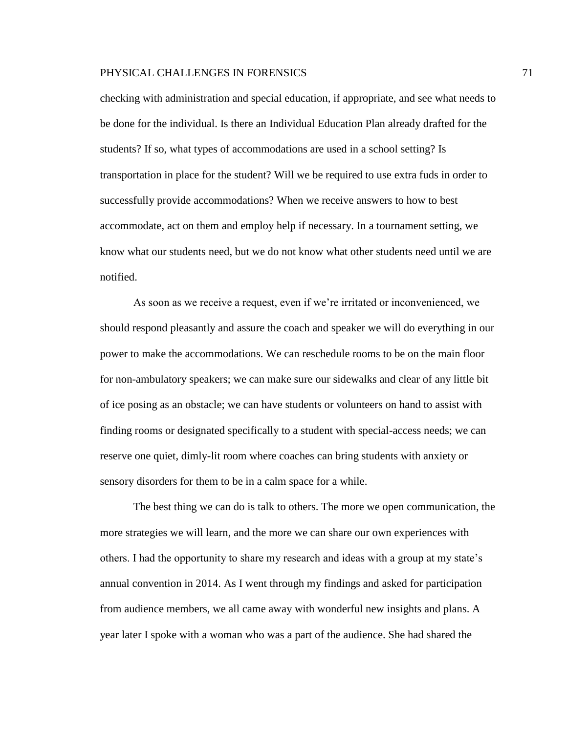checking with administration and special education, if appropriate, and see what needs to be done for the individual. Is there an Individual Education Plan already drafted for the students? If so, what types of accommodations are used in a school setting? Is transportation in place for the student? Will we be required to use extra fuds in order to successfully provide accommodations? When we receive answers to how to best accommodate, act on them and employ help if necessary. In a tournament setting, we know what our students need, but we do not know what other students need until we are notified.

As soon as we receive a request, even if we're irritated or inconvenienced, we should respond pleasantly and assure the coach and speaker we will do everything in our power to make the accommodations. We can reschedule rooms to be on the main floor for non-ambulatory speakers; we can make sure our sidewalks and clear of any little bit of ice posing as an obstacle; we can have students or volunteers on hand to assist with finding rooms or designated specifically to a student with special-access needs; we can reserve one quiet, dimly-lit room where coaches can bring students with anxiety or sensory disorders for them to be in a calm space for a while.

The best thing we can do is talk to others. The more we open communication, the more strategies we will learn, and the more we can share our own experiences with others. I had the opportunity to share my research and ideas with a group at my state's annual convention in 2014. As I went through my findings and asked for participation from audience members, we all came away with wonderful new insights and plans. A year later I spoke with a woman who was a part of the audience. She had shared the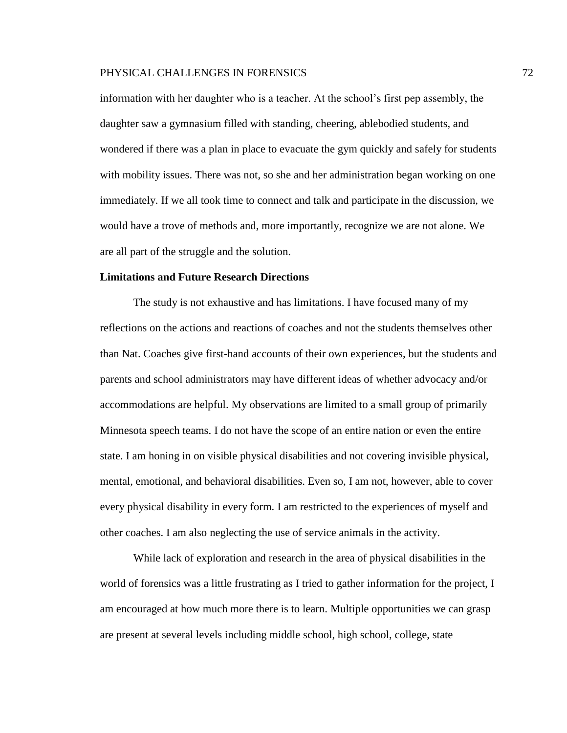information with her daughter who is a teacher. At the school's first pep assembly, the daughter saw a gymnasium filled with standing, cheering, ablebodied students, and wondered if there was a plan in place to evacuate the gym quickly and safely for students with mobility issues. There was not, so she and her administration began working on one immediately. If we all took time to connect and talk and participate in the discussion, we would have a trove of methods and, more importantly, recognize we are not alone. We are all part of the struggle and the solution.

### **Limitations and Future Research Directions**

The study is not exhaustive and has limitations. I have focused many of my reflections on the actions and reactions of coaches and not the students themselves other than Nat. Coaches give first-hand accounts of their own experiences, but the students and parents and school administrators may have different ideas of whether advocacy and/or accommodations are helpful. My observations are limited to a small group of primarily Minnesota speech teams. I do not have the scope of an entire nation or even the entire state. I am honing in on visible physical disabilities and not covering invisible physical, mental, emotional, and behavioral disabilities. Even so, I am not, however, able to cover every physical disability in every form. I am restricted to the experiences of myself and other coaches. I am also neglecting the use of service animals in the activity.

While lack of exploration and research in the area of physical disabilities in the world of forensics was a little frustrating as I tried to gather information for the project, I am encouraged at how much more there is to learn. Multiple opportunities we can grasp are present at several levels including middle school, high school, college, state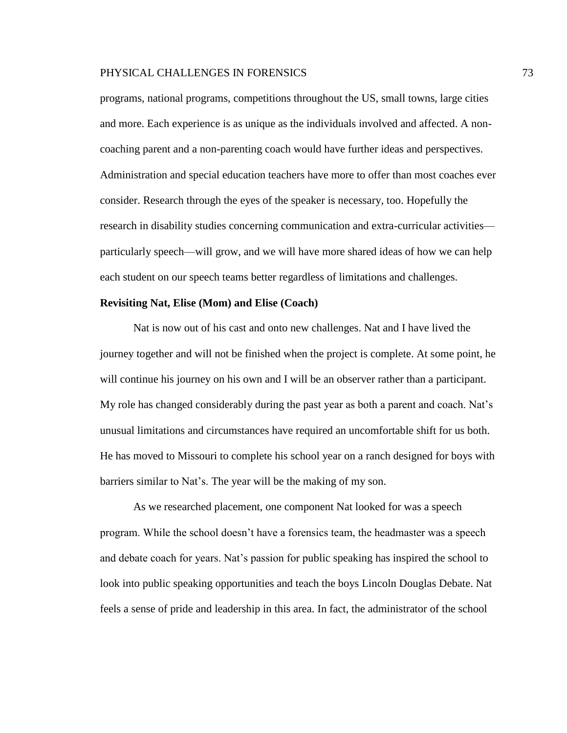programs, national programs, competitions throughout the US, small towns, large cities and more. Each experience is as unique as the individuals involved and affected. A noncoaching parent and a non-parenting coach would have further ideas and perspectives. Administration and special education teachers have more to offer than most coaches ever consider. Research through the eyes of the speaker is necessary, too. Hopefully the research in disability studies concerning communication and extra-curricular activities particularly speech—will grow, and we will have more shared ideas of how we can help each student on our speech teams better regardless of limitations and challenges.

### **Revisiting Nat, Elise (Mom) and Elise (Coach)**

Nat is now out of his cast and onto new challenges. Nat and I have lived the journey together and will not be finished when the project is complete. At some point, he will continue his journey on his own and I will be an observer rather than a participant. My role has changed considerably during the past year as both a parent and coach. Nat's unusual limitations and circumstances have required an uncomfortable shift for us both. He has moved to Missouri to complete his school year on a ranch designed for boys with barriers similar to Nat's. The year will be the making of my son.

As we researched placement, one component Nat looked for was a speech program. While the school doesn't have a forensics team, the headmaster was a speech and debate coach for years. Nat's passion for public speaking has inspired the school to look into public speaking opportunities and teach the boys Lincoln Douglas Debate. Nat feels a sense of pride and leadership in this area. In fact, the administrator of the school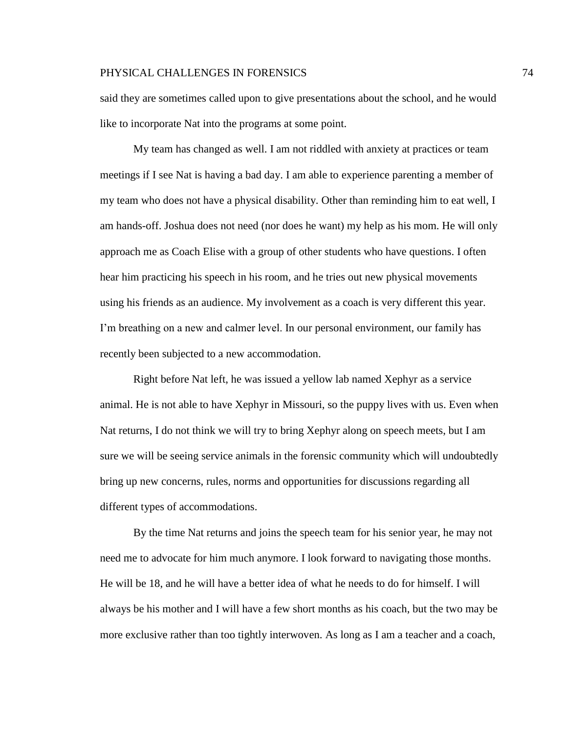said they are sometimes called upon to give presentations about the school, and he would like to incorporate Nat into the programs at some point.

My team has changed as well. I am not riddled with anxiety at practices or team meetings if I see Nat is having a bad day. I am able to experience parenting a member of my team who does not have a physical disability. Other than reminding him to eat well, I am hands-off. Joshua does not need (nor does he want) my help as his mom. He will only approach me as Coach Elise with a group of other students who have questions. I often hear him practicing his speech in his room, and he tries out new physical movements using his friends as an audience. My involvement as a coach is very different this year. I'm breathing on a new and calmer level. In our personal environment, our family has recently been subjected to a new accommodation.

Right before Nat left, he was issued a yellow lab named Xephyr as a service animal. He is not able to have Xephyr in Missouri, so the puppy lives with us. Even when Nat returns, I do not think we will try to bring Xephyr along on speech meets, but I am sure we will be seeing service animals in the forensic community which will undoubtedly bring up new concerns, rules, norms and opportunities for discussions regarding all different types of accommodations.

By the time Nat returns and joins the speech team for his senior year, he may not need me to advocate for him much anymore. I look forward to navigating those months. He will be 18, and he will have a better idea of what he needs to do for himself. I will always be his mother and I will have a few short months as his coach, but the two may be more exclusive rather than too tightly interwoven. As long as I am a teacher and a coach,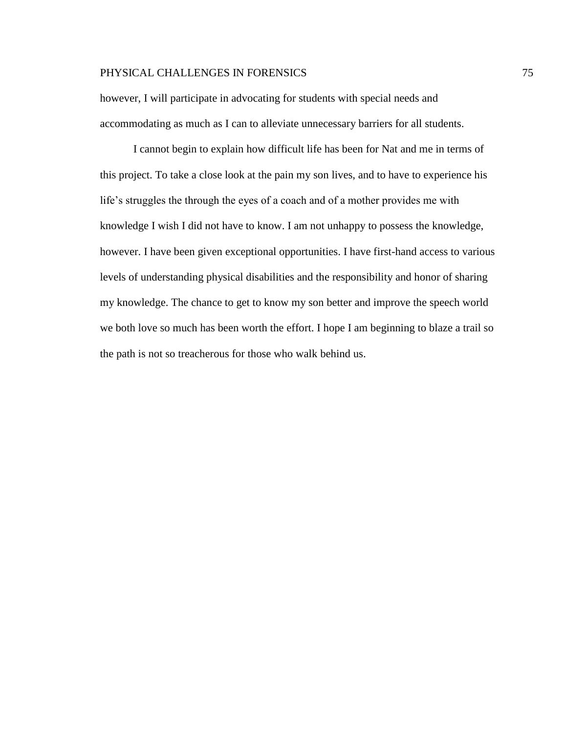however, I will participate in advocating for students with special needs and accommodating as much as I can to alleviate unnecessary barriers for all students.

I cannot begin to explain how difficult life has been for Nat and me in terms of this project. To take a close look at the pain my son lives, and to have to experience his life's struggles the through the eyes of a coach and of a mother provides me with knowledge I wish I did not have to know. I am not unhappy to possess the knowledge, however. I have been given exceptional opportunities. I have first-hand access to various levels of understanding physical disabilities and the responsibility and honor of sharing my knowledge. The chance to get to know my son better and improve the speech world we both love so much has been worth the effort. I hope I am beginning to blaze a trail so the path is not so treacherous for those who walk behind us.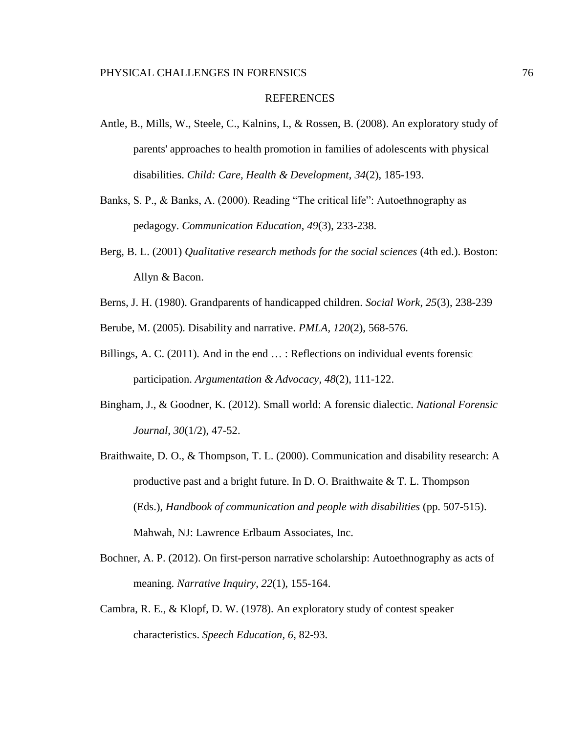#### REFERENCES

- Antle, B., Mills, W., Steele, C., Kalnins, I., & Rossen, B. (2008). An exploratory study of parents' approaches to health promotion in families of adolescents with physical disabilities. *Child: Care, Health & Development*, *34*(2), 185-193.
- Banks, S. P., & Banks, A. (2000). Reading "The critical life": Autoethnography as pedagogy. *Communication Education*, *49*(3), 233-238.
- Berg, B. L. (2001) *Qualitative research methods for the social sciences* (4th ed.). Boston: Allyn & Bacon.
- Berns, J. H. (1980). Grandparents of handicapped children. *Social Work*, *25*(3), 238-239

Berube, M. (2005). Disability and narrative. *PMLA, 120*(2), 568-576.

- Billings, A. C. (2011). And in the end … : Reflections on individual events forensic participation. *Argumentation & Advocacy*, *48*(2), 111-122.
- Bingham, J., & Goodner, K. (2012). Small world: A forensic dialectic. *National Forensic Journal*, *30*(1/2), 47-52.
- Braithwaite, D. O., & Thompson, T. L. (2000). Communication and disability research: A productive past and a bright future. In D. O. Braithwaite & T. L. Thompson (Eds.), *Handbook of communication and people with disabilities* (pp. 507-515). Mahwah, NJ: Lawrence Erlbaum Associates, Inc.
- Bochner, A. P. (2012). On first-person narrative scholarship: Autoethnography as acts of meaning. *Narrative Inquiry*, *22*(1), 155-164.
- Cambra, R. E., & Klopf, D. W. (1978). An exploratory study of contest speaker characteristics. *Speech Education, 6*, 82-93.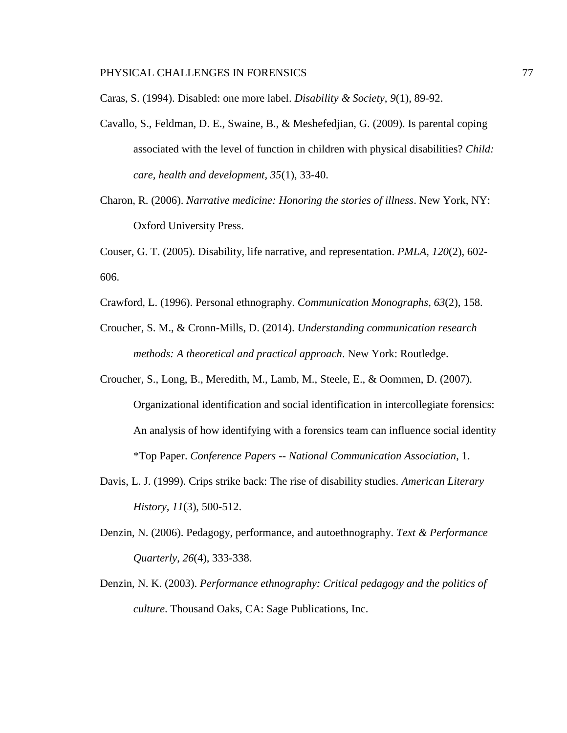Caras, S. (1994). Disabled: one more label. *Disability & Society*, *9*(1), 89-92.

- Cavallo, S., Feldman, D. E., Swaine, B., & Meshefedjian, G. (2009). Is parental coping associated with the level of function in children with physical disabilities? *Child: care, health and development, 35*(1), 33-40.
- Charon, R. (2006). *Narrative medicine: Honoring the stories of illness*. New York, NY: Oxford University Press.

Couser, G. T. (2005). Disability, life narrative, and representation. *PMLA, 120*(2), 602- 606.

- Crawford, L. (1996). Personal ethnography. *Communication Monographs*, *63*(2), 158.
- Croucher, S. M., & Cronn-Mills, D. (2014). *Understanding communication research methods: A theoretical and practical approach*. New York: Routledge.
- Croucher, S., Long, B., Meredith, M., Lamb, M., Steele, E., & Oommen, D. (2007). Organizational identification and social identification in intercollegiate forensics: An analysis of how identifying with a forensics team can influence social identity \*Top Paper. *Conference Papers -- National Communication Association*, 1.
- Davis, L. J. (1999). Crips strike back: The rise of disability studies. *American Literary History, 11*(3), 500-512.
- Denzin, N. (2006). Pedagogy, performance, and autoethnography. *Text & Performance Quarterly*, *26*(4), 333-338.
- Denzin, N. K. (2003). *Performance ethnography: Critical pedagogy and the politics of culture*. Thousand Oaks, CA: Sage Publications, Inc.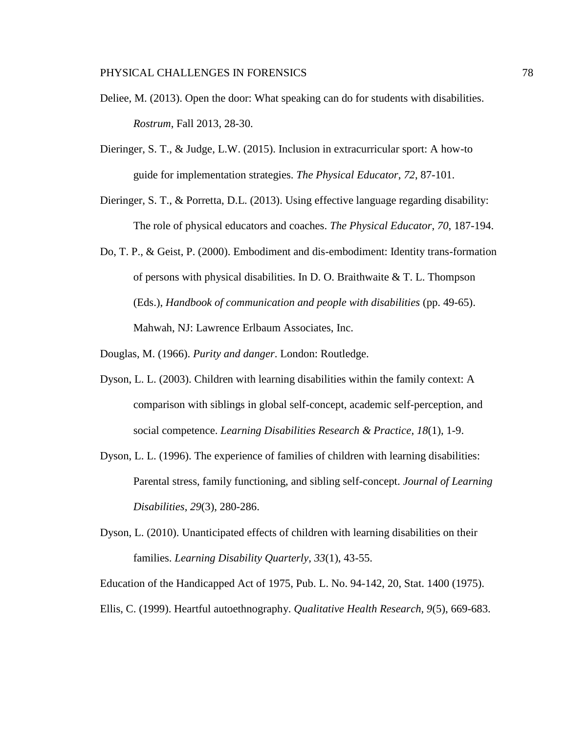- Deliee, M. (2013). Open the door: What speaking can do for students with disabilities. *Rostrum*, Fall 2013, 28-30.
- Dieringer, S. T., & Judge, L.W. (2015). Inclusion in extracurricular sport: A how-to guide for implementation strategies. *The Physical Educator*, *72*, 87-101.
- Dieringer, S. T., & Porretta, D.L. (2013). Using effective language regarding disability: The role of physical educators and coaches. *The Physical Educator*, *70*, 187-194.
- Do, T. P., & Geist, P. (2000). Embodiment and dis-embodiment: Identity trans-formation of persons with physical disabilities. In D. O. Braithwaite & T. L. Thompson (Eds.), *Handbook of communication and people with disabilities* (pp. 49-65). Mahwah, NJ: Lawrence Erlbaum Associates, Inc.

Douglas, M. (1966). *Purity and danger*. London: Routledge.

- Dyson, L. L. (2003). Children with learning disabilities within the family context: A comparison with siblings in global self-concept, academic self-perception, and social competence. *Learning Disabilities Research & Practice*, *18*(1), 1-9.
- Dyson, L. L. (1996). The experience of families of children with learning disabilities: Parental stress, family functioning, and sibling self-concept. *Journal of Learning Disabilities*, *29*(3), 280-286.
- Dyson, L. (2010). Unanticipated effects of children with learning disabilities on their families. *Learning Disability Quarterly*, *33*(1), 43-55.

Education of the Handicapped Act of 1975, Pub. L. No. 94-142, 20, Stat. 1400 (1975).

Ellis, C. (1999). Heartful autoethnography. *Qualitative Health Research, 9*(5), 669-683.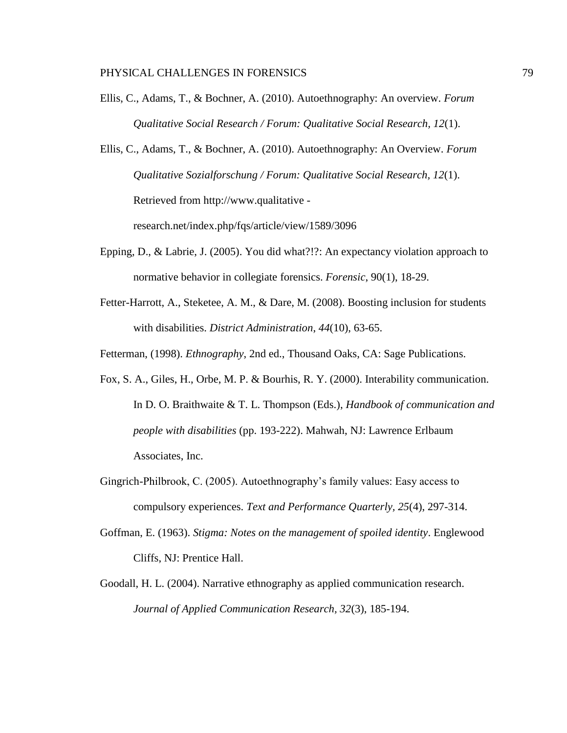Ellis, C., Adams, T., & Bochner, A. (2010). Autoethnography: An overview. *Forum Qualitative Social Research / Forum: Qualitative Social Research, 12*(1).

Ellis, C., Adams, T., & Bochner, A. (2010). Autoethnography: An Overview. *Forum Qualitative Sozialforschung / Forum: Qualitative Social Research, 12*(1). Retrieved from http://www.qualitative research.net/index.php/fqs/article/view/1589/3096

- Epping, D., & Labrie, J. (2005). You did what?!?: An expectancy violation approach to normative behavior in collegiate forensics. *Forensic*, 90(1), 18-29.
- Fetter-Harrott, A., Steketee, A. M., & Dare, M. (2008). Boosting inclusion for students with disabilities. *District Administration*, *44*(10), 63-65.

Fetterman, (1998). *Ethnography*, 2nd ed., Thousand Oaks, CA: Sage Publications.

- Fox, S. A., Giles, H., Orbe, M. P. & Bourhis, R. Y. (2000). Interability communication. In D. O. Braithwaite & T. L. Thompson (Eds.), *Handbook of communication and people with disabilities* (pp. 193-222). Mahwah, NJ: Lawrence Erlbaum Associates, Inc.
- Gingrich-Philbrook, C. (2005). Autoethnography's family values: Easy access to compulsory experiences. *Text and Performance Quarterly, 25*(4), 297-314.
- Goffman, E. (1963). *Stigma: Notes on the management of spoiled identity*. Englewood Cliffs, NJ: Prentice Hall.
- Goodall, H. L. (2004). Narrative ethnography as applied communication research. *Journal of Applied Communication Research, 32*(3), 185-194.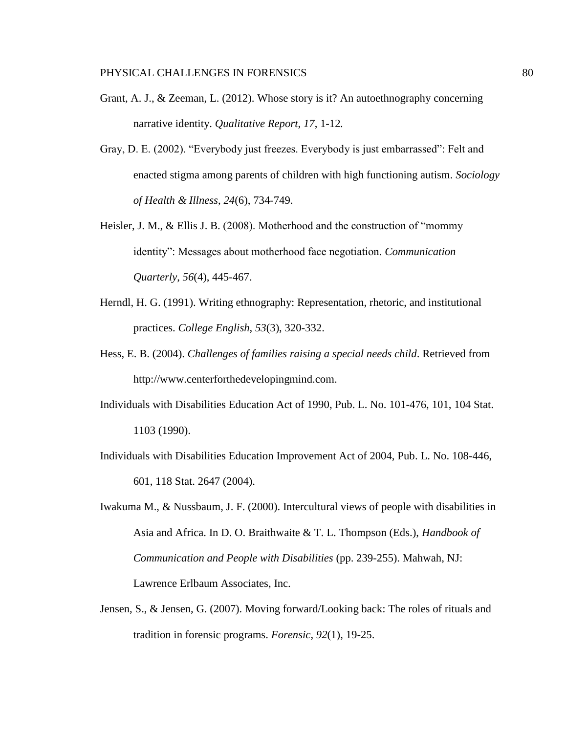- Grant, A. J., & Zeeman, L. (2012). Whose story is it? An autoethnography concerning narrative identity. *Qualitative Report*, *17*, 1-12*.*
- Gray, D. E. (2002). "Everybody just freezes. Everybody is just embarrassed": Felt and enacted stigma among parents of children with high functioning autism. *Sociology of Health & Illness*, *24*(6), 734-749.
- Heisler, J. M., & Ellis J. B. (2008). Motherhood and the construction of "mommy identity": Messages about motherhood face negotiation. *Communication Quarterly*, *56*(4), 445-467.
- Herndl, H. G. (1991). Writing ethnography: Representation, rhetoric, and institutional practices. *College English, 53*(3), 320-332.
- Hess, E. B. (2004). *Challenges of families raising a special needs child*. Retrieved from [http://www.centerforthedevelopingmind.com.](http://www.centerforthedevelopingmind.com/)
- Individuals with Disabilities Education Act of 1990, Pub. L. No. 101-476, 101, 104 Stat. 1103 (1990).
- Individuals with Disabilities Education Improvement Act of 2004, Pub. L. No. 108-446, 601, 118 Stat. 2647 (2004).
- Iwakuma M., & Nussbaum, J. F. (2000). Intercultural views of people with disabilities in Asia and Africa. In D. O. Braithwaite & T. L. Thompson (Eds.), *Handbook of Communication and People with Disabilities* (pp. 239-255). Mahwah, NJ: Lawrence Erlbaum Associates, Inc.
- Jensen, S., & Jensen, G. (2007). Moving forward/Looking back: The roles of rituals and tradition in forensic programs. *Forensic*, *92*(1), 19-25.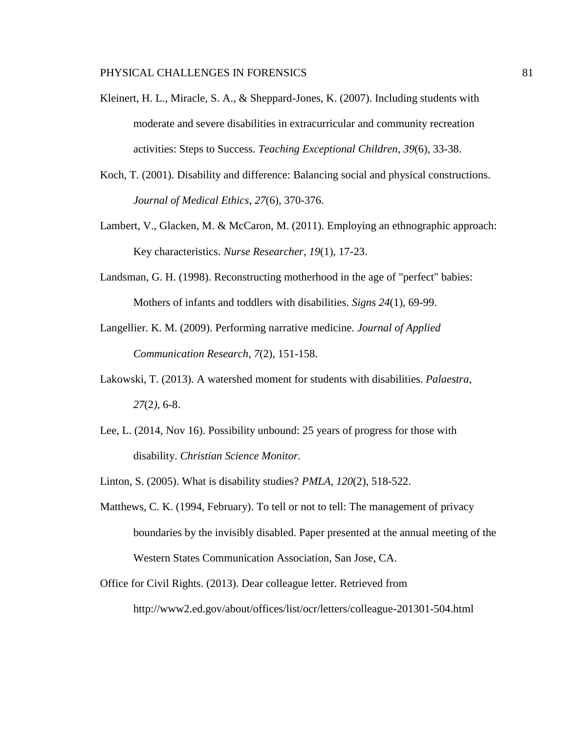- Kleinert, H. L., Miracle, S. A., & Sheppard-Jones, K. (2007). Including students with moderate and severe disabilities in extracurricular and community recreation activities: Steps to Success. *Teaching Exceptional Children*, *39*(6), 33-38.
- Koch, T. (2001). Disability and difference: Balancing social and physical constructions. *Journal of Medical Ethics*, *27*(6), 370-376.
- Lambert, V., Glacken, M. & McCaron, M. (2011). Employing an ethnographic approach: Key characteristics. *Nurse Researcher*, *19*(1), 17-23.
- Landsman, G. H. (1998). Reconstructing motherhood in the age of "perfect" babies: Mothers of infants and toddlers with disabilities. *Signs 24*(1), 69-99.
- Langellier. K. M. (2009). Performing narrative medicine. *Journal of Applied Communication Research*, *7*(2), 151-158.
- Lakowski, T. (2013). A watershed moment for students with disabilities. *Palaestra*, *27*(2*)*, 6-8.
- Lee, L. (2014, Nov 16). Possibility unbound: 25 years of progress for those with disability. *Christian Science Monitor.*
- Linton, S. (2005). What is disability studies? *PMLA, 120*(2), 518-522.
- Matthews, C. K. (1994, February). To tell or not to tell: The management of privacy boundaries by the invisibly disabled. Paper presented at the annual meeting of the Western States Communication Association, San Jose, CA.
- Office for Civil Rights. (2013). Dear colleague letter. Retrieved from <http://www2.ed.gov/about/offices/list/ocr/letters/colleague-201301-504.html>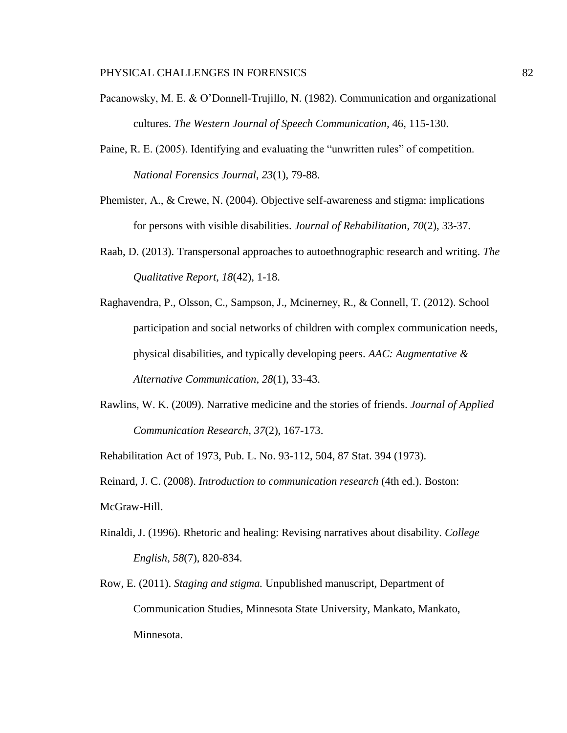- Pacanowsky, M. E. & O'Donnell-Trujillo, N. (1982). Communication and organizational cultures. *The Western Journal of Speech Communication,* 46, 115-130.
- Paine, R. E. (2005). Identifying and evaluating the "unwritten rules" of competition. *National Forensics Journal*, *23*(1), 79-88.
- Phemister, A., & Crewe, N. (2004). Objective self-awareness and stigma: implications for persons with visible disabilities. *Journal of Rehabilitation*, *70*(2), 33-37.
- Raab, D. (2013). Transpersonal approaches to autoethnographic research and writing. *The Qualitative Report, 18*(42), 1-18.
- Raghavendra, P., Olsson, C., Sampson, J., Mcinerney, R., & Connell, T. (2012). School participation and social networks of children with complex communication needs, physical disabilities, and typically developing peers. *AAC: Augmentative & Alternative Communication*, *28*(1), 33-43.
- Rawlins, W. K. (2009). Narrative medicine and the stories of friends. *Journal of Applied Communication Research*, *37*(2), 167-173.

Rehabilitation Act of 1973, Pub. L. No. 93-112, 504, 87 Stat. 394 (1973).

Reinard, J. C. (2008). *Introduction to communication research* (4th ed.). Boston: McGraw-Hill.

- Rinaldi, J. (1996). Rhetoric and healing: Revising narratives about disability. *College English*, *58*(7), 820-834.
- Row, E. (2011). *Staging and stigma.* Unpublished manuscript, Department of Communication Studies, Minnesota State University, Mankato, Mankato, Minnesota.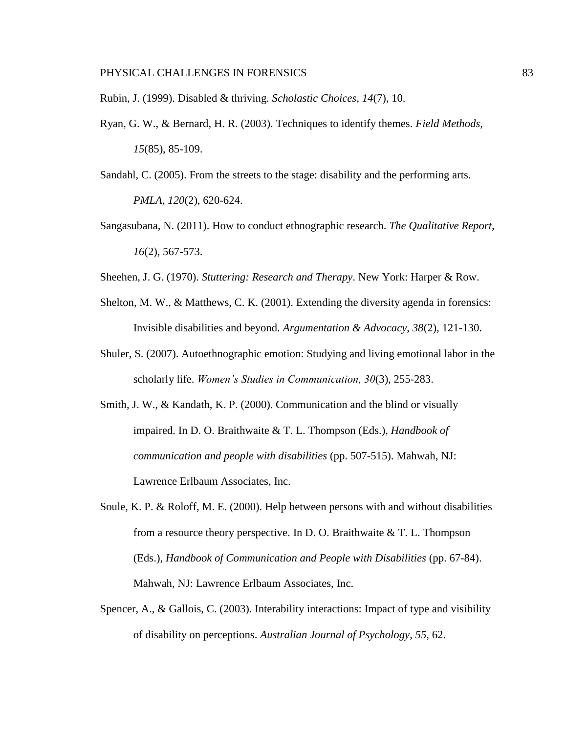Rubin, J. (1999). Disabled & thriving. *Scholastic Choices*, *14*(7), 10.

Ryan, G. W., & Bernard, H. R. (2003). Techniques to identify themes. *Field Methods, 15*(85), 85-109.

Sandahl, C. (2005). From the streets to the stage: disability and the performing arts. *PMLA, 120*(2), 620-624.

Sangasubana, N. (2011). How to conduct ethnographic research. *The Qualitative Report, 16*(2), 567-573.

Sheehen, J. G. (1970). *Stuttering: Research and Therapy*. New York: Harper & Row.

- Shelton, M. W., & Matthews, C. K. (2001). Extending the diversity agenda in forensics: Invisible disabilities and beyond. *Argumentation & Advocacy*, *38*(2), 121-130.
- Shuler, S. (2007). Autoethnographic emotion: Studying and living emotional labor in the scholarly life. *Women's Studies in Communication, 30*(3), 255-283.
- Smith, J. W., & Kandath, K. P. (2000). Communication and the blind or visually impaired. In D. O. Braithwaite & T. L. Thompson (Eds.), *Handbook of communication and people with disabilities* (pp. 507-515). Mahwah, NJ: Lawrence Erlbaum Associates, Inc.
- Soule, K. P. & Roloff, M. E. (2000). Help between persons with and without disabilities from a resource theory perspective. In D. O. Braithwaite & T. L. Thompson (Eds.), *Handbook of Communication and People with Disabilities* (pp. 67-84). Mahwah, NJ: Lawrence Erlbaum Associates, Inc.
- Spencer, A., & Gallois, C. (2003). Interability interactions: Impact of type and visibility of disability on perceptions. *Australian Journal of Psychology*, *55*, 62.